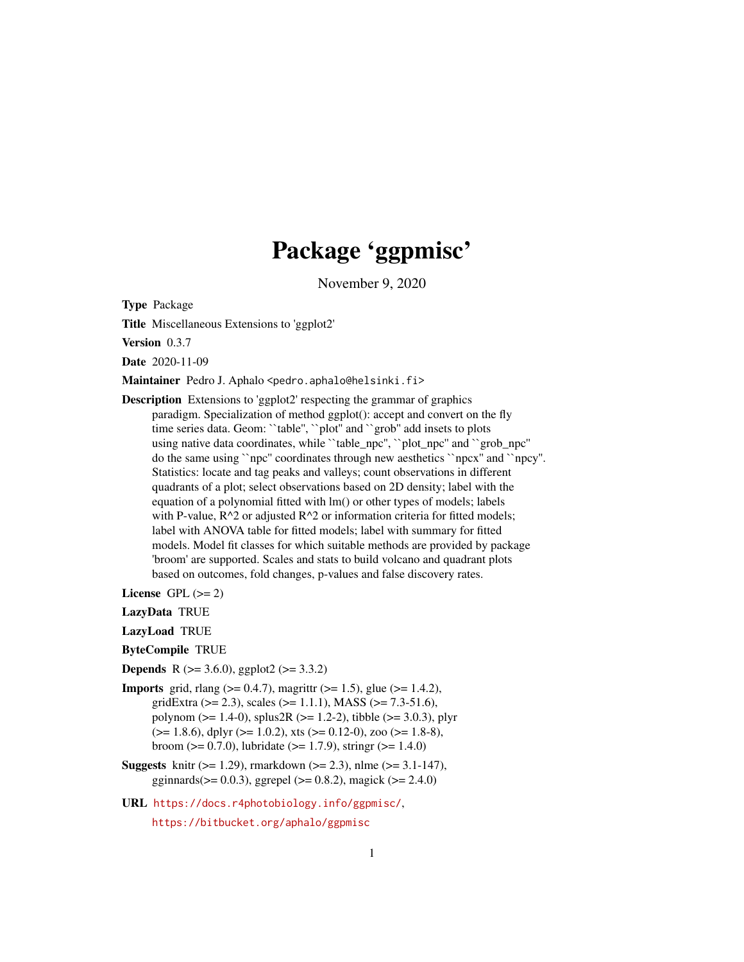# Package 'ggpmisc'

November 9, 2020

<span id="page-0-0"></span>Type Package

Title Miscellaneous Extensions to 'ggplot2'

Version 0.3.7

Date 2020-11-09

Maintainer Pedro J. Aphalo <pedro.aphalo@helsinki.fi>

Description Extensions to 'ggplot2' respecting the grammar of graphics paradigm. Specialization of method ggplot(): accept and convert on the fly time series data. Geom: ``table'', ``plot'' and ``grob'' add insets to plots using native data coordinates, while ``table\_npc'', ``plot\_npc'' and ``grob\_npc'' do the same using ``npc'' coordinates through new aesthetics ``npcx'' and ``npcy''. Statistics: locate and tag peaks and valleys; count observations in different quadrants of a plot; select observations based on 2D density; label with the equation of a polynomial fitted with lm() or other types of models; labels with P-value,  $R^2$  or adjusted  $R^2$  or information criteria for fitted models; label with ANOVA table for fitted models; label with summary for fitted models. Model fit classes for which suitable methods are provided by package 'broom' are supported. Scales and stats to build volcano and quadrant plots based on outcomes, fold changes, p-values and false discovery rates.

License GPL  $(>= 2)$ 

LazyData TRUE

LazyLoad TRUE

ByteCompile TRUE

**Depends** R ( $>= 3.6.0$ ), ggplot2 ( $>= 3.3.2$ )

- **Imports** grid, rlang ( $> = 0.4.7$ ), magrittr ( $> = 1.5$ ), glue ( $> = 1.4.2$ ), gridExtra (>= 2.3), scales (>= 1.1.1), MASS (>= 7.3-51.6), polynom ( $>= 1.4-0$ ), splus2R ( $>= 1.2-2$ ), tibble ( $>= 3.0.3$ ), plyr  $(>= 1.8.6)$ , dplyr  $(>= 1.0.2)$ , xts  $(>= 0.12-0)$ , zoo  $(>= 1.8-8)$ , broom ( $> = 0.7.0$ ), lubridate ( $> = 1.7.9$ ), stringr ( $> = 1.4.0$ )
- **Suggests** knitr ( $>= 1.29$ ), rmarkdown ( $>= 2.3$ ), nlme ( $>= 3.1-147$ ), gginnards( $>= 0.0.3$ ), ggrepel ( $>= 0.8.2$ ), magick ( $>= 2.4.0$ )
- URL <https://docs.r4photobiology.info/ggpmisc/>, <https://bitbucket.org/aphalo/ggpmisc>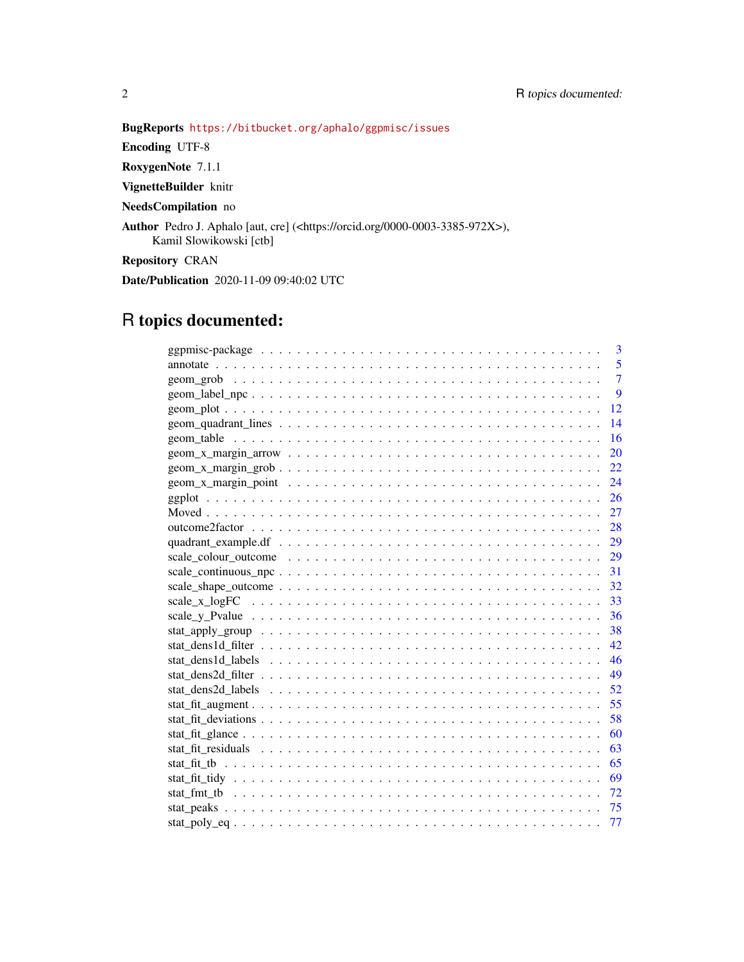# BugReports <https://bitbucket.org/aphalo/ggpmisc/issues>

Encoding UTF-8

RoxygenNote 7.1.1

VignetteBuilder knitr

NeedsCompilation no

Author Pedro J. Aphalo [aut, cre] (<https://orcid.org/0000-0003-3385-972X>), Kamil Slowikowski [ctb]

Repository CRAN

Date/Publication 2020-11-09 09:40:02 UTC

# R topics documented:

| 3                                                                                                                      |
|------------------------------------------------------------------------------------------------------------------------|
| 5                                                                                                                      |
| $\overline{7}$                                                                                                         |
| 9                                                                                                                      |
| 12                                                                                                                     |
| $geom\_quadrant\_lines \ldots \ldots \ldots \ldots \ldots \ldots \ldots \ldots \ldots \ldots \ldots \ldots$<br>14      |
| 16                                                                                                                     |
| 20                                                                                                                     |
|                                                                                                                        |
| 24                                                                                                                     |
|                                                                                                                        |
|                                                                                                                        |
|                                                                                                                        |
| 29                                                                                                                     |
| 29                                                                                                                     |
| -31                                                                                                                    |
| 32                                                                                                                     |
| $scale_x_logFC \dots \dots \dots \dots \dots \dots \dots \dots \dots \dots \dots \dots \dots \dots \dots \dots$<br>-33 |
|                                                                                                                        |
| $stat\_apply\_group \dots \dots \dots \dots \dots \dots \dots \dots \dots \dots \dots \dots \dots \dots \dots$<br>-38  |
| 42                                                                                                                     |
| 46                                                                                                                     |
| 49                                                                                                                     |
| 52                                                                                                                     |
|                                                                                                                        |
|                                                                                                                        |
| 60                                                                                                                     |
| 63                                                                                                                     |
| 65                                                                                                                     |
| 69                                                                                                                     |
| - 72                                                                                                                   |
|                                                                                                                        |
| 77                                                                                                                     |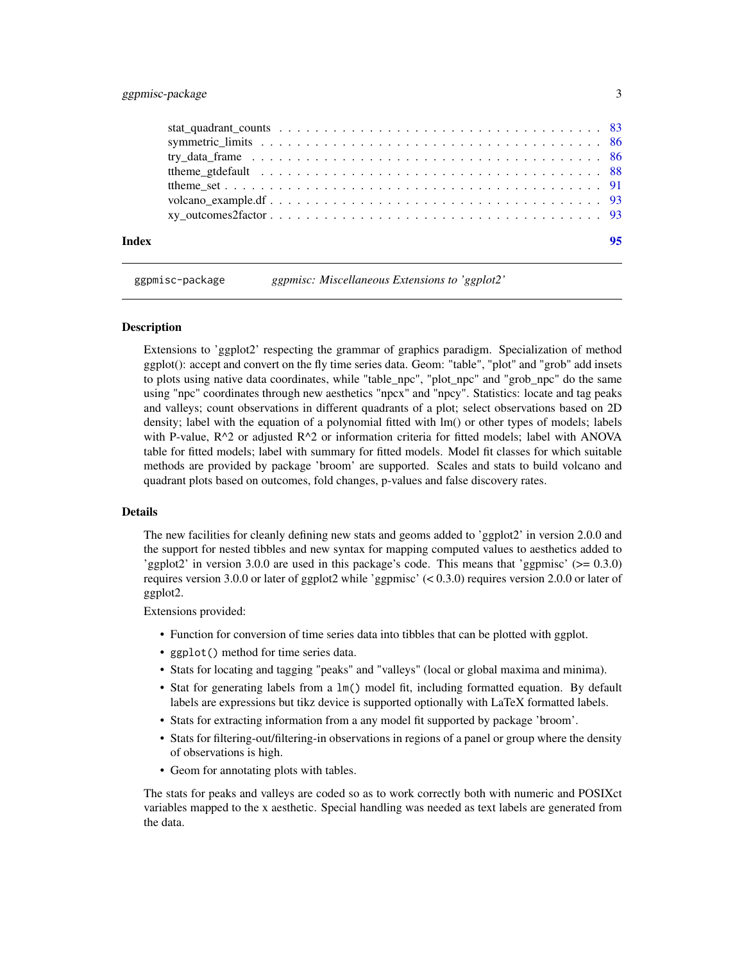# <span id="page-2-0"></span>ggpmisc-package 3

| Index |                                                                                                            |  |
|-------|------------------------------------------------------------------------------------------------------------|--|
|       | xy outcomes 2 factor $\ldots \ldots \ldots \ldots \ldots \ldots \ldots \ldots \ldots \ldots \ldots \ldots$ |  |
|       |                                                                                                            |  |
|       |                                                                                                            |  |
|       |                                                                                                            |  |
|       |                                                                                                            |  |
|       |                                                                                                            |  |
|       |                                                                                                            |  |

ggpmisc-package *ggpmisc: Miscellaneous Extensions to 'ggplot2'*

# Description

Extensions to 'ggplot2' respecting the grammar of graphics paradigm. Specialization of method ggplot(): accept and convert on the fly time series data. Geom: "table", "plot" and "grob" add insets to plots using native data coordinates, while "table\_npc", "plot\_npc" and "grob\_npc" do the same using "npc" coordinates through new aesthetics "npcx" and "npcy". Statistics: locate and tag peaks and valleys; count observations in different quadrants of a plot; select observations based on 2D density; label with the equation of a polynomial fitted with lm() or other types of models; labels with P-value, R<sup>^2</sup> or adjusted R<sup>^2</sup> or information criteria for fitted models; label with ANOVA table for fitted models; label with summary for fitted models. Model fit classes for which suitable methods are provided by package 'broom' are supported. Scales and stats to build volcano and quadrant plots based on outcomes, fold changes, p-values and false discovery rates.

#### Details

The new facilities for cleanly defining new stats and geoms added to 'ggplot2' in version 2.0.0 and the support for nested tibbles and new syntax for mapping computed values to aesthetics added to 'ggplot2' in version 3.0.0 are used in this package's code. This means that 'ggpmisc' ( $> = 0.3.0$ ) requires version 3.0.0 or later of ggplot2 while 'ggpmisc' (< 0.3.0) requires version 2.0.0 or later of ggplot2.

Extensions provided:

- Function for conversion of time series data into tibbles that can be plotted with ggplot.
- ggplot() method for time series data.
- Stats for locating and tagging "peaks" and "valleys" (local or global maxima and minima).
- Stat for generating labels from a lm() model fit, including formatted equation. By default labels are expressions but tikz device is supported optionally with LaTeX formatted labels.
- Stats for extracting information from a any model fit supported by package 'broom'.
- Stats for filtering-out/filtering-in observations in regions of a panel or group where the density of observations is high.
- Geom for annotating plots with tables.

The stats for peaks and valleys are coded so as to work correctly both with numeric and POSIXct variables mapped to the x aesthetic. Special handling was needed as text labels are generated from the data.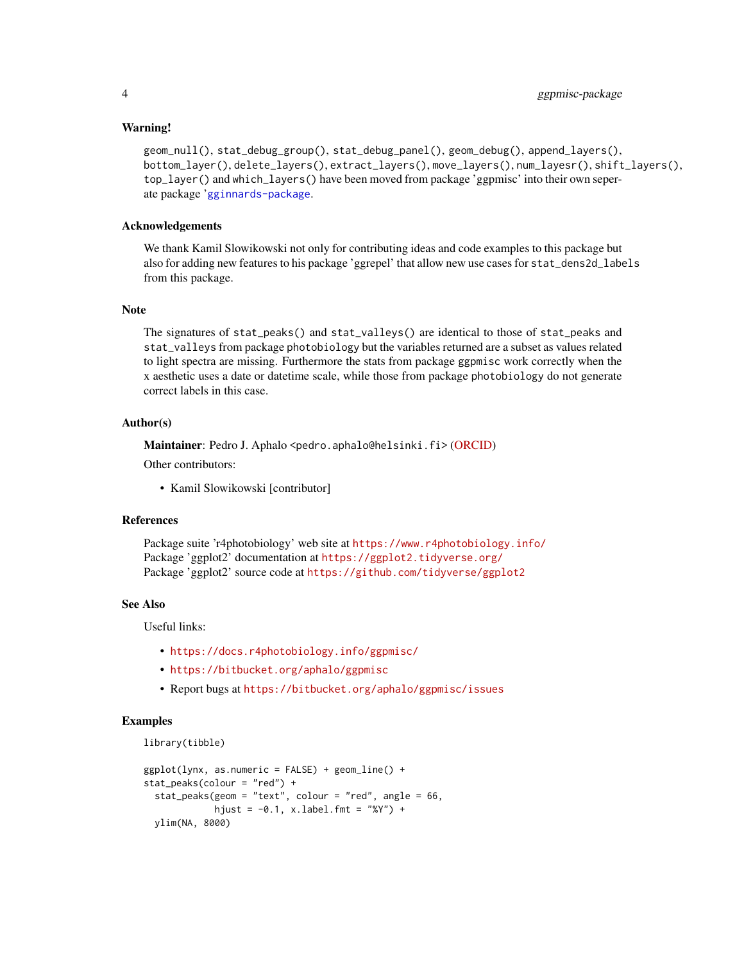# Warning!

```
geom_null(), stat_debug_group(), stat_debug_panel(), geom_debug(), append_layers(),
bottom_layer(), delete_layers(), extract_layers(), move_layers(), num_layesr(), shift_layers(),
top_layer() and which_layers() have been moved from package 'ggpmisc' into their own seper-
ate package 'gginnards-package.
```
# Acknowledgements

We thank Kamil Slowikowski not only for contributing ideas and code examples to this package but also for adding new features to his package 'ggrepel' that allow new use cases for stat\_dens2d\_labels from this package.

#### **Note**

The signatures of stat\_peaks() and stat\_valleys() are identical to those of stat\_peaks and stat\_valleys from package photobiology but the variables returned are a subset as values related to light spectra are missing. Furthermore the stats from package ggpmisc work correctly when the x aesthetic uses a date or datetime scale, while those from package photobiology do not generate correct labels in this case.

# Author(s)

Maintainer: Pedro J. Aphalo <pedro.aphalo@helsinki.fi> [\(ORCID\)](https://orcid.org/0000-0003-3385-972X)

Other contributors:

• Kamil Slowikowski [contributor]

# References

Package suite 'r4photobiology' web site at <https://www.r4photobiology.info/> Package 'ggplot2' documentation at <https://ggplot2.tidyverse.org/> Package 'ggplot2' source code at <https://github.com/tidyverse/ggplot2>

#### See Also

Useful links:

- <https://docs.r4photobiology.info/ggpmisc/>
- <https://bitbucket.org/aphalo/ggpmisc>
- Report bugs at <https://bitbucket.org/aphalo/ggpmisc/issues>

## Examples

```
library(tibble)
```

```
ggplot(lynx, as.numeric = FALSE) + geom\_line() +stat_peaks(colour = "red") +
 stat_peaks(geom = "text", colour = "red", angle = 66,
            hjust = -0.1, x.label.fmt = "%Y") +
 ylim(NA, 8000)
```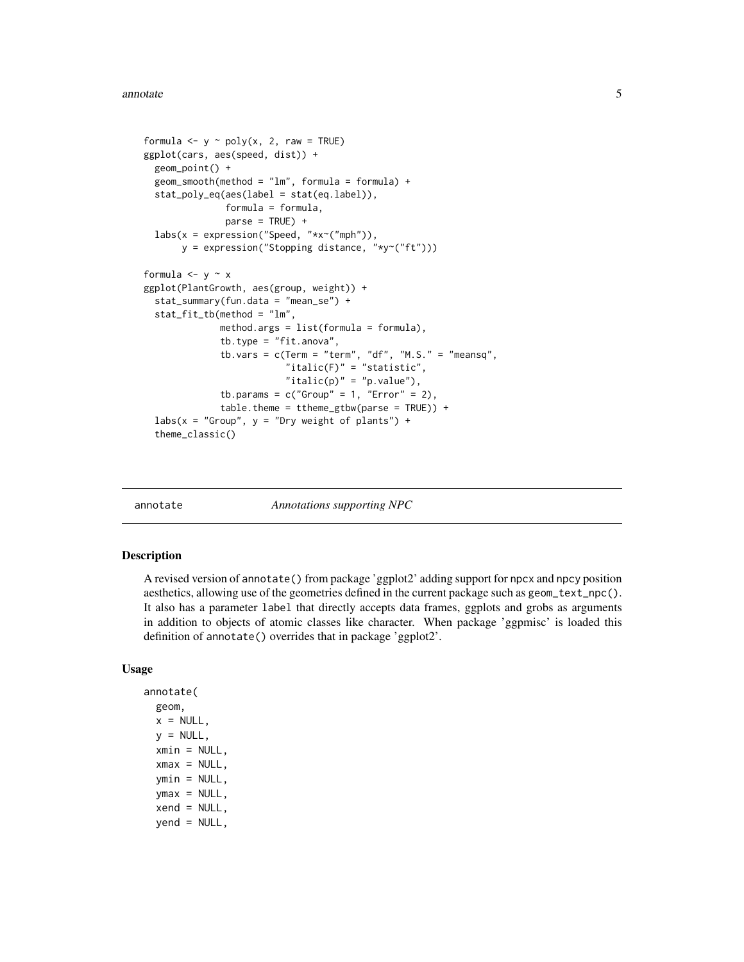```
formula \leq -y \sim \text{poly}(x, 2, \text{ raw} = \text{TRUE})ggplot(cars, aes(speed, dist)) +
 geom_point() +
 geom\_smooth(method = "lm", formula = formula) +stat_poly_eq(aes(label = stat(eq.label)),
               formula = formula,
               parse = TRUE) +
 \text{labs}(x = \text{expression("Speed, "*x~("mph"))},y = expression("Stopping distance, "*y~("ft")))
formula \leftarrow y \sim x
ggplot(PlantGrowth, aes(group, weight)) +
 stat_summary(fun.data = "mean_se") +
 stat_fit_tb(method = "lm",
              method.args = list(formula = formula),
               tb.type = "fit.anova",
               tb.vars = c(Term = "term", "df", "M.S." = "meansq","italic(F)" = "statistic",
                            "italic(p)" = "p.value"),tb.params = c("Group" = 1, "Error" = 2),
               table.theme = ttheme_gtbw(parse = TRUE) +
 labs(x = "Group", y = "Dry weight of plants") +theme_classic()
```
annotate *Annotations supporting NPC*

### Description

A revised version of annotate() from package 'ggplot2' adding support for npcx and npcy position aesthetics, allowing use of the geometries defined in the current package such as geom\_text\_npc(). It also has a parameter label that directly accepts data frames, ggplots and grobs as arguments in addition to objects of atomic classes like character. When package 'ggpmisc' is loaded this definition of annotate() overrides that in package 'ggplot2'.

# Usage

annotate( geom,  $x = NULL,$  $y = NULL,$  $xmin = NULL$ ,  $x$ ma $x = NULL$ ,  $ymin = NULL$ ,  $y$ max = NULL,  $xend = NULL,$ yend = NULL,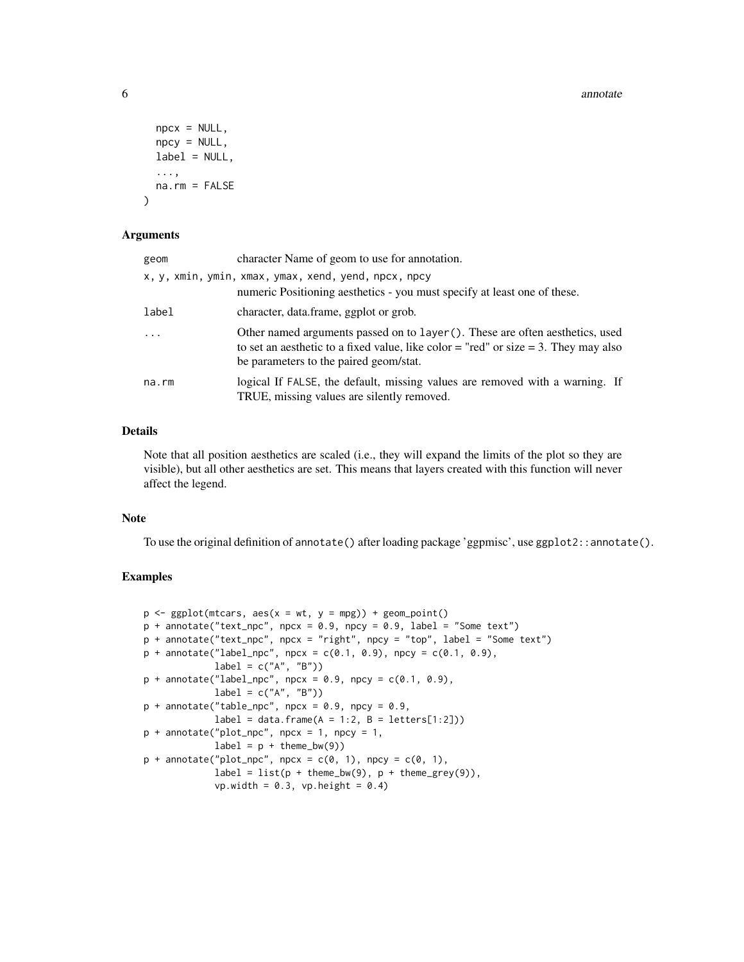```
npcx = NULL,npcy = NULL,
 label = NULL,
  ...,
 na.rm = FALSE
)
```
# **Arguments**

| geom    | character Name of geom to use for annotation.                                                                                                                                                                  |
|---------|----------------------------------------------------------------------------------------------------------------------------------------------------------------------------------------------------------------|
|         | x, y, xmin, ymin, xmax, ymax, xend, yend, npcx, npcy<br>numeric Positioning aesthetics - you must specify at least one of these.                                                                               |
| label   | character, data.frame, ggplot or grob.                                                                                                                                                                         |
| $\cdot$ | Other named arguments passed on to layer (). These are often aesthetics, used<br>to set an aesthetic to a fixed value, like color = "red" or size = 3. They may also<br>be parameters to the paired geom/stat. |
| na.rm   | logical If FALSE, the default, missing values are removed with a warning. If<br>TRUE, missing values are silently removed.                                                                                     |

# Details

Note that all position aesthetics are scaled (i.e., they will expand the limits of the plot so they are visible), but all other aesthetics are set. This means that layers created with this function will never affect the legend.

#### Note

To use the original definition of annotate() after loading package 'ggpmisc', use ggplot2::annotate().

# Examples

```
p \leftarrow ggplot(mtcars, aes(x = wt, y = mpg)) + geom\_point()p + annotate("text_npc", npcx = 0.9, npcy = 0.9, label = "Some text")
p + annotate("text_npc", npcx = "right", npcy = "top", label = "Some text")
p + annotate("label_npc", npcx = c(0.1, 0.9), npcy = c(0.1, 0.9),
             label = c("A", "B")p + annotate("label_npc", npcx = 0.9, npcy = c(0.1, 0.9),
             label = c("A", "B")p + annotate("table_npc", npcx = 0.9, npcy = 0.9,
             label = data frame(A = 1:2, B = letters[1:2]))p + annotate("plot_npc", npcx = 1, npcy = 1,
             label = p + the me_bw(9)p + annotate("plot_npc", npcx = c(0, 1), npcy = c(0, 1),
             label = list(p + theme_bw(9), p + theme\_grey(9)),vp.width = 0.3, vp.height = 0.4)
```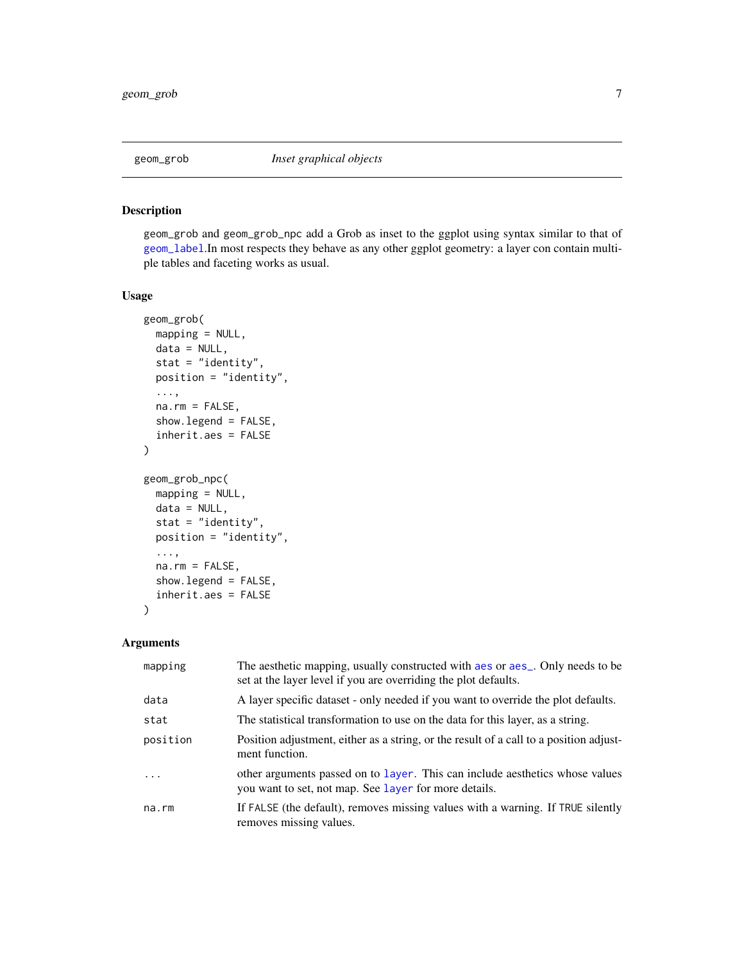<span id="page-6-1"></span><span id="page-6-0"></span>

# Description

geom\_grob and geom\_grob\_npc add a Grob as inset to the ggplot using syntax similar to that of [geom\\_label](#page-0-0).In most respects they behave as any other ggplot geometry: a layer con contain multiple tables and faceting works as usual.

# Usage

```
geom_grob(
 mapping = NULL,
 data = NULL,stat = "identity",
 position = "identity",
  ...,
 na.rm = FALSE,show.legend = FALSE,
  inherit.aes = FALSE
)
geom_grob_npc(
 mapping = NULL,
 data = NULL,stat = "identity",
 position = "identity",
  ...,
 na.rm = FALSE,show.legend = FALSE,
  inherit.aes = FALSE
\mathcal{L}
```
# Arguments

| mapping    | The aesthetic mapping, usually constructed with aes or aes <sub>-</sub> . Only needs to be<br>set at the layer level if you are overriding the plot defaults. |
|------------|---------------------------------------------------------------------------------------------------------------------------------------------------------------|
| data       | A layer specific dataset - only needed if you want to override the plot defaults.                                                                             |
| stat       | The statistical transformation to use on the data for this layer, as a string.                                                                                |
| position   | Position adjustment, either as a string, or the result of a call to a position adjust-<br>ment function.                                                      |
| $\ddots$ . | other arguments passed on to layer. This can include aesthetics whose values<br>you want to set, not map. See layer for more details.                         |
| na.rm      | If FALSE (the default), removes missing values with a warning. If TRUE silently<br>removes missing values.                                                    |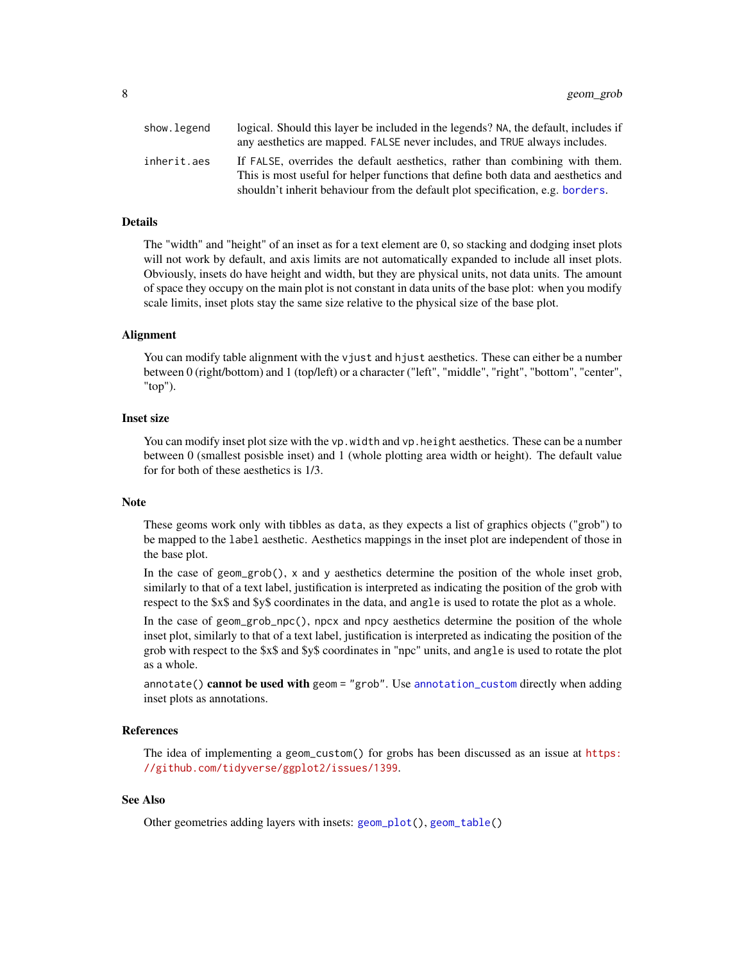| show.legend | logical. Should this layer be included in the legends? NA, the default, includes if |
|-------------|-------------------------------------------------------------------------------------|
|             | any aesthetics are mapped. FALSE never includes, and TRUE always includes.          |
| inherit.aes | If FALSE, overrides the default aesthetics, rather than combining with them.        |
|             | This is most useful for helper functions that define both data and aesthetics and   |
|             | shouldn't inherit behaviour from the default plot specification, e.g. borders.      |

# Details

The "width" and "height" of an inset as for a text element are 0, so stacking and dodging inset plots will not work by default, and axis limits are not automatically expanded to include all inset plots. Obviously, insets do have height and width, but they are physical units, not data units. The amount of space they occupy on the main plot is not constant in data units of the base plot: when you modify scale limits, inset plots stay the same size relative to the physical size of the base plot.

#### Alignment

You can modify table alignment with the vjust and hjust aesthetics. These can either be a number between 0 (right/bottom) and 1 (top/left) or a character ("left", "middle", "right", "bottom", "center", "top").

# Inset size

You can modify inset plot size with the vp. width and vp. height aesthetics. These can be a number between 0 (smallest posisble inset) and 1 (whole plotting area width or height). The default value for for both of these aesthetics is 1/3.

#### Note

These geoms work only with tibbles as data, as they expects a list of graphics objects ("grob") to be mapped to the label aesthetic. Aesthetics mappings in the inset plot are independent of those in the base plot.

In the case of geom\_grob(), x and y aesthetics determine the position of the whole inset grob, similarly to that of a text label, justification is interpreted as indicating the position of the grob with respect to the \$x\$ and \$y\$ coordinates in the data, and angle is used to rotate the plot as a whole.

In the case of geom\_grob\_npc(), npcx and npcy aesthetics determine the position of the whole inset plot, similarly to that of a text label, justification is interpreted as indicating the position of the grob with respect to the \$x\$ and \$y\$ coordinates in "npc" units, and angle is used to rotate the plot as a whole.

annotate() cannot be used with geom = "grob". Use [annotation\\_custom](#page-0-0) directly when adding inset plots as annotations.

# References

The idea of implementing a geom\_custom() for grobs has been discussed as an issue at [https:](https://github.com/tidyverse/ggplot2/issues/1399) [//github.com/tidyverse/ggplot2/issues/1399](https://github.com/tidyverse/ggplot2/issues/1399).

# See Also

Other geometries adding layers with insets: [geom\\_plot\(](#page-11-1)), [geom\\_table\(](#page-15-1))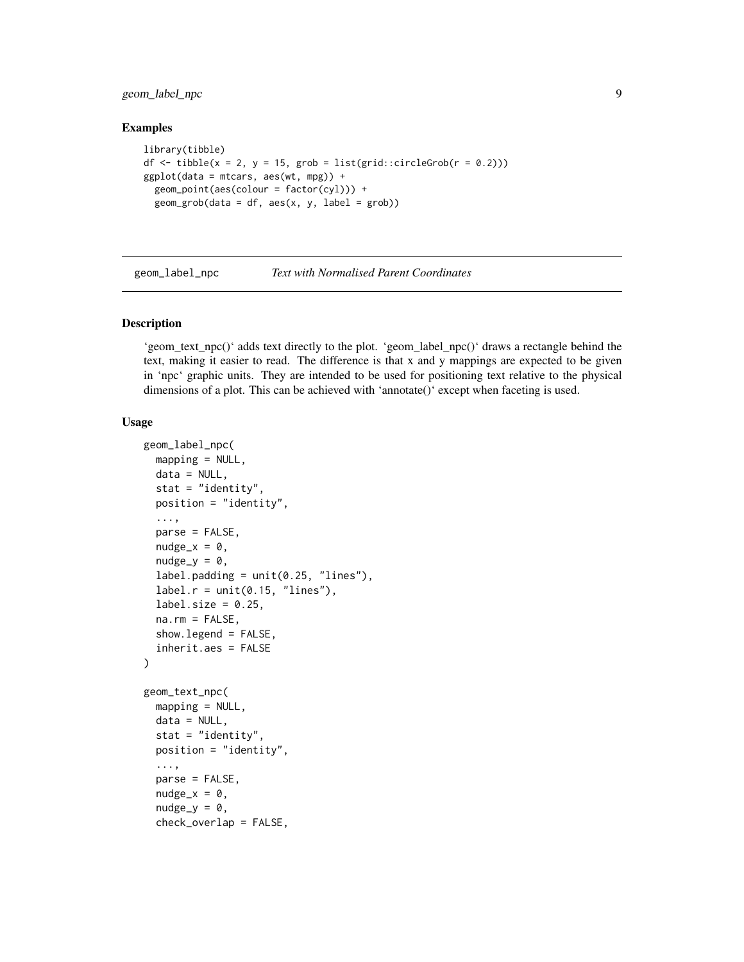<span id="page-8-0"></span>geom\_label\_npc 9

## Examples

```
library(tibble)
df \le tibble(x = 2, y = 15, grob = list(grid::circleGrob(r = 0.2)))
ggplot(data = mtcars, aes(wt, mpg)) +geom_point(aes(colour = factor(cyl))) +
  geom\_grob(data = df, aes(x, y, label = grob))
```
geom\_label\_npc *Text with Normalised Parent Coordinates*

#### Description

'geom\_text\_npc()' adds text directly to the plot. 'geom\_label\_npc()' draws a rectangle behind the text, making it easier to read. The difference is that x and y mappings are expected to be given in 'npc' graphic units. They are intended to be used for positioning text relative to the physical dimensions of a plot. This can be achieved with 'annotate()' except when faceting is used.

# Usage

```
geom_label_npc(
  mapping = NULL,
  data = NULL,stat = "identity",
  position = "identity",
  ...,
  parse = FALSE,
  nudge_x = 0,
  nudge_y = 0,
  label.padding = unit(0.25, 'lines'),label.r = unit(0.15, 'lines'),label.size = 0.25,
  na.rm = FALSE,show.legend = FALSE,
  inherit.aes = FALSE
)
geom_text_npc(
  mapping = NULL,
  data = NULL,stat = "identity",
  position = "identity",
  ...,
  parse = FALSE,
  nudge_x = 0,
  nudge_y = 0,
  check_overlap = FALSE,
```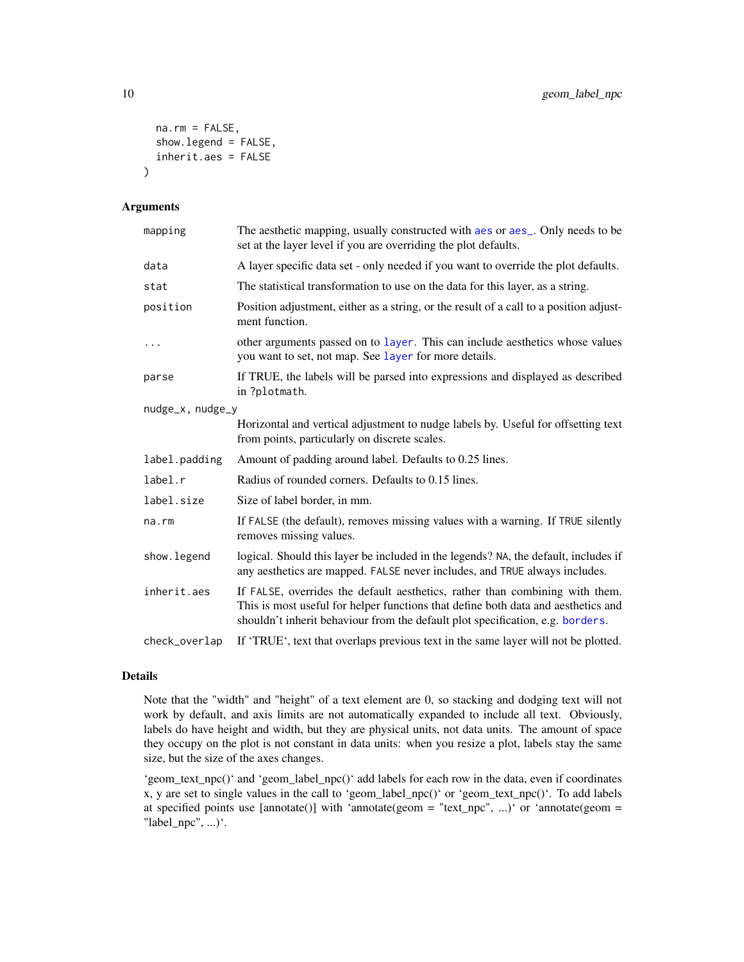```
na.rm = FALSE,show.legend = FALSE,
  inherit.aes = FALSE
\lambda
```
# Arguments

| mapping          | The aesthetic mapping, usually constructed with aes or aes_. Only needs to be<br>set at the layer level if you are overriding the plot defaults.                                                                                                    |
|------------------|-----------------------------------------------------------------------------------------------------------------------------------------------------------------------------------------------------------------------------------------------------|
| data             | A layer specific data set - only needed if you want to override the plot defaults.                                                                                                                                                                  |
| stat             | The statistical transformation to use on the data for this layer, as a string.                                                                                                                                                                      |
| position         | Position adjustment, either as a string, or the result of a call to a position adjust-<br>ment function.                                                                                                                                            |
|                  | other arguments passed on to layer. This can include aesthetics whose values<br>you want to set, not map. See layer for more details.                                                                                                               |
| parse            | If TRUE, the labels will be parsed into expressions and displayed as described<br>in ?plotmath.                                                                                                                                                     |
| nudge_x, nudge_y |                                                                                                                                                                                                                                                     |
|                  | Horizontal and vertical adjustment to nudge labels by. Useful for offsetting text<br>from points, particularly on discrete scales.                                                                                                                  |
| label.padding    | Amount of padding around label. Defaults to 0.25 lines.                                                                                                                                                                                             |
| label.r          | Radius of rounded corners. Defaults to 0.15 lines.                                                                                                                                                                                                  |
| label.size       | Size of label border, in mm.                                                                                                                                                                                                                        |
| na.rm            | If FALSE (the default), removes missing values with a warning. If TRUE silently<br>removes missing values.                                                                                                                                          |
| show. legend     | logical. Should this layer be included in the legends? NA, the default, includes if<br>any aesthetics are mapped. FALSE never includes, and TRUE always includes.                                                                                   |
| inherit.aes      | If FALSE, overrides the default aesthetics, rather than combining with them.<br>This is most useful for helper functions that define both data and aesthetics and<br>shouldn't inherit behaviour from the default plot specification, e.g. borders. |
| check_overlap    | If 'TRUE', text that overlaps previous text in the same layer will not be plotted.                                                                                                                                                                  |

# Details

Note that the "width" and "height" of a text element are 0, so stacking and dodging text will not work by default, and axis limits are not automatically expanded to include all text. Obviously, labels do have height and width, but they are physical units, not data units. The amount of space they occupy on the plot is not constant in data units: when you resize a plot, labels stay the same size, but the size of the axes changes.

'geom\_text\_npc()' and 'geom\_label\_npc()' add labels for each row in the data, even if coordinates x, y are set to single values in the call to 'geom\_label\_npc()' or 'geom\_text\_npc()'. To add labels at specified points use [annotate()] with 'annotate(geom = "text\_npc", ...)' or 'annotate(geom = " $label\_npc$ ", ... $)^{\prime}$ .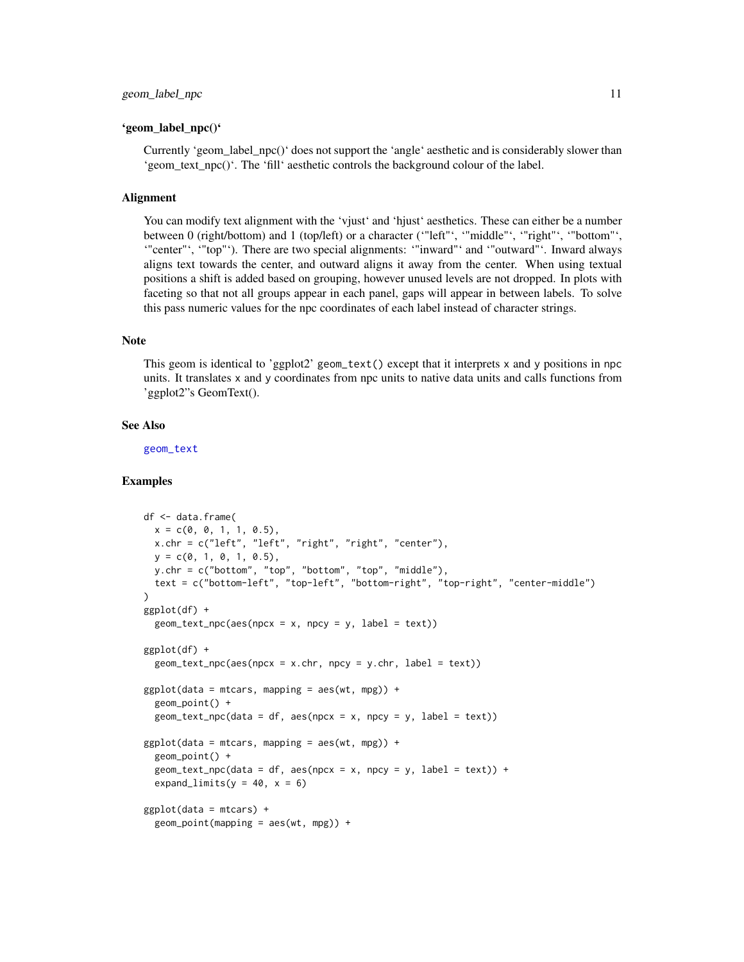#### 'geom\_label\_npc()'

Currently 'geom\_label\_npc()' does not support the 'angle' aesthetic and is considerably slower than 'geom\_text\_npc()'. The 'fill' aesthetic controls the background colour of the label.

#### Alignment

You can modify text alignment with the 'vjust' and 'hjust' aesthetics. These can either be a number between 0 (right/bottom) and 1 (top/left) or a character ('"left"', '"middle"', '"right"', '"bottom"', '"center"', '"top"'). There are two special alignments: '"inward"' and '"outward"'. Inward always aligns text towards the center, and outward aligns it away from the center. When using textual positions a shift is added based on grouping, however unused levels are not dropped. In plots with faceting so that not all groups appear in each panel, gaps will appear in between labels. To solve this pass numeric values for the npc coordinates of each label instead of character strings.

# Note

This geom is identical to 'ggplot2' geom\_text() except that it interprets x and y positions in npc units. It translates x and y coordinates from npc units to native data units and calls functions from 'ggplot2"s GeomText().

#### See Also

[geom\\_text](#page-0-0)

# Examples

```
df <- data.frame(
  x = c(0, 0, 1, 1, 0.5),
  x.chr = c("left", "left", "right", "right", "center"),
  y = c(0, 1, 0, 1, 0.5),
  y.chr = c("bottom", "top", "bottom", "top", "middle"),
  text = c("bottom-left", "top-left", "bottom-right", "top-right", "center-middle")
)
ggplot(df) +
  geom\_text\_npc(aes(npcx = x, npcy = y, label = text))ggplot(df) +
  geom\_text\_npc(aes(npcx = x.chr, npcy = y.chr, label = text))ggplot(data = mtcars, mapping = aes(wt, mpg)) +geom_point() +
  geom\_text\_npc(data = df, aes(npcx = x, npcy = y, label = text))ggplot(data = mtcars, mapping = aes(wt, mpg)) +geom_point() +
  geom\_text\_npc(data = df, aes(npcx = x, npcy = y, label = text)) +expand_limits(y = 40, x = 6)
ggplot(data = mtcars) +geom\_point(mapping = aes(wt, mpg)) +
```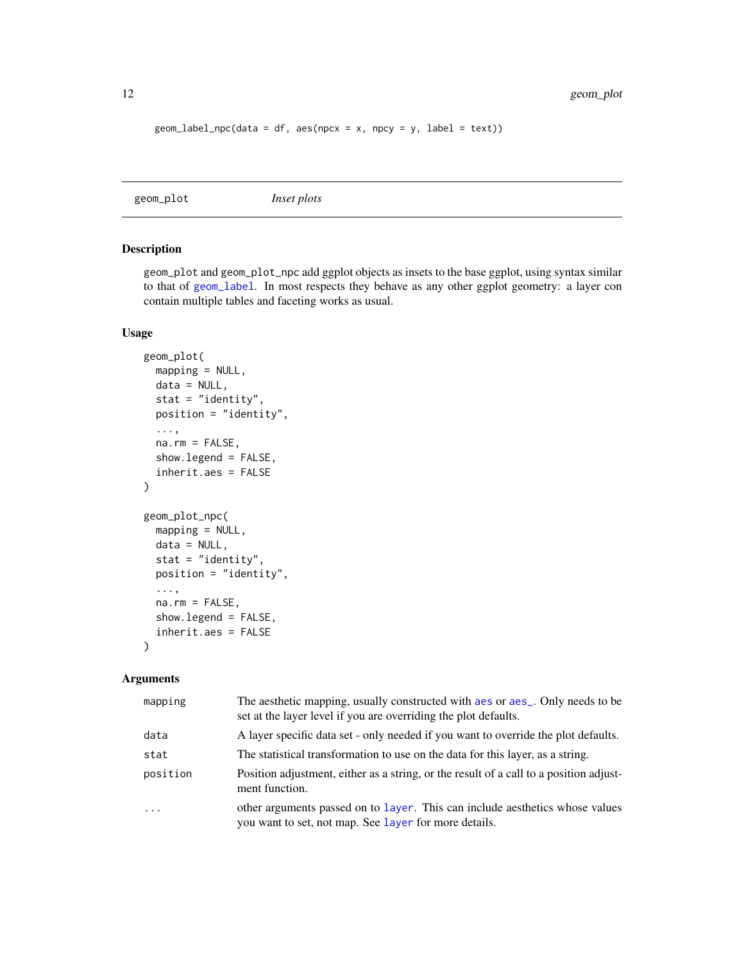```
geom\_label\_npc(data = df, aes(npcx = x, npcy = y, label = text))
```
<span id="page-11-1"></span>geom\_plot *Inset plots*

# Description

geom\_plot and geom\_plot\_npc add ggplot objects as insets to the base ggplot, using syntax similar to that of [geom\\_label](#page-0-0). In most respects they behave as any other ggplot geometry: a layer con contain multiple tables and faceting works as usual.

# Usage

```
geom_plot(
 mapping = NULL,
 data = NULL,
 stat = "identity",
 position = "identity",
  ...,
 na.rm = FALSE,
  show.legend = FALSE,
  inherit.aes = FALSE
)
geom_plot_npc(
 mapping = NULL,
 data = NULL,stat = "identity",
 position = "identity",
  ...,
  na.rm = FALSE,show.legend = FALSE,
  inherit.aes = FALSE
)
```
# Arguments

| mapping  | The aesthetic mapping, usually constructed with a es or a es. Only needs to be<br>set at the layer level if you are overriding the plot defaults. |
|----------|---------------------------------------------------------------------------------------------------------------------------------------------------|
| data     | A layer specific data set - only needed if you want to override the plot defaults.                                                                |
| stat     | The statistical transformation to use on the data for this layer, as a string.                                                                    |
| position | Position adjustment, either as a string, or the result of a call to a position adjust-<br>ment function.                                          |
| $\cdot$  | other arguments passed on to layer. This can include aesthetics whose values<br>you want to set, not map. See layer for more details.             |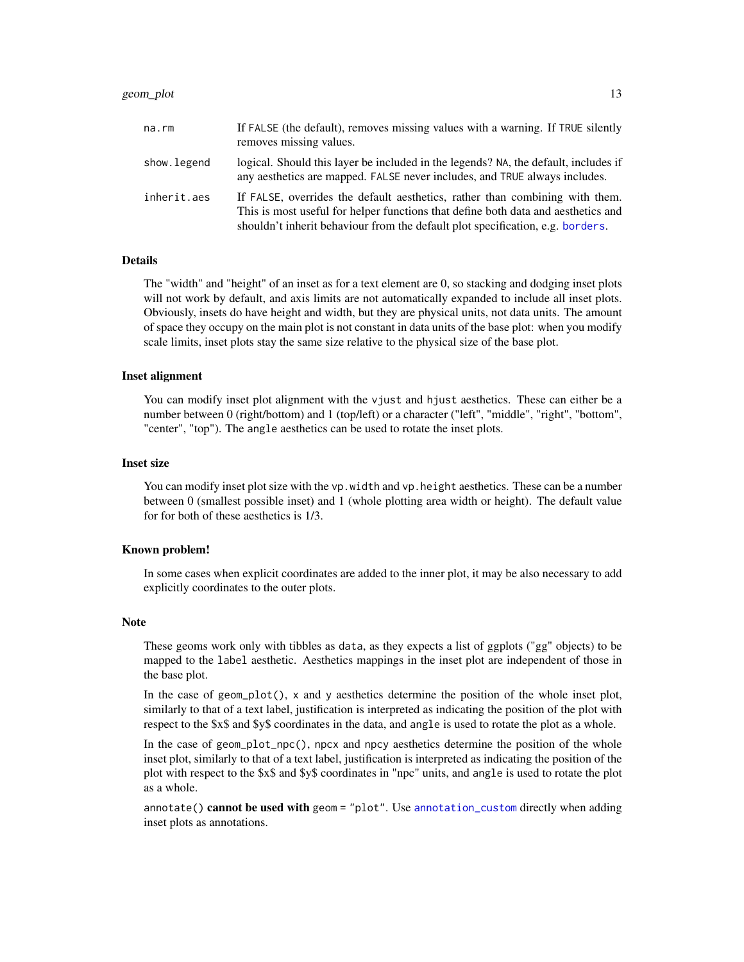# geom\_plot 13

| na.rm       | If FALSE (the default), removes missing values with a warning. If TRUE silently<br>removes missing values.                                                                                                                                          |
|-------------|-----------------------------------------------------------------------------------------------------------------------------------------------------------------------------------------------------------------------------------------------------|
| show.legend | logical. Should this layer be included in the legends? NA, the default, includes if<br>any aesthetics are mapped. FALSE never includes, and TRUE always includes.                                                                                   |
| inherit.aes | If FALSE, overrides the default aesthetics, rather than combining with them.<br>This is most useful for helper functions that define both data and aesthetics and<br>shouldn't inherit behaviour from the default plot specification, e.g. borders. |

# Details

The "width" and "height" of an inset as for a text element are 0, so stacking and dodging inset plots will not work by default, and axis limits are not automatically expanded to include all inset plots. Obviously, insets do have height and width, but they are physical units, not data units. The amount of space they occupy on the main plot is not constant in data units of the base plot: when you modify scale limits, inset plots stay the same size relative to the physical size of the base plot.

#### Inset alignment

You can modify inset plot alignment with the vjust and hjust aesthetics. These can either be a number between 0 (right/bottom) and 1 (top/left) or a character ("left", "middle", "right", "bottom", "center", "top"). The angle aesthetics can be used to rotate the inset plots.

# Inset size

You can modify inset plot size with the vp. width and vp. height aesthetics. These can be a number between 0 (smallest possible inset) and 1 (whole plotting area width or height). The default value for for both of these aesthetics is 1/3.

# Known problem!

In some cases when explicit coordinates are added to the inner plot, it may be also necessary to add explicitly coordinates to the outer plots.

#### **Note**

These geoms work only with tibbles as data, as they expects a list of ggplots ("gg" objects) to be mapped to the label aesthetic. Aesthetics mappings in the inset plot are independent of those in the base plot.

In the case of geom\_plot(), x and y aesthetics determine the position of the whole inset plot, similarly to that of a text label, justification is interpreted as indicating the position of the plot with respect to the \$x\$ and \$y\$ coordinates in the data, and angle is used to rotate the plot as a whole.

In the case of geom\_plot\_npc(), npcx and npcy aesthetics determine the position of the whole inset plot, similarly to that of a text label, justification is interpreted as indicating the position of the plot with respect to the \$x\$ and \$y\$ coordinates in "npc" units, and angle is used to rotate the plot as a whole.

annotate() cannot be used with geom = "plot". Use [annotation\\_custom](#page-0-0) directly when adding inset plots as annotations.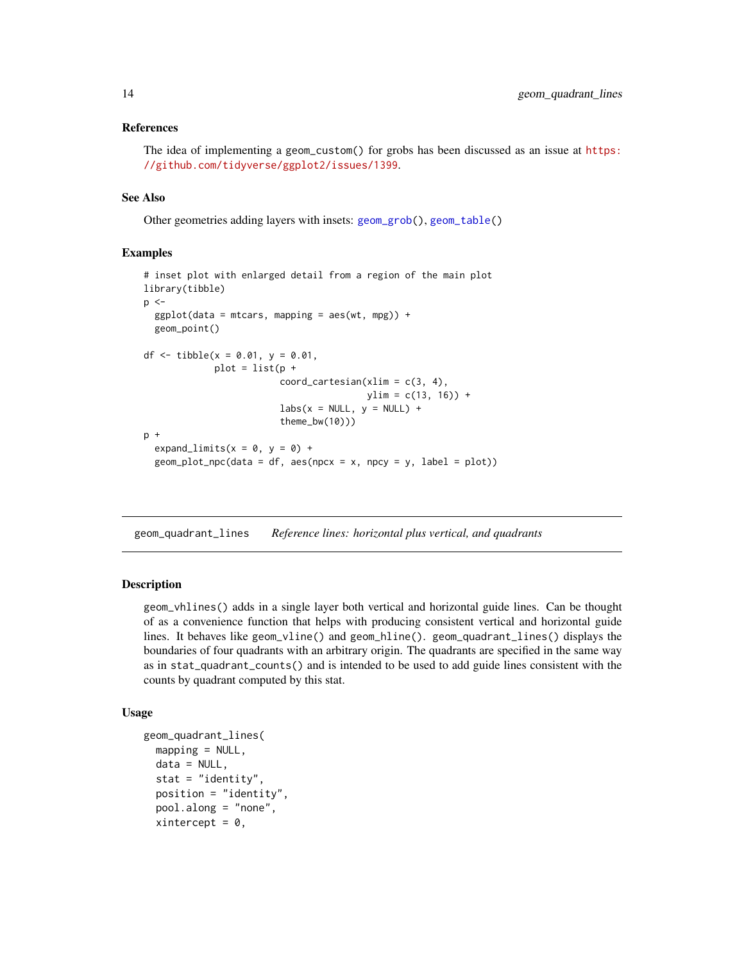# <span id="page-13-0"></span>References

The idea of implementing a geom\_custom() for grobs has been discussed as an issue at [https:](https://github.com/tidyverse/ggplot2/issues/1399) [//github.com/tidyverse/ggplot2/issues/1399](https://github.com/tidyverse/ggplot2/issues/1399).

# See Also

Other geometries adding layers with insets: [geom\\_grob\(](#page-6-1)), [geom\\_table\(](#page-15-1))

#### Examples

```
# inset plot with enlarged detail from a region of the main plot
library(tibble)
p \leq -ggplot(data = mtcars, mapping = aes(wt, mpg)) +geom_point()
df <- tibble(x = 0.01, y = 0.01,
             plot = list(p +coord\_cartesian(xlim = c(3, 4),ylim = c(13, 16) +
                          \text{labs}(x = \text{NULL}, y = \text{NULL}) +theme_bw(10)))
p +
 expand_limits(x = 0, y = 0) +
 geom\_plot\_npc(data = df, aes(npcx = x, npcy = y, label = plot))
```
<span id="page-13-1"></span>geom\_quadrant\_lines *Reference lines: horizontal plus vertical, and quadrants*

# Description

geom\_vhlines() adds in a single layer both vertical and horizontal guide lines. Can be thought of as a convenience function that helps with producing consistent vertical and horizontal guide lines. It behaves like geom\_vline() and geom\_hline(). geom\_quadrant\_lines() displays the boundaries of four quadrants with an arbitrary origin. The quadrants are specified in the same way as in stat\_quadrant\_counts() and is intended to be used to add guide lines consistent with the counts by quadrant computed by this stat.

#### Usage

```
geom_quadrant_lines(
 mapping = NULL,data = NULL,
  stat = "identity",
 position = "identity",
  pool.along = "none",
  xintercept = 0,
```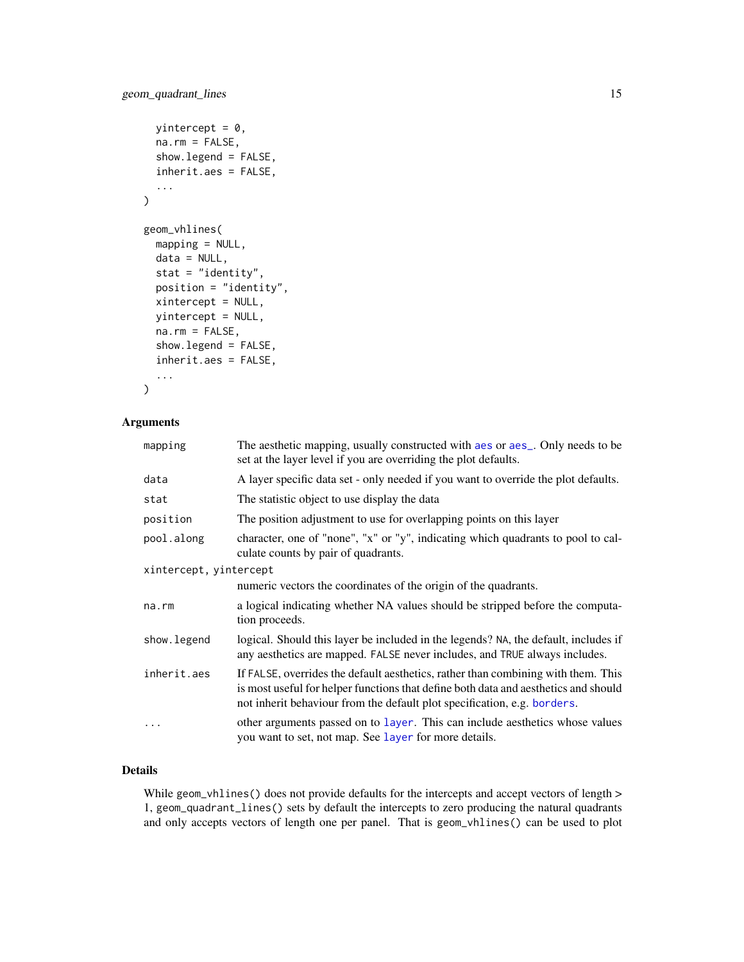```
yintercept = 0,
 na.rm = FALSE,
  show.legend = FALSE,
  inherit.aes = FALSE,
  ...
)
geom_vhlines(
 mapping = NULL,
 data = NULL,stat = "identity",
 position = "identity",
 xintercept = NULL,
 yintercept = NULL,
 na.rm = FALSE,
  show.legend = FALSE,
  inherit.aes = FALSE,
  ...
\mathcal{L}
```
# Arguments

| mapping                | The aesthetic mapping, usually constructed with aes or aes <sub>-</sub> . Only needs to be<br>set at the layer level if you are overriding the plot defaults.                                                                                        |
|------------------------|------------------------------------------------------------------------------------------------------------------------------------------------------------------------------------------------------------------------------------------------------|
| data                   | A layer specific data set - only needed if you want to override the plot defaults.                                                                                                                                                                   |
| stat                   | The statistic object to use display the data                                                                                                                                                                                                         |
| position               | The position adjustment to use for overlapping points on this layer                                                                                                                                                                                  |
| pool.along             | character, one of "none", "x" or "y", indicating which quadrants to pool to cal-<br>culate counts by pair of quadrants.                                                                                                                              |
| xintercept, yintercept |                                                                                                                                                                                                                                                      |
|                        | numeric vectors the coordinates of the origin of the quadrants.                                                                                                                                                                                      |
| na.rm                  | a logical indicating whether NA values should be stripped before the computa-<br>tion proceeds.                                                                                                                                                      |
| show.legend            | logical. Should this layer be included in the legends? NA, the default, includes if<br>any aesthetics are mapped. FALSE never includes, and TRUE always includes.                                                                                    |
| inherit.aes            | If FALSE, overrides the default aesthetics, rather than combining with them. This<br>is most useful for helper functions that define both data and aesthetics and should<br>not inherit behaviour from the default plot specification, e.g. borders. |
|                        | other arguments passed on to layer. This can include aesthetics whose values<br>you want to set, not map. See layer for more details.                                                                                                                |

# Details

While geom\_vhlines() does not provide defaults for the intercepts and accept vectors of length > 1, geom\_quadrant\_lines() sets by default the intercepts to zero producing the natural quadrants and only accepts vectors of length one per panel. That is geom\_vhlines() can be used to plot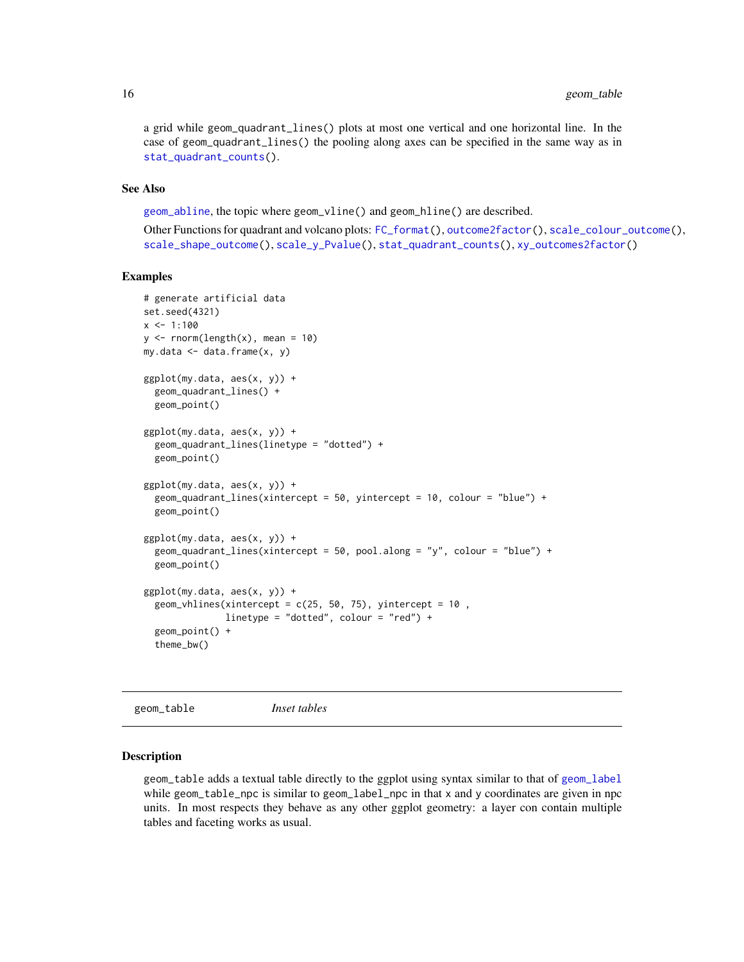a grid while geom\_quadrant\_lines() plots at most one vertical and one horizontal line. In the case of geom\_quadrant\_lines() the pooling along axes can be specified in the same way as in [stat\\_quadrant\\_counts\(](#page-82-1)).

# See Also

[geom\\_abline](#page-0-0), the topic where geom\_vline() and geom\_hline() are described.

Other Functions for quadrant and volcano plots: [FC\\_format\(](#page-0-0)), [outcome2factor\(](#page-27-1)), [scale\\_colour\\_outcome\(](#page-28-1)), [scale\\_shape\\_outcome\(](#page-31-1)), [scale\\_y\\_Pvalue\(](#page-35-1)), [stat\\_quadrant\\_counts\(](#page-82-1)), [xy\\_outcomes2factor\(](#page-92-1))

#### Examples

```
# generate artificial data
set.seed(4321)
x \le -1:100y \le - rnorm(length(x), mean = 10)
my.data \leftarrow data.findmex, y)ggplot(my.data, aes(x, y)) +
 geom_quadrant_lines() +
 geom_point()
ggplot(my.data, aes(x, y)) +geom_quadrant_lines(linetype = "dotted") +
 geom_point()
ggplot(my.data, aes(x, y)) +
 geom_quadrant_lines(xintercept = 50, yintercept = 10, colour = "blue") +
 geom_point()
ggplot(my.data, aes(x, y)) +geom_quadrant_lines(xintercept = 50, pool.along = "y", colour = "blue") +
 geom_point()
ggplot(my.data, aes(x, y)) +
 geom_vhlines(xintercept = c(25, 50, 75), yintercept = 10,
               linetype = "dotted", colour = "red") +
 geom_point() +
 theme_bw()
```
<span id="page-15-1"></span>geom\_table *Inset tables*

#### Description

geom\_table adds a textual table directly to the ggplot using syntax similar to that of [geom\\_label](#page-0-0) while geom\_table\_npc is similar to geom\_label\_npc in that x and y coordinates are given in npc units. In most respects they behave as any other ggplot geometry: a layer con contain multiple tables and faceting works as usual.

<span id="page-15-0"></span>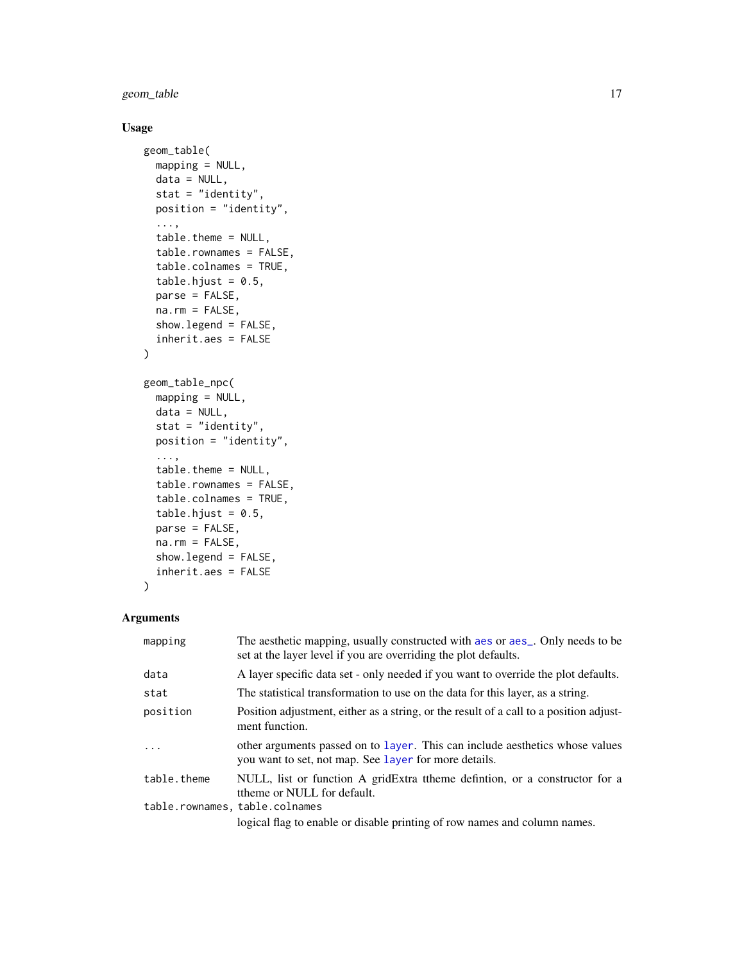geom\_table 17

# Usage

```
geom_table(
 mapping = NULL,
  data = NULL,
  stat = "identity",
 position = "identity",
  ...,
  table.theme = NULL,
  table.rownames = FALSE,
  table.colnames = TRUE,
  table.hjust = 0.5,
 parse = FALSE,
 na.rm = FALSE,show.legend = FALSE,
  inherit.aes = FALSE
)
geom_table_npc(
 mapping = NULL,
 data = NULL,
  stat = "identity",
 position = "identity",
  ...,
  table.theme = NULL,
  table.rownames = FALSE,
  table.colnames = TRUE,
  table.hjust = 0.5,
 parse = FALSE,
 na.rm = FALSE,show.legend = FALSE,
  inherit.aes = FALSE
\mathcal{L}
```
# Arguments

| mapping                        | The aesthetic mapping, usually constructed with a es or aes_. Only needs to be<br>set at the layer level if you are overriding the plot defaults. |
|--------------------------------|---------------------------------------------------------------------------------------------------------------------------------------------------|
| data                           | A layer specific data set - only needed if you want to override the plot defaults.                                                                |
| stat                           | The statistical transformation to use on the data for this layer, as a string.                                                                    |
| position                       | Position adjustment, either as a string, or the result of a call to a position adjust-<br>ment function.                                          |
| $\ddots$ .                     | other arguments passed on to layer. This can include aesthetics whose values<br>you want to set, not map. See layer for more details.             |
| table.theme                    | NULL, list or function A gridExtra theme defintion, or a constructor for a<br>ttheme or NULL for default.                                         |
| table.rownames, table.colnames |                                                                                                                                                   |
|                                | logical flag to enable or disable printing of row names and column names.                                                                         |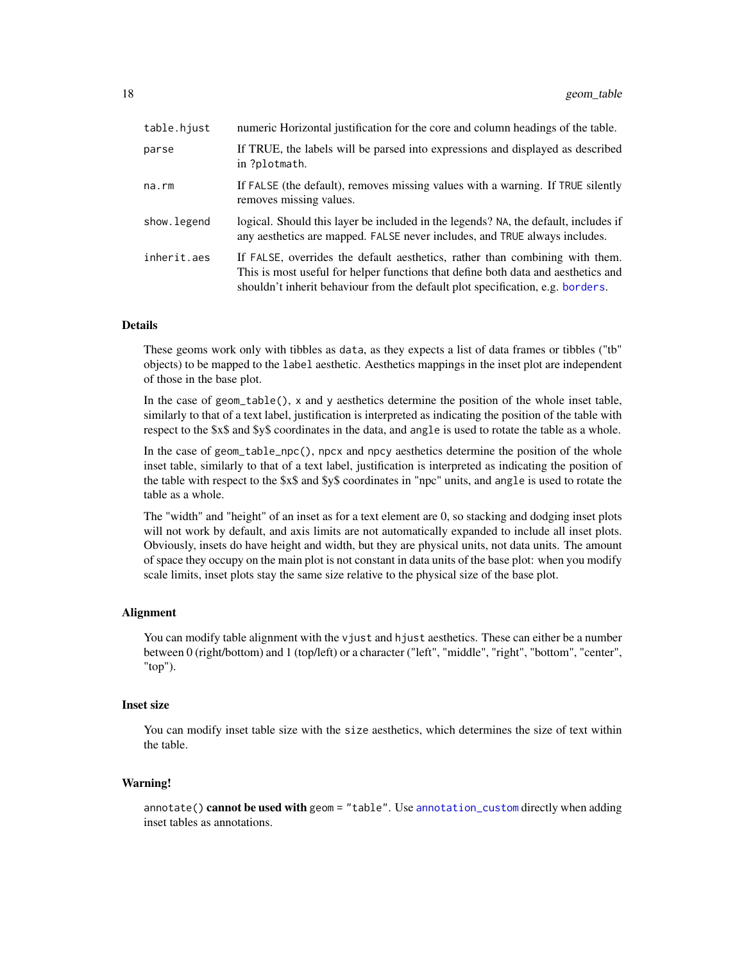| table.hjust | numeric Horizontal justification for the core and column headings of the table.                                                                                                                                                                     |
|-------------|-----------------------------------------------------------------------------------------------------------------------------------------------------------------------------------------------------------------------------------------------------|
| parse       | If TRUE, the labels will be parsed into expressions and displayed as described<br>in ?plotmath.                                                                                                                                                     |
| na.rm       | If FALSE (the default), removes missing values with a warning. If TRUE silently<br>removes missing values.                                                                                                                                          |
| show.legend | logical. Should this layer be included in the legends? NA, the default, includes if<br>any aesthetics are mapped. FALSE never includes, and TRUE always includes.                                                                                   |
| inherit.aes | If FALSE, overrides the default aesthetics, rather than combining with them.<br>This is most useful for helper functions that define both data and aesthetics and<br>shouldn't inherit behaviour from the default plot specification, e.g. borders. |

# Details

These geoms work only with tibbles as data, as they expects a list of data frames or tibbles ("tb" objects) to be mapped to the label aesthetic. Aesthetics mappings in the inset plot are independent of those in the base plot.

In the case of geom\_table(), x and y aesthetics determine the position of the whole inset table, similarly to that of a text label, justification is interpreted as indicating the position of the table with respect to the \$x\$ and \$y\$ coordinates in the data, and angle is used to rotate the table as a whole.

In the case of geom\_table\_npc(), npcx and npcy aesthetics determine the position of the whole inset table, similarly to that of a text label, justification is interpreted as indicating the position of the table with respect to the \$x\$ and \$y\$ coordinates in "npc" units, and angle is used to rotate the table as a whole.

The "width" and "height" of an inset as for a text element are 0, so stacking and dodging inset plots will not work by default, and axis limits are not automatically expanded to include all inset plots. Obviously, insets do have height and width, but they are physical units, not data units. The amount of space they occupy on the main plot is not constant in data units of the base plot: when you modify scale limits, inset plots stay the same size relative to the physical size of the base plot.

#### Alignment

You can modify table alignment with the vjust and hjust aesthetics. These can either be a number between 0 (right/bottom) and 1 (top/left) or a character ("left", "middle", "right", "bottom", "center", "top").

# Inset size

You can modify inset table size with the size aesthetics, which determines the size of text within the table.

# Warning!

annotate() cannot be used with geom = "table". Use [annotation\\_custom](#page-0-0) directly when adding inset tables as annotations.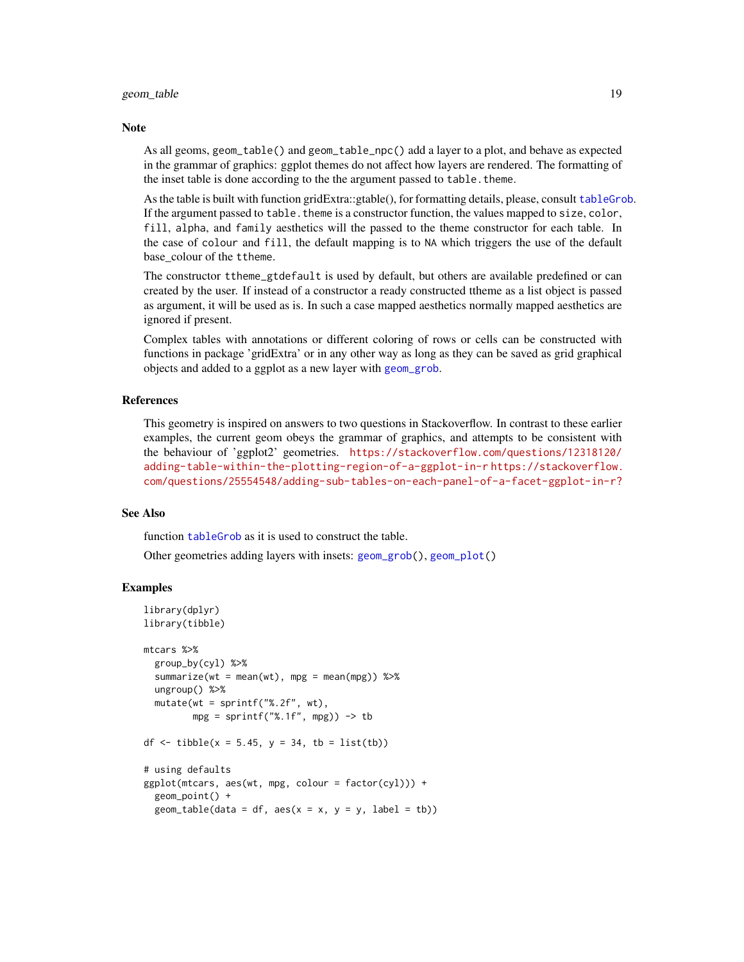# geom\_table 19

#### **Note**

As all geoms, geom\_table() and geom\_table\_npc() add a layer to a plot, and behave as expected in the grammar of graphics: ggplot themes do not affect how layers are rendered. The formatting of the inset table is done according to the the argument passed to table. theme.

As the table is built with function gridExtra::gtable(), for formatting details, please, consult [tableGrob](#page-0-0). If the argument passed to table. theme is a constructor function, the values mapped to size, color, fill, alpha, and family aesthetics will the passed to the theme constructor for each table. In the case of colour and fill, the default mapping is to NA which triggers the use of the default base\_colour of the ttheme.

The constructor ttheme\_gtdefault is used by default, but others are available predefined or can created by the user. If instead of a constructor a ready constructed ttheme as a list object is passed as argument, it will be used as is. In such a case mapped aesthetics normally mapped aesthetics are ignored if present.

Complex tables with annotations or different coloring of rows or cells can be constructed with functions in package 'gridExtra' or in any other way as long as they can be saved as grid graphical objects and added to a ggplot as a new layer with [geom\\_grob](#page-6-1).

# References

This geometry is inspired on answers to two questions in Stackoverflow. In contrast to these earlier examples, the current geom obeys the grammar of graphics, and attempts to be consistent with the behaviour of 'ggplot2' geometries. [https://stackoverflow.com/questions/12318120/](https://stackoverflow.com/questions/12318120/adding-table-within-the-plotting-region-of-a-ggplot-in-r) [adding-table-within-the-plotting-region-of-a-ggplot-in-r](https://stackoverflow.com/questions/12318120/adding-table-within-the-plotting-region-of-a-ggplot-in-r) [https://stackoverflow.](https://stackoverflow.com/questions/25554548/adding-sub-tables-on-each-panel-of-a-facet-ggplot-in-r?) [com/questions/25554548/adding-sub-tables-on-each-panel-of-a-facet-ggplot-in-r?](https://stackoverflow.com/questions/25554548/adding-sub-tables-on-each-panel-of-a-facet-ggplot-in-r?)

# See Also

function [tableGrob](#page-0-0) as it is used to construct the table.

Other geometries adding layers with insets: [geom\\_grob\(](#page-6-1)), [geom\\_plot\(](#page-11-1))

# Examples

```
library(dplyr)
library(tibble)
mtcars %>%
 group_by(cyl) %>%
 summarize(wt = mean(wt), mpg = mean(mpg)) %>%
 ungroup() %>%
 mutate(wt = sprintf("%.2f", wt),
         mpg = sprint f("%, 1f", mpg)) \rightarrow tbdf \leftarrow tibble(x = 5.45, y = 34, tb = list(tb))
# using defaults
ggplot(mtcars, aes(wt, mpg, colour = factor(cyl))) +geom_point() +
 geom_table(data = df, aes(x = x, y = y, label = tb))
```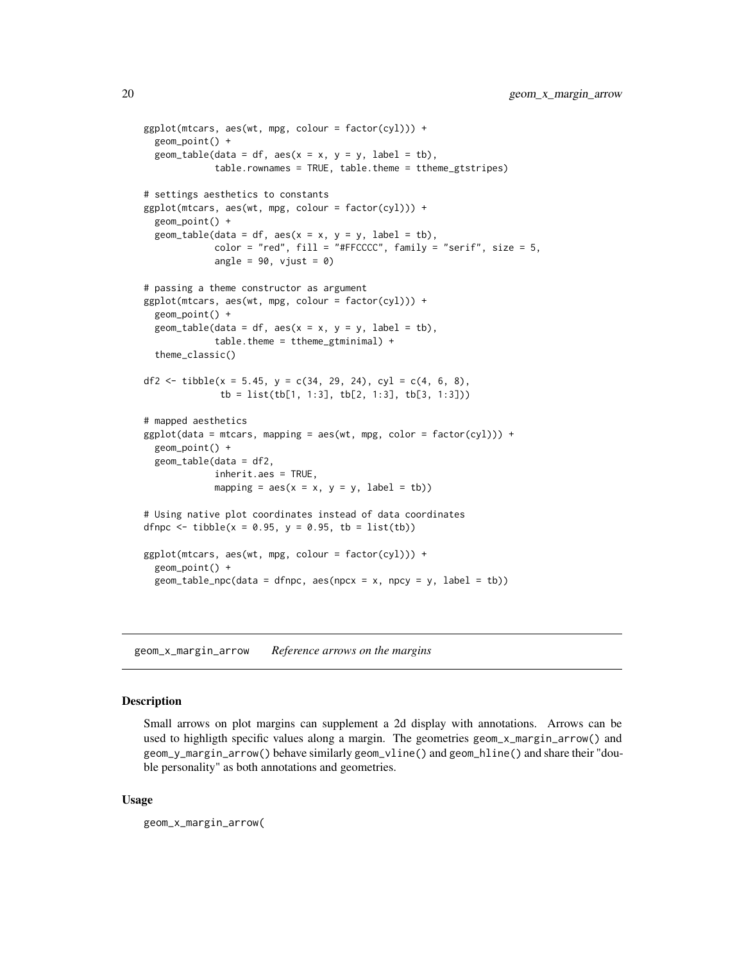```
ggplot(mtcars, aes(wt, mpg, colour = factor(cyl))) +geom_point() +
 geom_table(data = df, aes(x = x, y = y, label = tb),
             table.rownames = TRUE, table.theme = ttheme_gtstripes)
# settings aesthetics to constants
ggplot(mtcars, aes(wt, mpg, colour = factor(cyl))) +
 geom_point() +
 geom_table(data = df, aes(x = x, y = y, label = tb),
             color = "red", fill = "#FFCCC", family = "serif", size = 5,angle = 90, vjust = 0)
# passing a theme constructor as argument
ggplot(mtcars, aes(wt, mpg, colour = factor(cyl))) +geom_point() +
 geom\_table(data = df, aes(x = x, y = y, label = tb),table.theme = ttheme_gtminimal) +
 theme_classic()
df2 <- tibble(x = 5.45, y = c(34, 29, 24), cyl = c(4, 6, 8),
              tb = list(tb[1, 1:3], tb[2, 1:3], tb[3, 1:3]))
# mapped aesthetics
ggplot(data = mtcars, mapping = aes(wt, mpg, color = factor(cyl))) +
 geom_point() +
 geom_table(data = df2,
             inherit.aes = TRUE,
             mapping = aes(x = x, y = y, label = tb))# Using native plot coordinates instead of data coordinates
dfnpc <- tibble(x = 0.95, y = 0.95, tb = list(tb))
ggplot(mtcars, aes(wt, mpg, colour = factor(cyl))) +geom_point() +
 geom\_table\_npc(data = dfnpc, aes(npcx = x, npcy = y, label = tb))
```
<span id="page-19-1"></span>geom\_x\_margin\_arrow *Reference arrows on the margins*

# Description

Small arrows on plot margins can supplement a 2d display with annotations. Arrows can be used to highligth specific values along a margin. The geometries geom\_x\_margin\_arrow() and geom\_y\_margin\_arrow() behave similarly geom\_vline() and geom\_hline() and share their "double personality" as both annotations and geometries.

#### Usage

geom\_x\_margin\_arrow(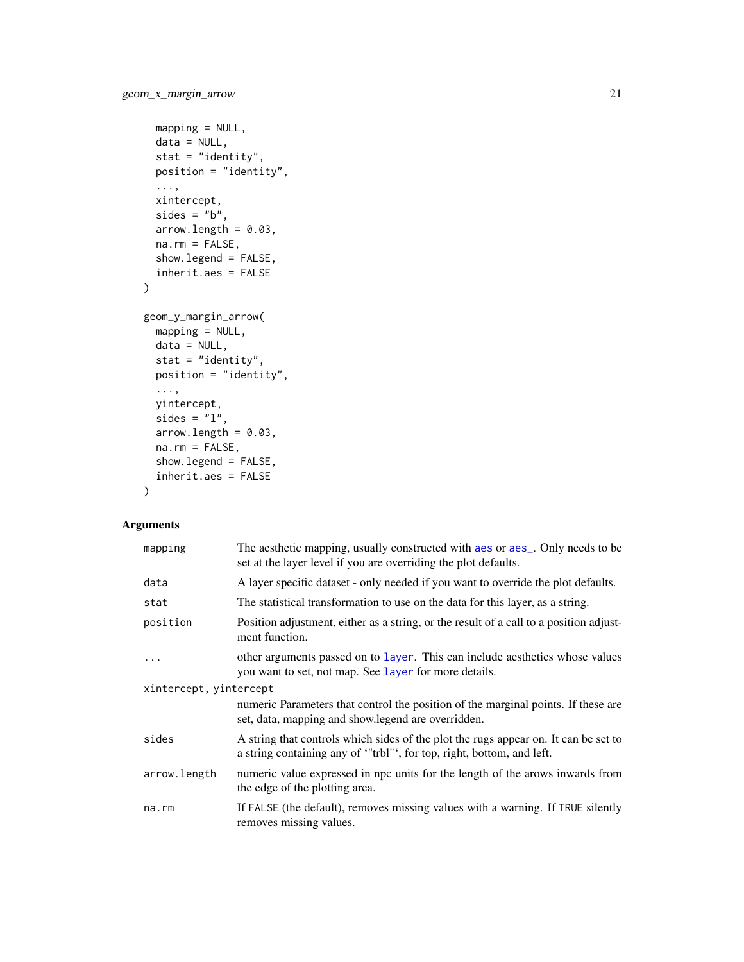```
mapping = NULL,data = NULL,stat = "identity",position = "identity",
  ...,
  xintercept,
  sides = "b",arrow.length = 0.03,
  na.rm = FALSE,show.legend = FALSE,
  inherit.aes = FALSE
\mathcal{L}geom_y_margin_arrow(
  mapping = NULL,
  data = NULL,
  stat = "identity",
  position = "identity",
  ...,
  yintercept,
  sides = "1",arrow.length = 0.03,
  na.rm = FALSE,show.legend = FALSE,
  inherit.aes = FALSE
)
```
# Arguments

| mapping                | The aesthetic mapping, usually constructed with aes or aes <sub>-</sub> . Only needs to be<br>set at the layer level if you are overriding the plot defaults. |  |
|------------------------|---------------------------------------------------------------------------------------------------------------------------------------------------------------|--|
| data                   | A layer specific dataset - only needed if you want to override the plot defaults.                                                                             |  |
| stat                   | The statistical transformation to use on the data for this layer, as a string.                                                                                |  |
| position               | Position adjustment, either as a string, or the result of a call to a position adjust-<br>ment function.                                                      |  |
|                        | other arguments passed on to layer. This can include aesthetics whose values<br>you want to set, not map. See layer for more details.                         |  |
| xintercept, yintercept |                                                                                                                                                               |  |
|                        | numeric Parameters that control the position of the marginal points. If these are<br>set, data, mapping and show. legend are overridden.                      |  |
| sides                  | A string that controls which sides of the plot the rugs appear on. It can be set to<br>a string containing any of "trbl"', for top, right, bottom, and left.  |  |
| arrow.length           | numeric value expressed in npc units for the length of the arows inwards from<br>the edge of the plotting area.                                               |  |
| na.rm                  | If FALSE (the default), removes missing values with a warning. If TRUE silently<br>removes missing values.                                                    |  |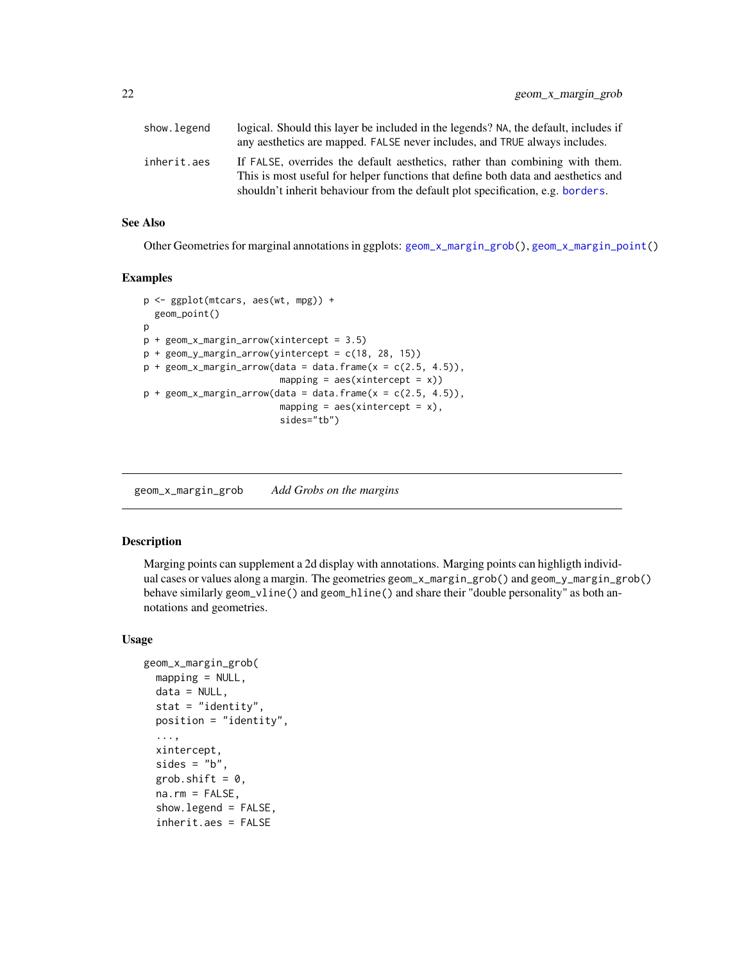<span id="page-21-0"></span>

| logical. Should this layer be included in the legends? NA, the default, includes if<br>any aesthetics are mapped. FALSE never includes, and TRUE always includes. |
|-------------------------------------------------------------------------------------------------------------------------------------------------------------------|
|                                                                                                                                                                   |
| If FALSE, overrides the default aesthetics, rather than combining with them.                                                                                      |
| This is most useful for helper functions that define both data and aesthetics and                                                                                 |
| shouldn't inherit behaviour from the default plot specification, e.g. borders.                                                                                    |
|                                                                                                                                                                   |

# See Also

Other Geometries for marginal annotations in ggplots: [geom\\_x\\_margin\\_grob\(](#page-21-1)), [geom\\_x\\_margin\\_point\(](#page-23-1))

# Examples

```
p <- ggplot(mtcars, aes(wt, mpg)) +
  geom_point()
p
p + geom_x_margin_arrow(xintercept = 3.5)
p + geom_y_margin_arrow(yintercept = c(18, 28, 15))p + geom_x_margin_arrow(data = data-frame(x = c(2.5, 4.5)),mapping = \text{aes}(\text{xintercept} = x))p + geom_x_margin_arrow(data = data-frame(x = c(2.5, 4.5)),mapping = \text{aes}(\text{xintercept} = x),
                           sides="tb")
```
<span id="page-21-1"></span>geom\_x\_margin\_grob *Add Grobs on the margins*

# Description

Marging points can supplement a 2d display with annotations. Marging points can highligth individual cases or values along a margin. The geometries geom\_x\_margin\_grob() and geom\_y\_margin\_grob() behave similarly geom\_vline() and geom\_hline() and share their "double personality" as both annotations and geometries.

# Usage

```
geom_x_margin_grob(
 mapping = NULL,
  data = NULL,stat = "identity",
  position = "identity",
  ...,
  xintercept,
  sides = "b",
  grob.shift = 0,
  na.rm = FALSE,show.legend = FALSE,
  inherit.aes = FALSE
```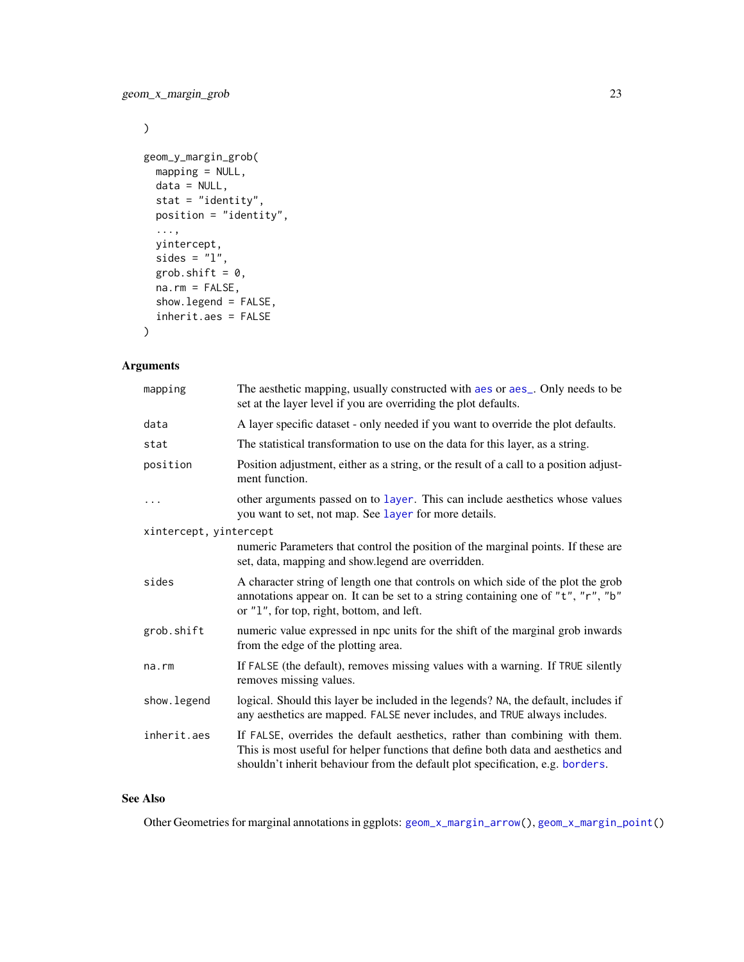```
\mathcal{L}geom_y_margin_grob(
  mapping = NULL,
  data = NULL,
  stat = "identity",
  position = "identity",
  ...,
  yintercept,
  sides = "1",grob.shift = 0,
  na.rm = FALSE,
  show.legend = FALSE,
  inherit.aes = FALSE
\mathcal{L}
```
# Arguments

| mapping                | The aesthetic mapping, usually constructed with aes or aes_. Only needs to be<br>set at the layer level if you are overriding the plot defaults.                                                                                                    |
|------------------------|-----------------------------------------------------------------------------------------------------------------------------------------------------------------------------------------------------------------------------------------------------|
| data                   | A layer specific dataset - only needed if you want to override the plot defaults.                                                                                                                                                                   |
| stat                   | The statistical transformation to use on the data for this layer, as a string.                                                                                                                                                                      |
| position               | Position adjustment, either as a string, or the result of a call to a position adjust-<br>ment function.                                                                                                                                            |
| $\cdots$               | other arguments passed on to layer. This can include aesthetics whose values<br>you want to set, not map. See layer for more details.                                                                                                               |
| xintercept, yintercept |                                                                                                                                                                                                                                                     |
|                        | numeric Parameters that control the position of the marginal points. If these are<br>set, data, mapping and show.legend are overridden.                                                                                                             |
| sides                  | A character string of length one that controls on which side of the plot the grob<br>annotations appear on. It can be set to a string containing one of "t", "r", "b"<br>or "1", for top, right, bottom, and left.                                  |
| grob.shift             | numeric value expressed in npc units for the shift of the marginal grob inwards<br>from the edge of the plotting area.                                                                                                                              |
| na.rm                  | If FALSE (the default), removes missing values with a warning. If TRUE silently<br>removes missing values.                                                                                                                                          |
| show.legend            | logical. Should this layer be included in the legends? NA, the default, includes if<br>any aesthetics are mapped. FALSE never includes, and TRUE always includes.                                                                                   |
| inherit.aes            | If FALSE, overrides the default aesthetics, rather than combining with them.<br>This is most useful for helper functions that define both data and aesthetics and<br>shouldn't inherit behaviour from the default plot specification, e.g. borders. |

# See Also

Other Geometries for marginal annotations in ggplots: [geom\\_x\\_margin\\_arrow\(](#page-19-1)), [geom\\_x\\_margin\\_point\(](#page-23-1))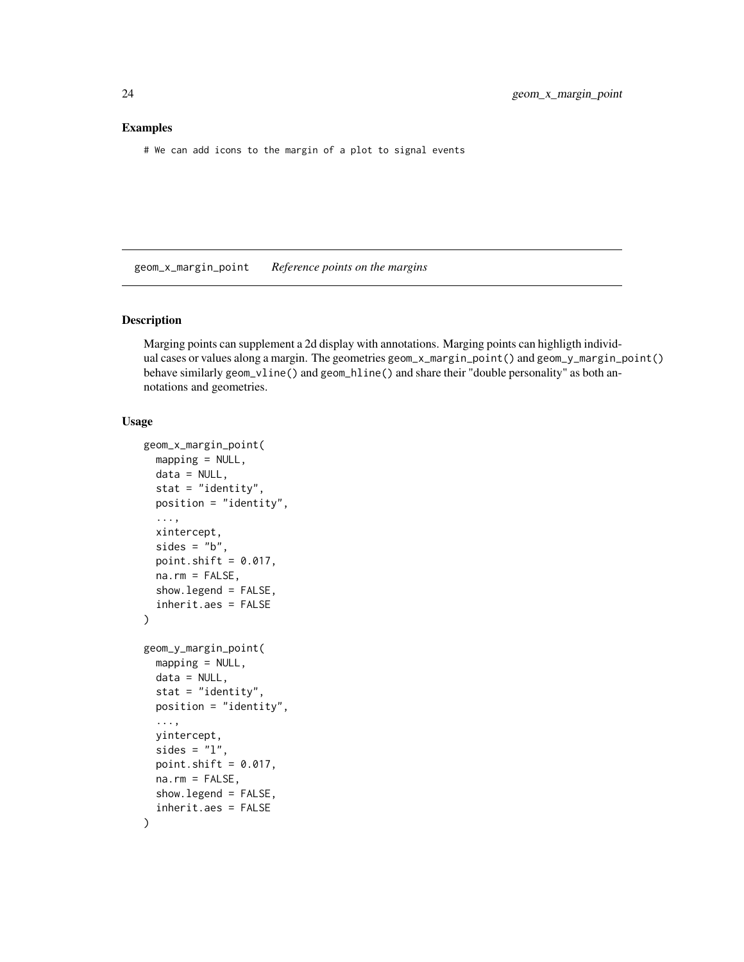## <span id="page-23-0"></span>Examples

# We can add icons to the margin of a plot to signal events

<span id="page-23-1"></span>geom\_x\_margin\_point *Reference points on the margins*

# Description

Marging points can supplement a 2d display with annotations. Marging points can highligth individual cases or values along a margin. The geometries geom\_x\_margin\_point() and geom\_y\_margin\_point() behave similarly geom\_vline() and geom\_hline() and share their "double personality" as both annotations and geometries.

# Usage

```
geom_x_margin_point(
 mapping = NULL,
  data = NULL,stat = "identity",
  position = "identity",
  ...,
  xintercept,
  sides = "b",point.shift = 0.017,
  na.rm = FALSE,show.legend = FALSE,
  inherit.aes = FALSE
\lambdageom_y_margin_point(
 mapping = NULL,
  data = NULL,stat = "identity",
  position = "identity",
  ...,
  yintercept,
  sides = "1",point.shift = 0.017,
  na.rm = FALSE,show.legend = FALSE,
  inherit.aes = FALSE
)
```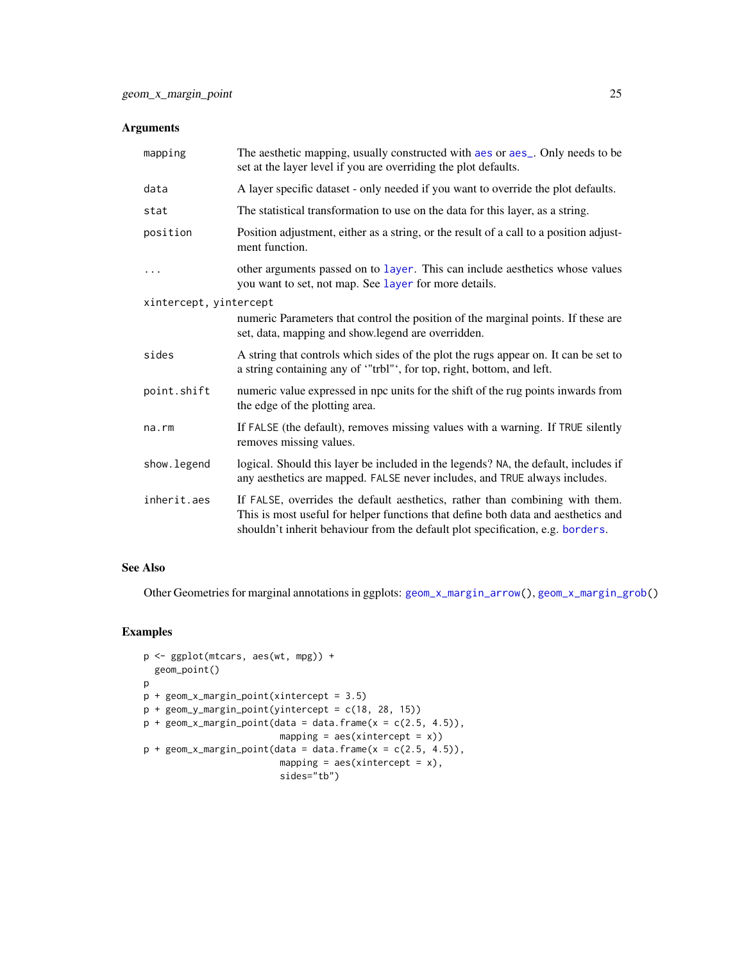# Arguments

| mapping                | The aesthetic mapping, usually constructed with aes or aes_. Only needs to be<br>set at the layer level if you are overriding the plot defaults.                                                                                                    |
|------------------------|-----------------------------------------------------------------------------------------------------------------------------------------------------------------------------------------------------------------------------------------------------|
| data                   | A layer specific dataset - only needed if you want to override the plot defaults.                                                                                                                                                                   |
| stat                   | The statistical transformation to use on the data for this layer, as a string.                                                                                                                                                                      |
| position               | Position adjustment, either as a string, or the result of a call to a position adjust-<br>ment function.                                                                                                                                            |
| .                      | other arguments passed on to layer. This can include aesthetics whose values<br>you want to set, not map. See layer for more details.                                                                                                               |
| xintercept, yintercept | numeric Parameters that control the position of the marginal points. If these are<br>set, data, mapping and show.legend are overridden.                                                                                                             |
| sides                  | A string that controls which sides of the plot the rugs appear on. It can be set to<br>a string containing any of "'trbl"', for top, right, bottom, and left.                                                                                       |
| point.shift            | numeric value expressed in npc units for the shift of the rug points inwards from<br>the edge of the plotting area.                                                                                                                                 |
| $na$ . $rm$            | If FALSE (the default), removes missing values with a warning. If TRUE silently<br>removes missing values.                                                                                                                                          |
| show.legend            | logical. Should this layer be included in the legends? NA, the default, includes if<br>any aesthetics are mapped. FALSE never includes, and TRUE always includes.                                                                                   |
| inherit.aes            | If FALSE, overrides the default aesthetics, rather than combining with them.<br>This is most useful for helper functions that define both data and aesthetics and<br>shouldn't inherit behaviour from the default plot specification, e.g. borders. |

# See Also

Other Geometries for marginal annotations in ggplots: [geom\\_x\\_margin\\_arrow\(](#page-19-1)), [geom\\_x\\_margin\\_grob\(](#page-21-1))

# Examples

```
p <- ggplot(mtcars, aes(wt, mpg)) +
  geom_point()
p
p + geom_x_margin_point(xintercept = 3.5)
p + geom_y_margin\_point(yintercept = c(18, 28, 15))p + geom_x_margin\_point(data = data-frame(x = c(2.5, 4.5)),mapping = \text{aes}(\text{xintercept} = x))p + geom_x_margin\_point(data = data-frame(x = c(2.5, 4.5)),mapping = \text{aes}(\text{xintercept} = x),
                           sides="tb")
```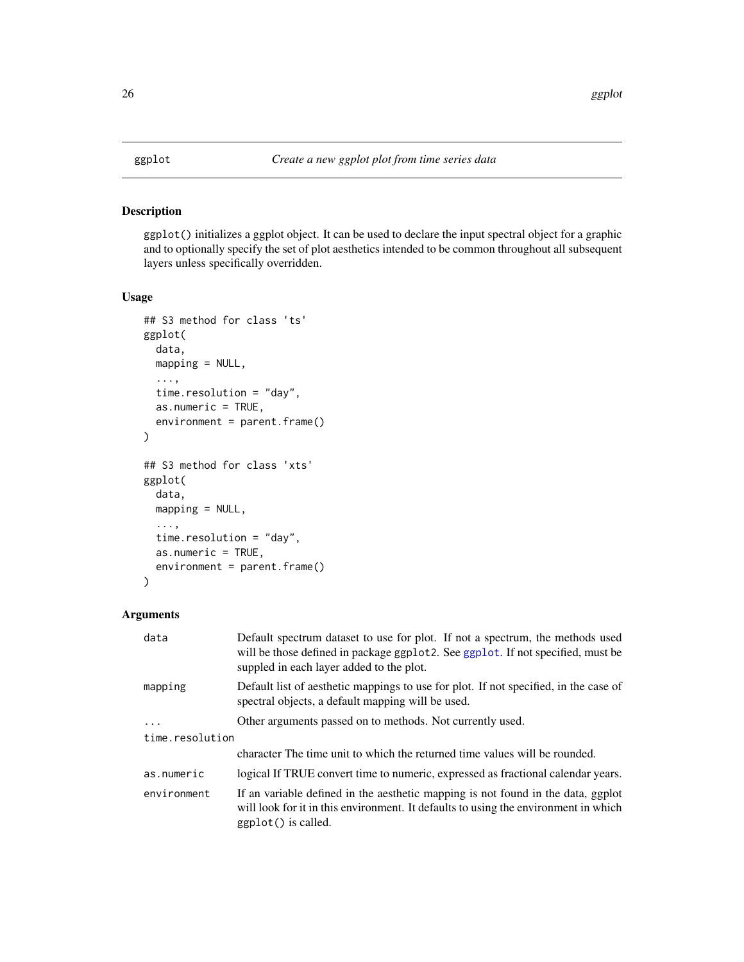<span id="page-25-1"></span><span id="page-25-0"></span>

# Description

ggplot() initializes a ggplot object. It can be used to declare the input spectral object for a graphic and to optionally specify the set of plot aesthetics intended to be common throughout all subsequent layers unless specifically overridden.

# Usage

```
## S3 method for class 'ts'
ggplot(
  data,
 mapping = NULL,
  ...,
 time.resolution = "day",
  as.numeric = TRUE,
  environment = parent.frame()
)
## S3 method for class 'xts'
ggplot(
 data,
 mapping = NULL,
  ...,
  time.resolution = "day",
  as.numeric = TRUE,
  environment = parent.frame()
\mathcal{L}
```
# Arguments

| data            | Default spectrum dataset to use for plot. If not a spectrum, the methods used<br>will be those defined in package ggplot 2. See ggplot. If not specified, must be<br>suppled in each layer added to the plot. |
|-----------------|---------------------------------------------------------------------------------------------------------------------------------------------------------------------------------------------------------------|
| mapping         | Default list of aesthetic mappings to use for plot. If not specified, in the case of<br>spectral objects, a default mapping will be used.                                                                     |
| $\ddots$ .      | Other arguments passed on to methods. Not currently used.                                                                                                                                                     |
| time.resolution |                                                                                                                                                                                                               |
|                 | character The time unit to which the returned time values will be rounded.                                                                                                                                    |
| as.numeric      | logical If TRUE convert time to numeric, expressed as fractional calendar years.                                                                                                                              |
| environment     | If an variable defined in the aesthetic mapping is not found in the data, ggplot<br>will look for it in this environment. It defaults to using the environment in which<br>$ggplot()$ is called.              |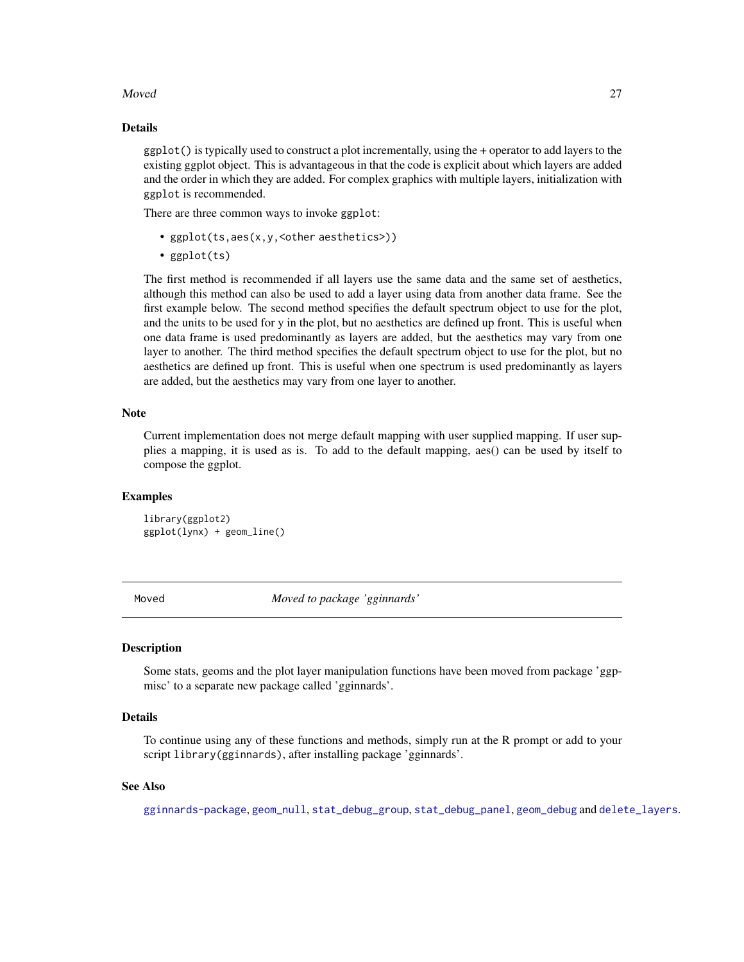#### <span id="page-26-0"></span>Moved 27

# Details

 $ggplot()$  is typically used to construct a plot incrementally, using the + operator to add layers to the existing ggplot object. This is advantageous in that the code is explicit about which layers are added and the order in which they are added. For complex graphics with multiple layers, initialization with ggplot is recommended.

There are three common ways to invoke ggplot:

- ggplot(ts,aes(x,y,<other aesthetics>))
- ggplot(ts)

The first method is recommended if all layers use the same data and the same set of aesthetics, although this method can also be used to add a layer using data from another data frame. See the first example below. The second method specifies the default spectrum object to use for the plot, and the units to be used for y in the plot, but no aesthetics are defined up front. This is useful when one data frame is used predominantly as layers are added, but the aesthetics may vary from one layer to another. The third method specifies the default spectrum object to use for the plot, but no aesthetics are defined up front. This is useful when one spectrum is used predominantly as layers are added, but the aesthetics may vary from one layer to another.

## Note

Current implementation does not merge default mapping with user supplied mapping. If user supplies a mapping, it is used as is. To add to the default mapping, aes() can be used by itself to compose the ggplot.

#### Examples

library(ggplot2) ggplot(lynx) + geom\_line()

Moved *Moved to package 'gginnards'*

# <span id="page-26-1"></span>Description

Some stats, geoms and the plot layer manipulation functions have been moved from package 'ggpmisc' to a separate new package called 'gginnards'.

# Details

To continue using any of these functions and methods, simply run at the R prompt or add to your script library(gginnards), after installing package 'gginnards'.

# See Also

[gginnards-package](#page-0-0), [geom\\_null](#page-26-1), [stat\\_debug\\_group](#page-26-1), [stat\\_debug\\_panel](#page-26-1), [geom\\_debug](#page-26-1) and [delete\\_layers](#page-26-1).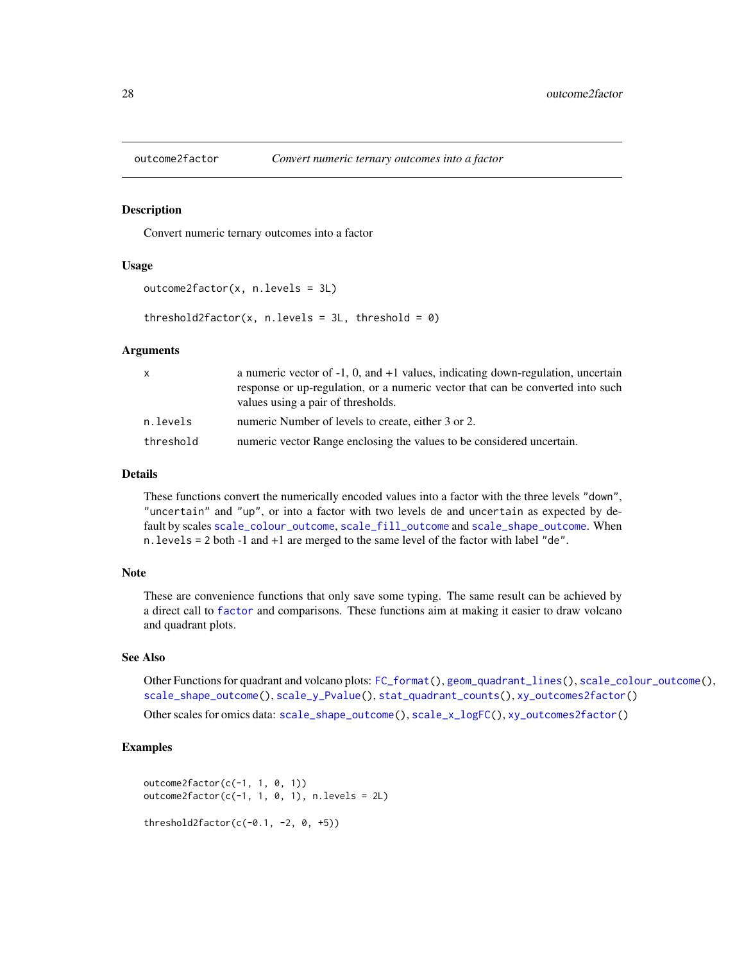<span id="page-27-1"></span><span id="page-27-0"></span>

#### Description

Convert numeric ternary outcomes into a factor

# Usage

```
outcome2factor(x, n.levels = 3L)
```
threshold2factor(x, n.levels =  $3L$ , threshold = 0)

# Arguments

| X.        | a numeric vector of $-1$ , 0, and $+1$ values, indicating down-regulation, uncertain                                 |
|-----------|----------------------------------------------------------------------------------------------------------------------|
|           | response or up-regulation, or a numeric vector that can be converted into such<br>values using a pair of thresholds. |
| n.levels  | numeric Number of levels to create, either 3 or 2.                                                                   |
| threshold | numeric vector Range enclosing the values to be considered uncertain.                                                |

# Details

These functions convert the numerically encoded values into a factor with the three levels "down", "uncertain" and "up", or into a factor with two levels de and uncertain as expected by default by scales [scale\\_colour\\_outcome](#page-28-1), [scale\\_fill\\_outcome](#page-28-2) and [scale\\_shape\\_outcome](#page-31-1). When n.levels = 2 both -1 and +1 are merged to the same level of the factor with label "de".

# Note

These are convenience functions that only save some typing. The same result can be achieved by a direct call to [factor](#page-0-0) and comparisons. These functions aim at making it easier to draw volcano and quadrant plots.

#### See Also

Other Functions for quadrant and volcano plots: [FC\\_format\(](#page-0-0)), [geom\\_quadrant\\_lines\(](#page-13-1)), [scale\\_colour\\_outcome\(](#page-28-1)), [scale\\_shape\\_outcome\(](#page-31-1)), [scale\\_y\\_Pvalue\(](#page-35-1)), [stat\\_quadrant\\_counts\(](#page-82-1)), [xy\\_outcomes2factor\(](#page-92-1))

Other scales for omics data: [scale\\_shape\\_outcome\(](#page-31-1)), [scale\\_x\\_logFC\(](#page-32-1)), [xy\\_outcomes2factor\(](#page-92-1))

# Examples

```
outcome2factor(c(-1, 1, 0, 1))
outcome2factor(c(-1, 1, 0, 1), n.levels = 2L)threshold2factor(c(-0.1, -2, 0, +5))
```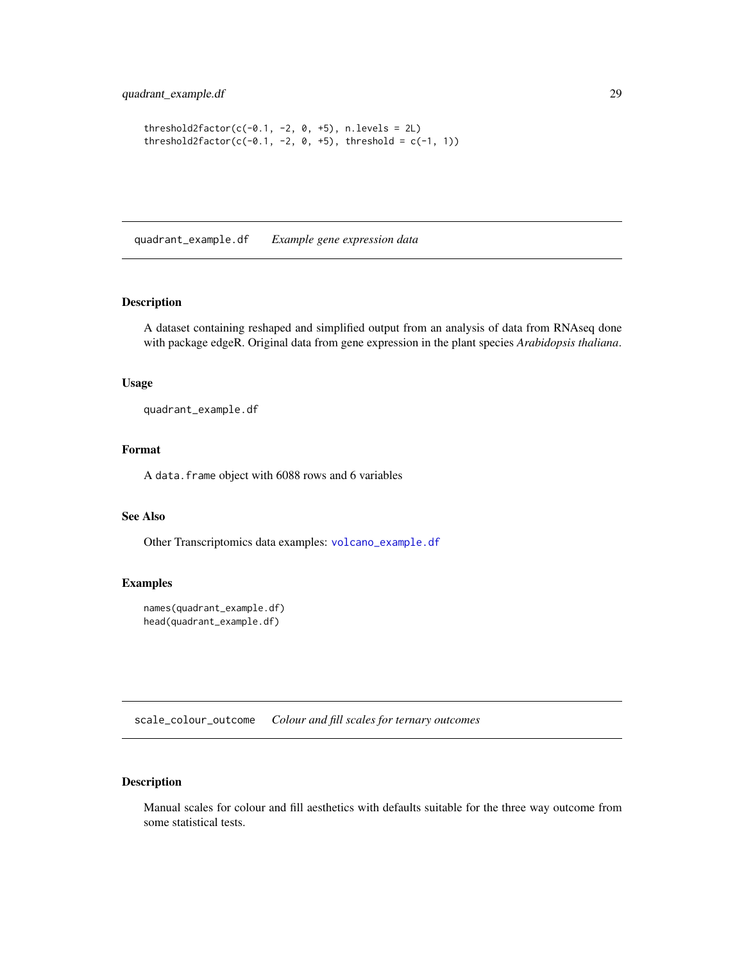```
threshold2factor(c(-0.1, -2, 0, +5), n.levels = 2L)
threshold2factor(c(-0.1, -2, 0, +5), threshold = c(-1, 1))
```
quadrant\_example.df *Example gene expression data*

# Description

A dataset containing reshaped and simplified output from an analysis of data from RNAseq done with package edgeR. Original data from gene expression in the plant species *Arabidopsis thaliana*.

# Usage

quadrant\_example.df

# Format

A data.frame object with 6088 rows and 6 variables

# See Also

Other Transcriptomics data examples: [volcano\\_example.df](#page-92-2)

# Examples

```
names(quadrant_example.df)
head(quadrant_example.df)
```
<span id="page-28-1"></span>scale\_colour\_outcome *Colour and fill scales for ternary outcomes*

# <span id="page-28-2"></span>Description

Manual scales for colour and fill aesthetics with defaults suitable for the three way outcome from some statistical tests.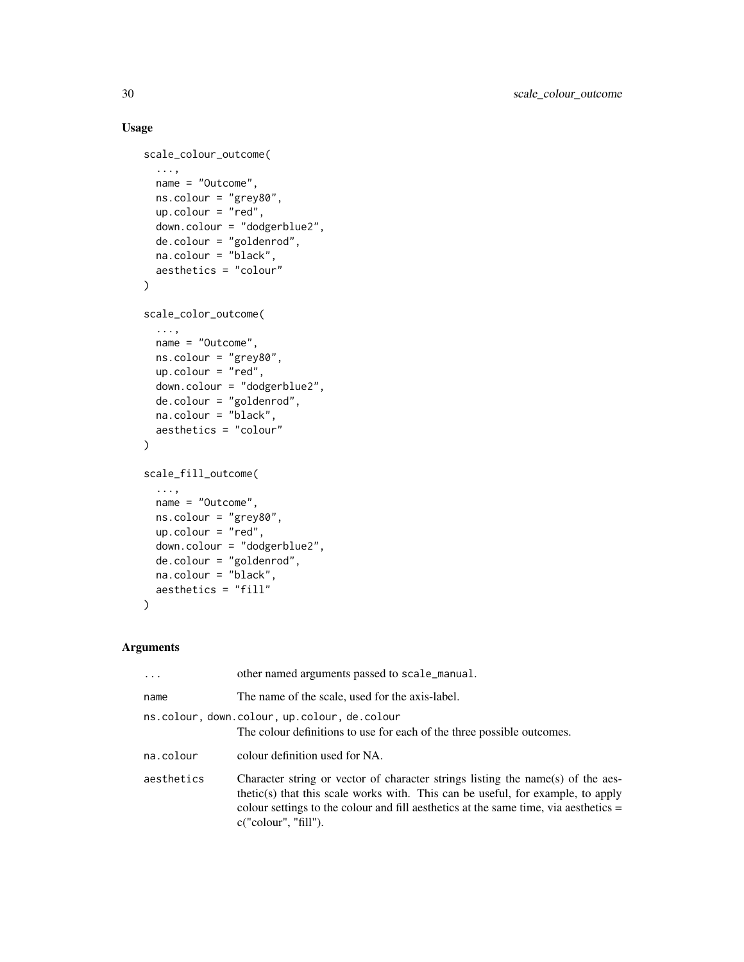# Usage

```
scale_colour_outcome(
  ...,
 name = "Outcome",
 ns.colour = "grey80",
 up.colour = "red",
  down.colour = "dodgerblue2",
 de.colour = "goldenrod",
 na.colour = "black",
 aesthetics = "colour"
\mathcal{L}scale_color_outcome(
  ...,
 name = "Outcome",
 ns.colour = "grey80",
 up.colour = "red",
 down.colour = "dodgerblue2",
  de.colour = "goldenrod",
 na.colour = "black",
  aesthetics = "colour"
)
scale_fill_outcome(
  ...,
 name = "Outcome",
 ns.colour = "grey80",
 up.colour = "red",
  down.colour = "dodgerblue2",
  de.colour = "goldenrod",
 na.colour = "black",
  aesthetics = "fill"
)
```
# Arguments

| $\cdots$   | other named arguments passed to scale_manual.                                                                                                                                                                                                                                        |
|------------|--------------------------------------------------------------------------------------------------------------------------------------------------------------------------------------------------------------------------------------------------------------------------------------|
| name       | The name of the scale, used for the axis-label.                                                                                                                                                                                                                                      |
|            | ns.colour, down.colour, up.colour, de.colour<br>The colour definitions to use for each of the three possible outcomes.                                                                                                                                                               |
| na.colour  | colour definition used for NA.                                                                                                                                                                                                                                                       |
| aesthetics | Character string or vector of character strings listing the name(s) of the aes-<br>thetic(s) that this scale works with. This can be useful, for example, to apply<br>colour settings to the colour and fill aesthetics at the same time, via aesthetics $=$<br>c("colour", "fill"). |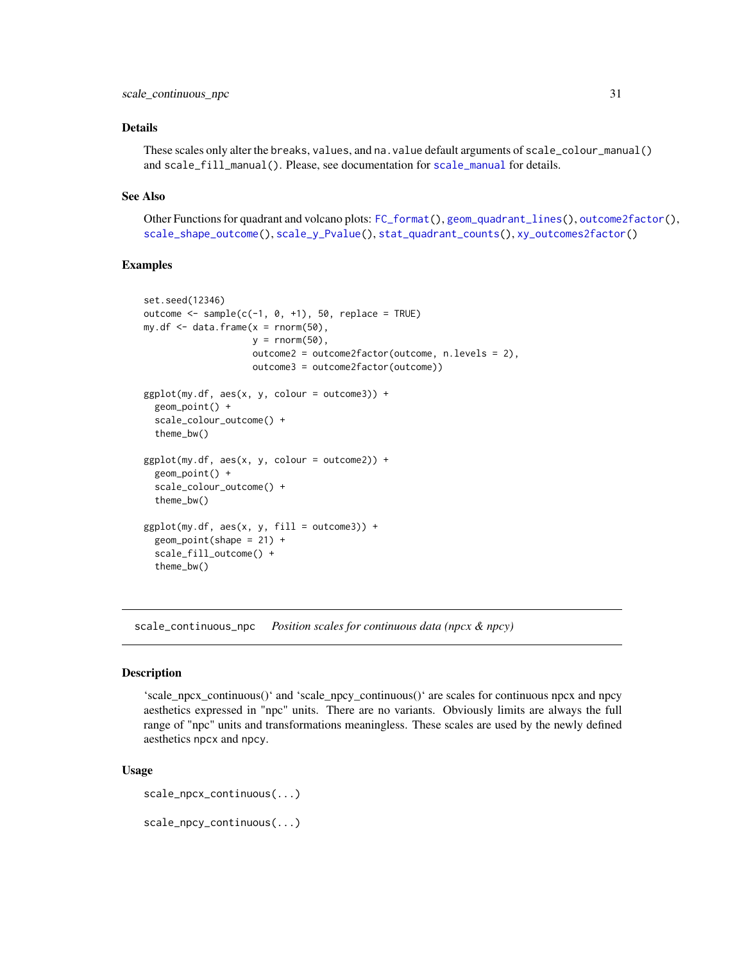# <span id="page-30-0"></span>Details

These scales only alter the breaks, values, and na.value default arguments of scale\_colour\_manual() and scale\_fill\_manual(). Please, see documentation for [scale\\_manual](#page-0-0) for details.

#### See Also

Other Functions for quadrant and volcano plots: [FC\\_format\(](#page-0-0)), [geom\\_quadrant\\_lines\(](#page-13-1)), [outcome2factor\(](#page-27-1)), [scale\\_shape\\_outcome\(](#page-31-1)), [scale\\_y\\_Pvalue\(](#page-35-1)), [stat\\_quadrant\\_counts\(](#page-82-1)), [xy\\_outcomes2factor\(](#page-92-1))

# Examples

```
set.seed(12346)
outcome \leq sample(c(-1, 0, +1), 50, replace = TRUE)
my.df \leq data.frame(x =rnorm(50),
                    y = rnorm(50),
                    outcome2 = outcome2factor(outcome, n.levels = 2),
                    outcome3 = outcome2factor(outcome))
ggplot(my.df, aes(x, y, colour = outcome3)) +geom_point() +
 scale_colour_outcome() +
 theme_bw()
ggplot(my.df, aes(x, y, colour = outcome2)) +geom_point() +
 scale_colour_outcome() +
 theme_bw()
ggplot(my.df, aes(x, y, fill = outcome3)) +geom_point(shape = 21) +
 scale_fill_outcome() +
 theme_bw()
```
scale\_continuous\_npc *Position scales for continuous data (npcx & npcy)*

# Description

'scale\_npcx\_continuous()' and 'scale\_npcy\_continuous()' are scales for continuous npcx and npcy aesthetics expressed in "npc" units. There are no variants. Obviously limits are always the full range of "npc" units and transformations meaningless. These scales are used by the newly defined aesthetics npcx and npcy.

#### Usage

```
scale_npcx_continuous(...)
scale_npcy_continuous(...)
```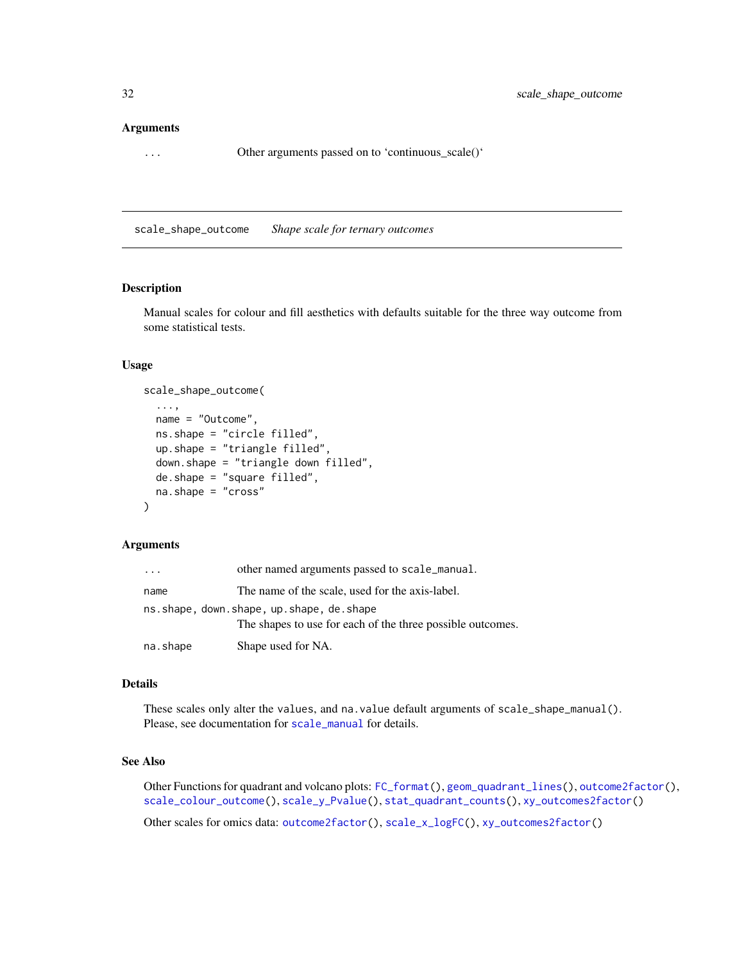# <span id="page-31-0"></span>**Arguments**

... Other arguments passed on to 'continuous\_scale()'

<span id="page-31-1"></span>scale\_shape\_outcome *Shape scale for ternary outcomes*

# Description

Manual scales for colour and fill aesthetics with defaults suitable for the three way outcome from some statistical tests.

# Usage

```
scale_shape_outcome(
  ...,
 name = "Outcome",
 ns.shape = "circle filled",
  up.shape = "triangle filled",
  down.shape = "triangle down filled",
  de.shape = "square filled",
 na.shape = "cross"
)
```
# Arguments

| $\cdot$  | other named arguments passed to scale_manual.              |
|----------|------------------------------------------------------------|
| name     | The name of the scale, used for the axis-label.            |
|          | ns.shape, down.shape, up.shape, de.shape                   |
|          | The shapes to use for each of the three possible outcomes. |
| na.shape | Shape used for NA.                                         |

# Details

These scales only alter the values, and na. value default arguments of scale\_shape\_manual(). Please, see documentation for [scale\\_manual](#page-0-0) for details.

# See Also

Other Functions for quadrant and volcano plots: [FC\\_format\(](#page-0-0)), [geom\\_quadrant\\_lines\(](#page-13-1)), [outcome2factor\(](#page-27-1)), [scale\\_colour\\_outcome\(](#page-28-1)), [scale\\_y\\_Pvalue\(](#page-35-1)), [stat\\_quadrant\\_counts\(](#page-82-1)), [xy\\_outcomes2factor\(](#page-92-1))

Other scales for omics data: [outcome2factor\(](#page-27-1)), [scale\\_x\\_logFC\(](#page-32-1)), [xy\\_outcomes2factor\(](#page-92-1))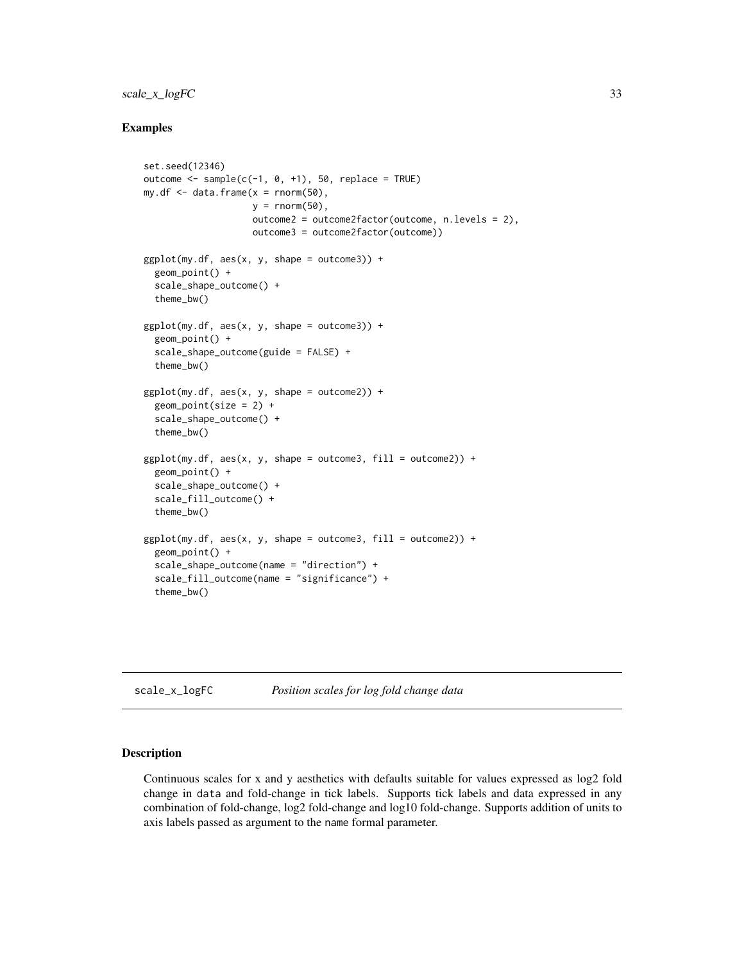# <span id="page-32-0"></span>scale\_x\_logFC 33

# Examples

```
set.seed(12346)
outcome \leq sample(c(-1, 0, +1), 50, replace = TRUE)
my.df \leq data.frame(x = \text{norm}(50),
                    y = \text{norm}(50),
                    outcome2 = outcome2factor(outcome, n.levels = 2),
                    outcome3 = outcome2factor(outcome))
ggplot(my.df, aes(x, y, shape = outcome3)) +geom_point() +
  scale_shape_outcome() +
  theme_bw()
ggplot(my.df, aes(x, y, shape = outcome3)) +geom_point() +
  scale_shape_outcome(guide = FALSE) +
  theme_bw()
ggplot(my.df, aes(x, y, shape = outcome2)) +geom\_point(size = 2) +scale_shape_outcome() +
  theme_bw()
ggplot(my.df, aes(x, y, shape = outcome3, fill = outcome2)) +geom_point() +
  scale_shape_outcome() +
  scale_fill_outcome() +
  theme_bw()
ggplot(my.df, aes(x, y, shape = outcome3, fill = outcome2)) +geom_point() +
  scale_shape_outcome(name = "direction") +
  scale_fill_outcome(name = "significance") +
  theme_bw()
```
<span id="page-32-1"></span>scale\_x\_logFC *Position scales for log fold change data*

# Description

Continuous scales for x and y aesthetics with defaults suitable for values expressed as log2 fold change in data and fold-change in tick labels. Supports tick labels and data expressed in any combination of fold-change, log2 fold-change and log10 fold-change. Supports addition of units to axis labels passed as argument to the name formal parameter.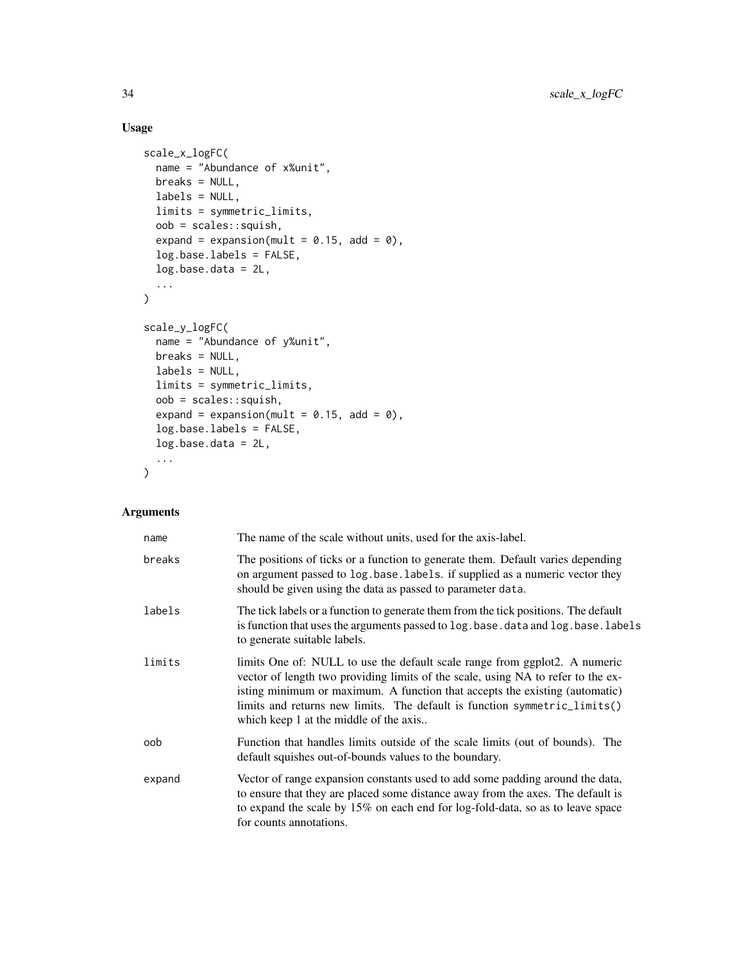# Usage

```
scale_x_logFC(
 name = "Abundance of x%unit",
 breaks = NULL,
 labels = NULL,
 limits = symmetric_limits,
 oob = scales::squish,
  expand = expansion(mult = 0.15, add = 0),
  log.base.labels = FALSE,
 log.base.data = 2L,
  ...
\mathcal{L}scale_y_logFC(
 name = "Abundance of y%unit",
 breaks = NULL,
 labels = NULL,
 limits = symmetric_limits,
 oob = scales::squish,
 expand = expansion(mult = 0.15, add = 0),
 log.base.labels = FALSE,
 log.base.data = 2L,
  ...
\mathcal{L}
```
#### Arguments

| name   | The name of the scale without units, used for the axis-label.                                                                                                                                                                                                                                                                                                        |
|--------|----------------------------------------------------------------------------------------------------------------------------------------------------------------------------------------------------------------------------------------------------------------------------------------------------------------------------------------------------------------------|
| breaks | The positions of ticks or a function to generate them. Default varies depending<br>on argument passed to log.base.labels. if supplied as a numeric vector they<br>should be given using the data as passed to parameter data.                                                                                                                                        |
| labels | The tick labels or a function to generate them from the tick positions. The default<br>is function that uses the arguments passed to log. base. data and log. base. labels<br>to generate suitable labels.                                                                                                                                                           |
| limits | limits One of: NULL to use the default scale range from ggplot2. A numeric<br>vector of length two providing limits of the scale, using NA to refer to the ex-<br>isting minimum or maximum. A function that accepts the existing (automatic)<br>limits and returns new limits. The default is function symmetric_limits()<br>which keep 1 at the middle of the axis |
| oob    | Function that handles limits outside of the scale limits (out of bounds). The<br>default squishes out-of-bounds values to the boundary.                                                                                                                                                                                                                              |
| expand | Vector of range expansion constants used to add some padding around the data,<br>to ensure that they are placed some distance away from the axes. The default is<br>to expand the scale by 15% on each end for log-fold-data, so as to leave space<br>for counts annotations.                                                                                        |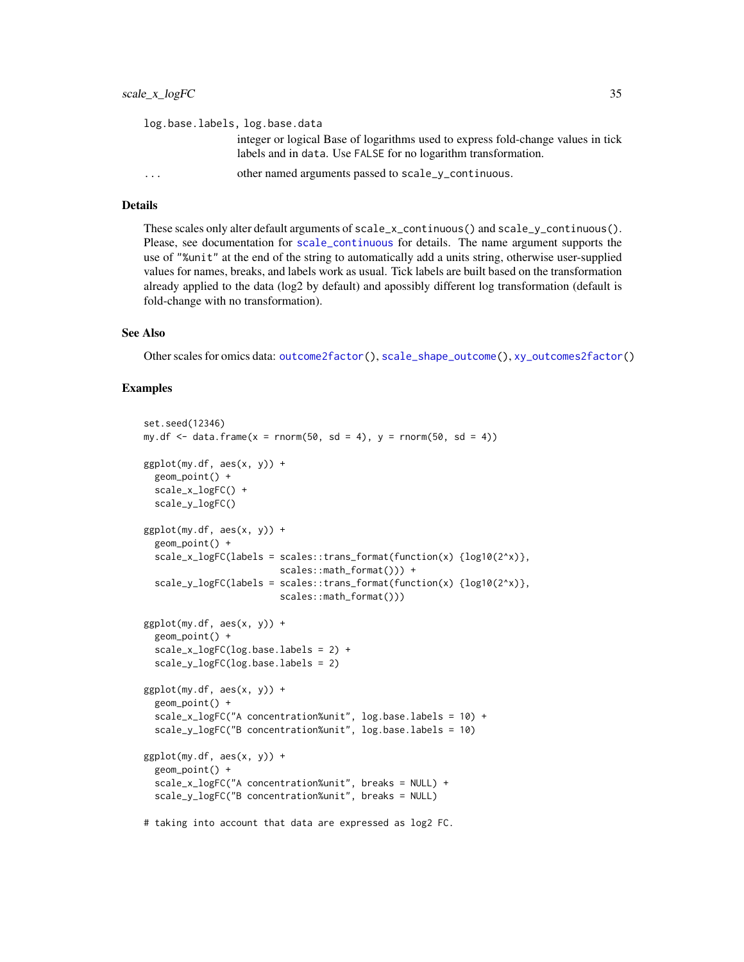| log.base.labels, log.base.data |                                                                                                                                                    |
|--------------------------------|----------------------------------------------------------------------------------------------------------------------------------------------------|
|                                | integer or logical Base of logarithms used to express fold-change values in tick<br>labels and in data. Use FALSE for no logarithm transformation. |
| $\cdot$                        | other named arguments passed to scale_y_continuous.                                                                                                |

# Details

These scales only alter default arguments of scale\_x\_continuous() and scale\_y\_continuous(). Please, see documentation for [scale\\_continuous](#page-0-0) for details. The name argument supports the use of "%unit" at the end of the string to automatically add a units string, otherwise user-supplied values for names, breaks, and labels work as usual. Tick labels are built based on the transformation already applied to the data (log2 by default) and apossibly different log transformation (default is fold-change with no transformation).

#### See Also

Other scales for omics data: [outcome2factor\(](#page-27-1)), [scale\\_shape\\_outcome\(](#page-31-1)), [xy\\_outcomes2factor\(](#page-92-1))

# Examples

```
set.seed(12346)
my.df \leq data.frame(x = rnorm(50, sd = 4), y = rnorm(50, sd = 4))
ggplot(my.df, aes(x, y)) +
 geom_point() +
 scale_x_logFC() +
 scale_y_logFC()
ggplot(my.df, aes(x, y)) +geom_point() +
 scale_x_logFC(labels = scales::trans\_format(function(x) {log10(2^x x)},scales::math_format())) +
  scale_y_logFC(labels = scales::trans\_format(function(x) {log10(2^x x)},scales::math_format()))
ggplot(my.df, aes(x, y)) +geom_point() +
 scale_x_logFC(log.base.labels = 2) +
 scale_y_logFC(log.base.labels = 2)
ggplot(my.df, aes(x, y)) +geom_point() +
 scale_x_logFC("A concentration%unit", log.base.labels = 10) +
 scale_y_logFC("B concentration%unit", log.base.labels = 10)
ggplot(my.df, aes(x, y)) +
 geom_point() +
 scale_x_logFC("A concentration%unit", breaks = NULL) +
 scale_y_logFC("B concentration%unit", breaks = NULL)
# taking into account that data are expressed as log2 FC.
```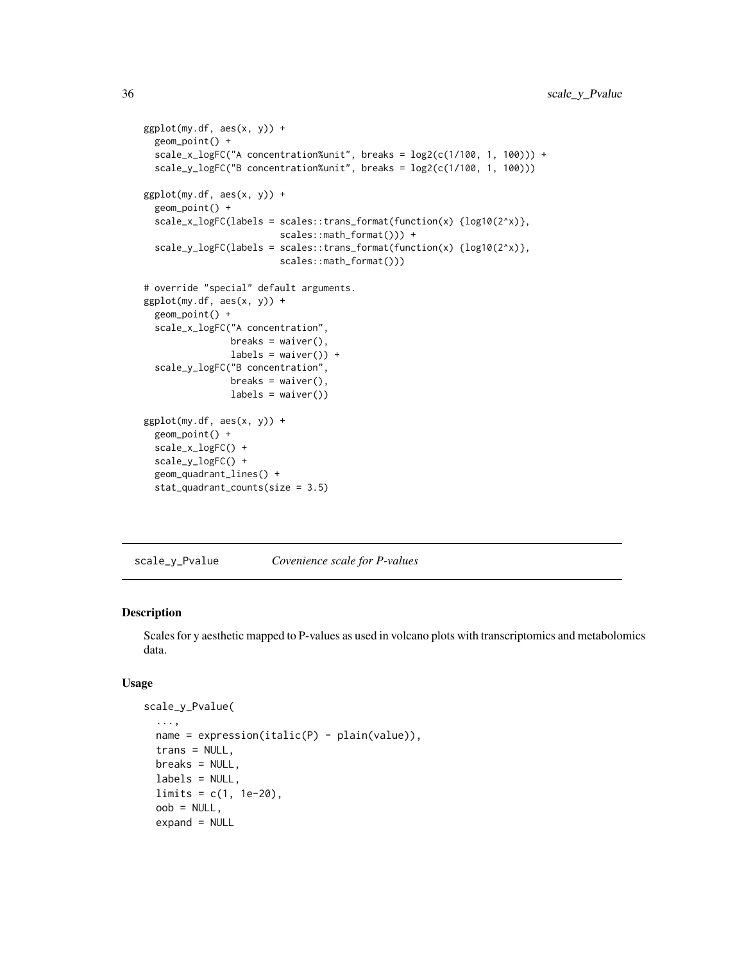```
ggplot(my.df, aes(x, y)) +geom_point() +
 scale_x_logFC("A concentration%unit", breaks = log2(c(1/100, 1, 100))) +
 scale_y_logFC("B concentration%unit", breaks = log2(c(1/100, 1, 100)))
ggplot(my.df, aes(x, y)) +geom_point() +
 scale_x_logFC(labels = scales::trans_format(function(x) {log10(2^x)},
                         scales::math_format())) +
 scale_y_logFC(labels = scales::trans_format(function(x) {log10(2^x)},
                         scales::math_format()))
# override "special" default arguments.
ggplot(my.df, aes(x, y)) +geom_point() +
 scale_x_logFC("A concentration",
                breaks = waiver(),
                labels = \text{waiver}() +scale_y_logFC("B concentration",
                breaks = waiver(),
                labels = waiver())
ggplot(my.df, aes(x, y)) +geom_point() +
 scale_x_logFC() +
 scale_y_logFC() +
 geom_quadrant_lines() +
 stat_quadrant_counts(size = 3.5)
```
<span id="page-35-1"></span>scale\_y\_Pvalue *Covenience scale for P-values*

#### Description

Scales for y aesthetic mapped to P-values as used in volcano plots with transcriptomics and metabolomics data.

# Usage

```
scale_y_Pvalue(
  ...,
  name = expression(italic(P) - plain(value)),
  trans = NULL,
 breaks = NULL,
  labels = NULL,limits = c(1, 1e-20),
  oob = NULL,expand = NULL
```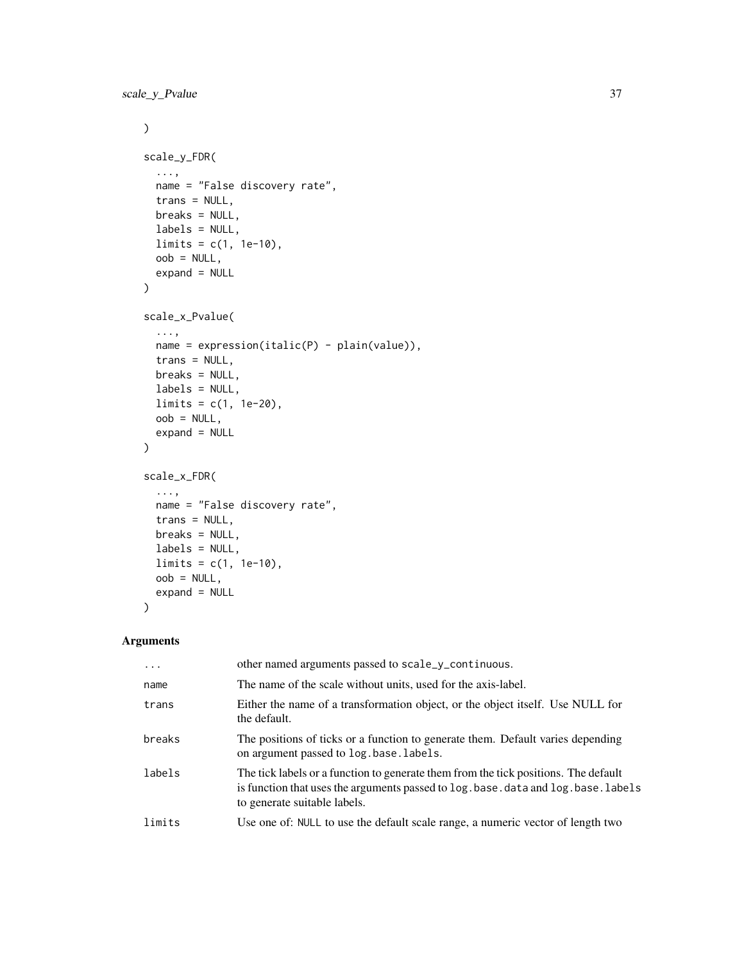```
\mathcal{L}scale_y_FDR(
  ...,
 name = "False discovery rate",
 trans = NULL,
 breaks = NULL,
 labels = NULL,
 limits = c(1, 1e-10),oob = NULL,expand = NULL\mathcal{L}scale_x_Pvalue(
  ...,
 name = expression(italic(P) - plain(value)),
 trans = NULL,
 breaks = NULL,
 labels = NULL,
 limits = c(1, 1e-20),
 oob = NULL,expand = NULL\mathcal{L}scale_x_FDR(
  ...,
 name = "False discovery rate",
 trans = NULL,
 breaks = NULL,
 labels = NULL,
 limits = c(1, 1e-10),oob = NULL,
 expand = NULL)
```

| $\ddots$ . | other named arguments passed to scale_y_continuous.                                                                                                                                                        |
|------------|------------------------------------------------------------------------------------------------------------------------------------------------------------------------------------------------------------|
| name       | The name of the scale without units, used for the axis-label.                                                                                                                                              |
| trans      | Either the name of a transformation object, or the object itself. Use NULL for<br>the default.                                                                                                             |
| breaks     | The positions of ticks or a function to generate them. Default varies depending<br>on argument passed to log.base.labels.                                                                                  |
| labels     | The tick labels or a function to generate them from the tick positions. The default<br>is function that uses the arguments passed to log. base. data and log. base. labels<br>to generate suitable labels. |
| limits     | Use one of: NULL to use the default scale range, a numeric vector of length two                                                                                                                            |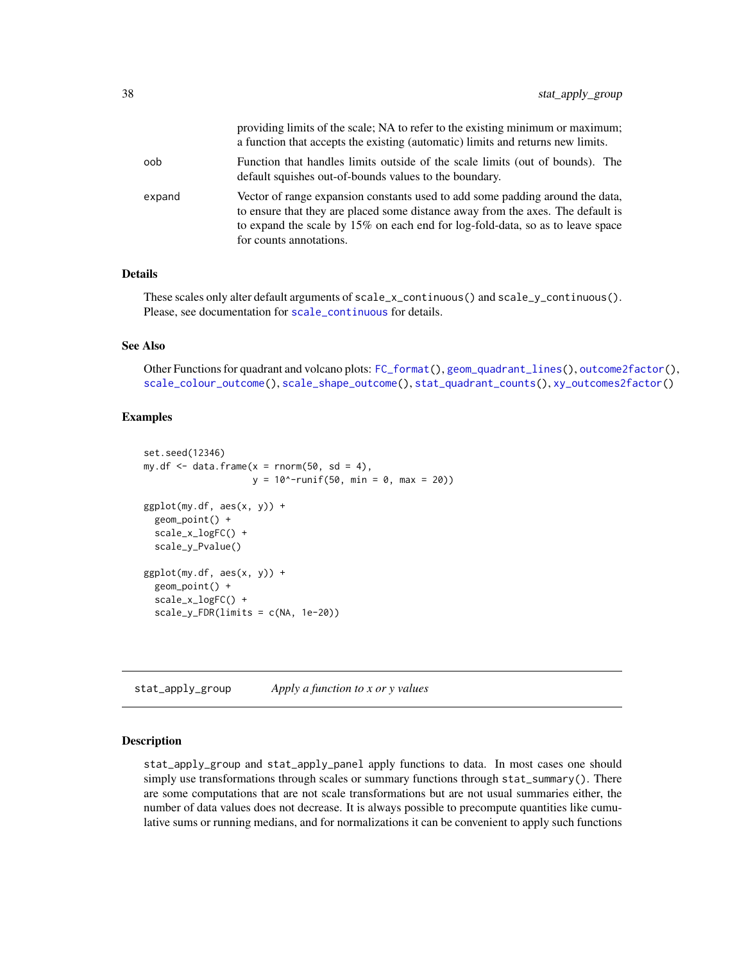|        | providing limits of the scale; NA to refer to the existing minimum or maximum;<br>a function that accepts the existing (automatic) limits and returns new limits.                                                                                                             |
|--------|-------------------------------------------------------------------------------------------------------------------------------------------------------------------------------------------------------------------------------------------------------------------------------|
| oob    | Function that handles limits outside of the scale limits (out of bounds). The<br>default squishes out-of-bounds values to the boundary.                                                                                                                                       |
| expand | Vector of range expansion constants used to add some padding around the data,<br>to ensure that they are placed some distance away from the axes. The default is<br>to expand the scale by 15% on each end for log-fold-data, so as to leave space<br>for counts annotations. |

These scales only alter default arguments of scale\_x\_continuous() and scale\_y\_continuous(). Please, see documentation for [scale\\_continuous](#page-0-0) for details.

### See Also

Other Functions for quadrant and volcano plots: [FC\\_format\(](#page-0-0)), [geom\\_quadrant\\_lines\(](#page-13-0)), [outcome2factor\(](#page-27-0)), [scale\\_colour\\_outcome\(](#page-28-0)), [scale\\_shape\\_outcome\(](#page-31-0)), [stat\\_quadrant\\_counts\(](#page-82-0)), [xy\\_outcomes2factor\(](#page-92-0))

## Examples

```
set.seed(12346)
my.df \leq data.frame(x = rnorm(50, sd = 4),
                    y = 10^{\circ}-runif(50, min = 0, max = 20))
ggplot(my.df, aes(x, y)) +
 geom_point() +
 scale_x_logFC() +
 scale_y_Pvalue()
ggplot(my.df, aes(x, y)) +
 geom_point() +
 scale_x_logFC() +
 scale_y_FDR(limits = c(NA, 1e-20))
```
stat\_apply\_group *Apply a function to x or y values*

## Description

stat\_apply\_group and stat\_apply\_panel apply functions to data. In most cases one should simply use transformations through scales or summary functions through stat\_summary(). There are some computations that are not scale transformations but are not usual summaries either, the number of data values does not decrease. It is always possible to precompute quantities like cumulative sums or running medians, and for normalizations it can be convenient to apply such functions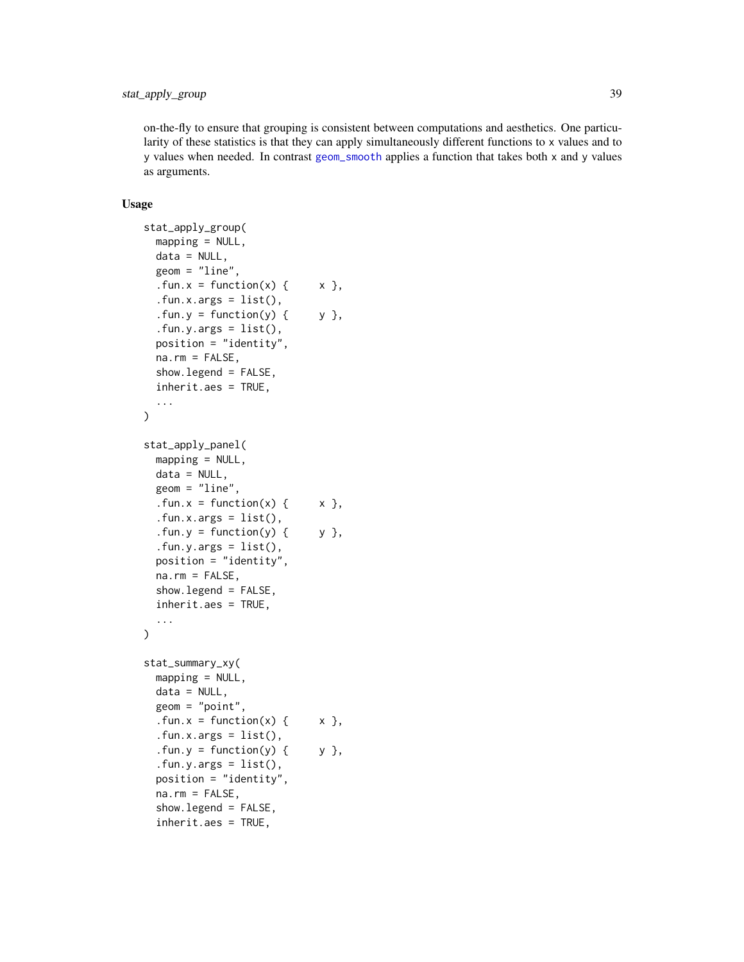on-the-fly to ensure that grouping is consistent between computations and aesthetics. One particularity of these statistics is that they can apply simultaneously different functions to x values and to y values when needed. In contrast [geom\\_smooth](#page-0-0) applies a function that takes both x and y values as arguments.

## Usage

```
stat_apply_group(
 mapping = NULL,
  data = NULL,geom = "line",.fun.x = function(x) { x },
  .fun.x.args = list(),
  .fun.y = function(y) { y },
  .fun.y.args = list(),
  position = "identity",
  na.rm = FALSE,show.legend = FALSE,
  inherit.aes = TRUE,
  ...
)
stat_apply_panel(
 mapping = NULL,
  data = NULL,geom = "line",.fun.x = function(x) { x },
  .fun.x.args = list(),
  . fun.y = function(y) { \qquad y },
  .fun.y.args = list(),
  position = "identity",
 na.rm = FALSE,show.legend = FALSE,
  inherit.aes = TRUE,
  ...
\mathcal{L}stat_summary_xy(
 mapping = NULL,
  data = NULL,geom = "point",
  .fun.x = function(x) { x },
  .fun.x.args = list(),
  . fun.y = function(y) { \qquad y },
  .fun.y.args = list(),
  position = "identity",
  na.rm = FALSE,show.legend = FALSE,
  inherit.aes = TRUE,
```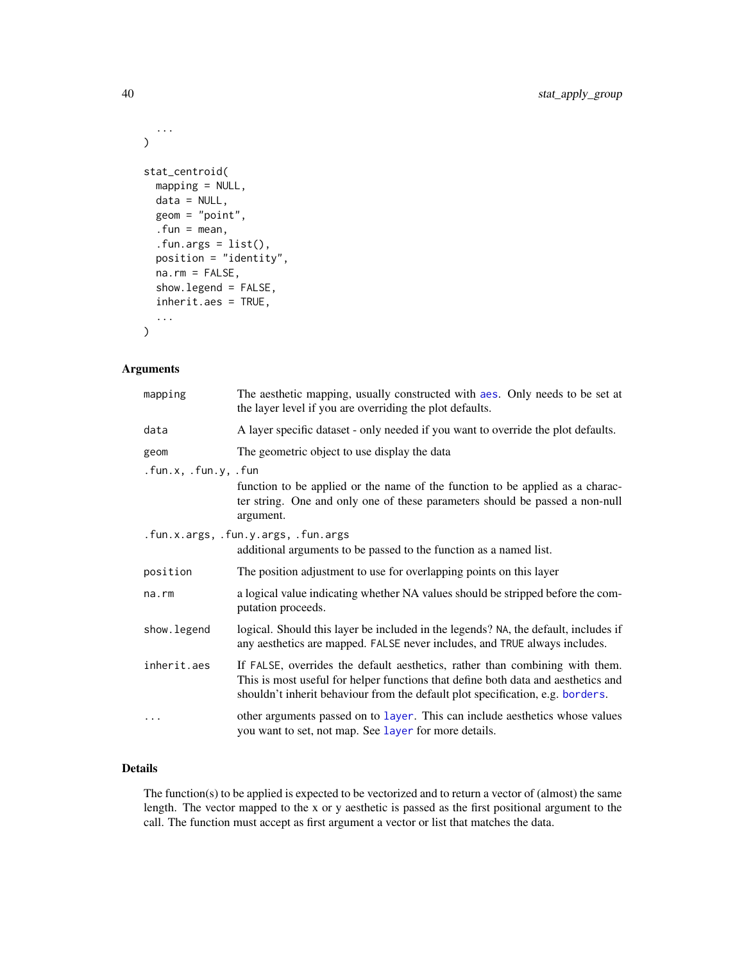```
...
\mathcal{L}stat_centroid(
 mapping = NULL,
 data = NULL,geom = "point",
  .fun = mean,
  .fun.args = list(),
 position = "identity",
  na.rm = FALSE,show.legend = FALSE,
  inherit.aes = TRUE,
  ...
)
```
## Arguments

| mapping              | The aesthetic mapping, usually constructed with aes. Only needs to be set at<br>the layer level if you are overriding the plot defaults.                                                                                                            |
|----------------------|-----------------------------------------------------------------------------------------------------------------------------------------------------------------------------------------------------------------------------------------------------|
| data                 | A layer specific dataset - only needed if you want to override the plot defaults.                                                                                                                                                                   |
| geom                 | The geometric object to use display the data                                                                                                                                                                                                        |
| .fun.x, .fun.y, .fun | function to be applied or the name of the function to be applied as a charac-<br>ter string. One and only one of these parameters should be passed a non-null<br>argument.                                                                          |
|                      | .fun.x.args, .fun.y.args, .fun.args<br>additional arguments to be passed to the function as a named list.                                                                                                                                           |
| position             | The position adjustment to use for overlapping points on this layer                                                                                                                                                                                 |
| na.rm                | a logical value indicating whether NA values should be stripped before the com-<br>putation proceeds.                                                                                                                                               |
| show.legend          | logical. Should this layer be included in the legends? NA, the default, includes if<br>any aesthetics are mapped. FALSE never includes, and TRUE always includes.                                                                                   |
| inherit.aes          | If FALSE, overrides the default aesthetics, rather than combining with them.<br>This is most useful for helper functions that define both data and aesthetics and<br>shouldn't inherit behaviour from the default plot specification, e.g. borders. |
| $\cdots$             | other arguments passed on to layer. This can include aesthetics whose values<br>you want to set, not map. See layer for more details.                                                                                                               |

# Details

The function(s) to be applied is expected to be vectorized and to return a vector of (almost) the same length. The vector mapped to the x or y aesthetic is passed as the first positional argument to the call. The function must accept as first argument a vector or list that matches the data.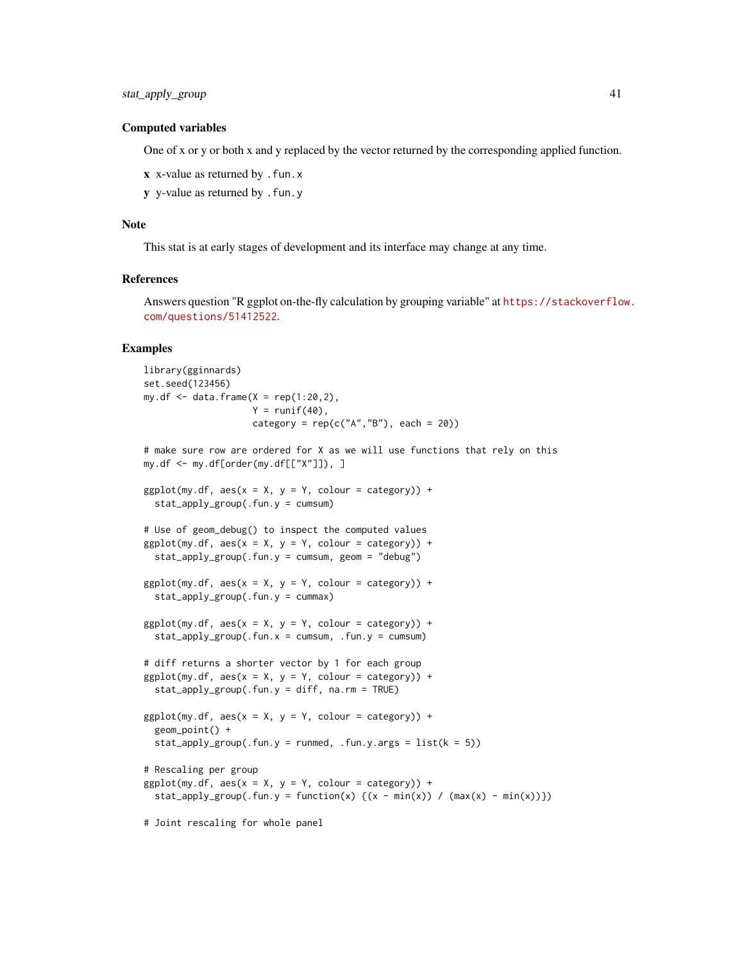### Computed variables

One of x or y or both x and y replaced by the vector returned by the corresponding applied function.

- x x-value as returned by .fun.x
- y y-value as returned by .fun.y

# Joint rescaling for whole panel

### Note

This stat is at early stages of development and its interface may change at any time.

# References

Answers question "R ggplot on-the-fly calculation by grouping variable" at [https://stackoverflo](https://stackoverflow.com/questions/51412522)w. [com/questions/51412522](https://stackoverflow.com/questions/51412522).

```
library(gginnards)
set.seed(123456)
my.df \leq data.frame(X = rep(1:20,2),
                    Y = runif(40),
                    category = rep(c("A", "B"), each = 20))# make sure row are ordered for X as we will use functions that rely on this
my.df <- my.df[order(my.df[["X"]]), ]
ggplot(my.df, aes(x = X, y = Y, colour = category)) +
  stat_apply_group(.fun.y = cumsum)
# Use of geom_debug() to inspect the computed values
ggplot(my.df, aes(x = X, y = Y, colour = category)) +stat\_apply\_group(.fun.y = cumsum, geom = "delay")ggplot(my.df, aes(x = X, y = Y, colour = category)) +stat\_apply\_group( . fun.y = cummax)ggplot(my.df, aes(x = X, y = Y, colour = category)) +stat\_apply\_group( .fun.x = cumsum, .fun.y = cumsum)# diff returns a shorter vector by 1 for each group
ggplot(my.df, aes(x = X, y = Y, colour = category)) +stat\_apply\_group(.fun.y = diff, na.rm = TRUE)ggplot(my.df, aes(x = X, y = Y, colour = category)) +geom_point() +
  stat_apply_group(.fun.y = runmed, .fun.y.args = list(k = 5))
# Rescaling per group
ggplot(my.df, aes(x = X, y = Y, colour = category)) +stat_apply_group(.fun.y = function(x) {(x - min(x)) / (max(x) - min(x))})
```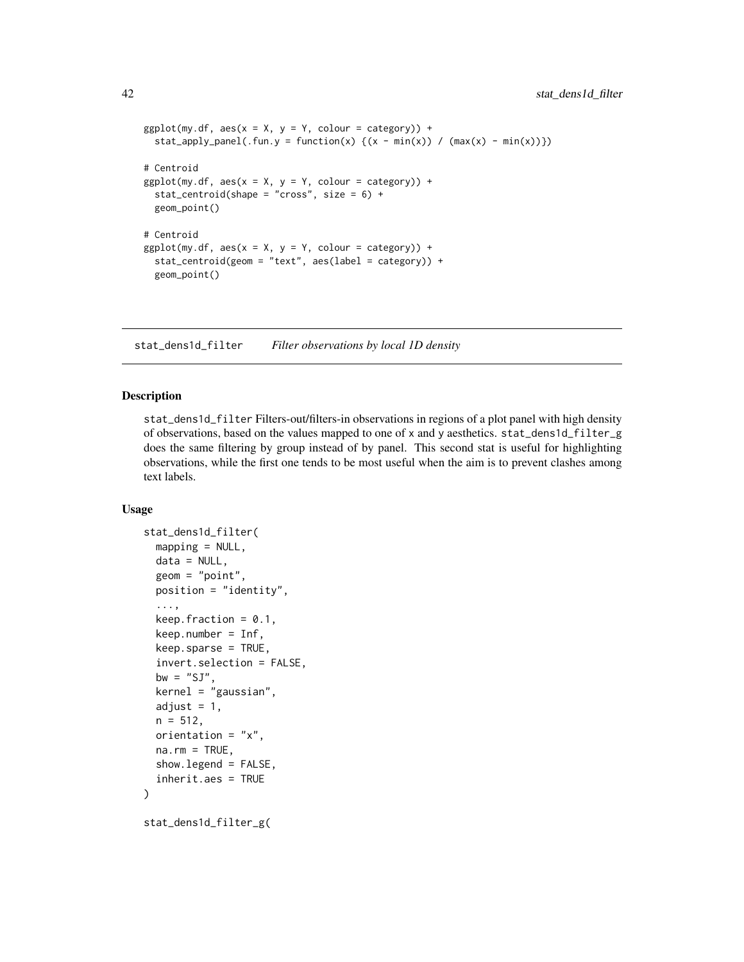```
ggplot(my.df, aes(x = X, y = Y, colour = category)) +stat_apply_panel(.fun.y = function(x) {(x - min(x)) / (max(x) - min(x))})
# Centroid
ggplot(my.df, aes(x = X, y = Y, colour = category)) +stat_centroid(shape = "cross", size = 6) +
 geom_point()
# Centroid
ggplot(my.df, aes(x = X, y = Y, colour = category)) +stat_centroid(geom = "text", aes(label = category)) +
 geom_point()
```
<span id="page-41-0"></span>stat\_dens1d\_filter *Filter observations by local 1D density*

### Description

stat\_dens1d\_filter Filters-out/filters-in observations in regions of a plot panel with high density of observations, based on the values mapped to one of x and y aesthetics. stat\_dens1d\_filter\_g does the same filtering by group instead of by panel. This second stat is useful for highlighting observations, while the first one tends to be most useful when the aim is to prevent clashes among text labels.

## Usage

```
stat_dens1d_filter(
  mapping = NULL,
  data = NULL,geom = "point",
 position = "identity",
  ...,
  keep.fraction = 0.1,
  keep.number = Inf,
  keep.sparse = TRUE,
  invert.selection = FALSE,
  bw = "SJ",kernel = "gaussian",
  adjust = 1,
  n = 512,
  orientation = "x",na.rm = TRUE,show.legend = FALSE,
  inherit.aes = TRUE
)
stat_dens1d_filter_g(
```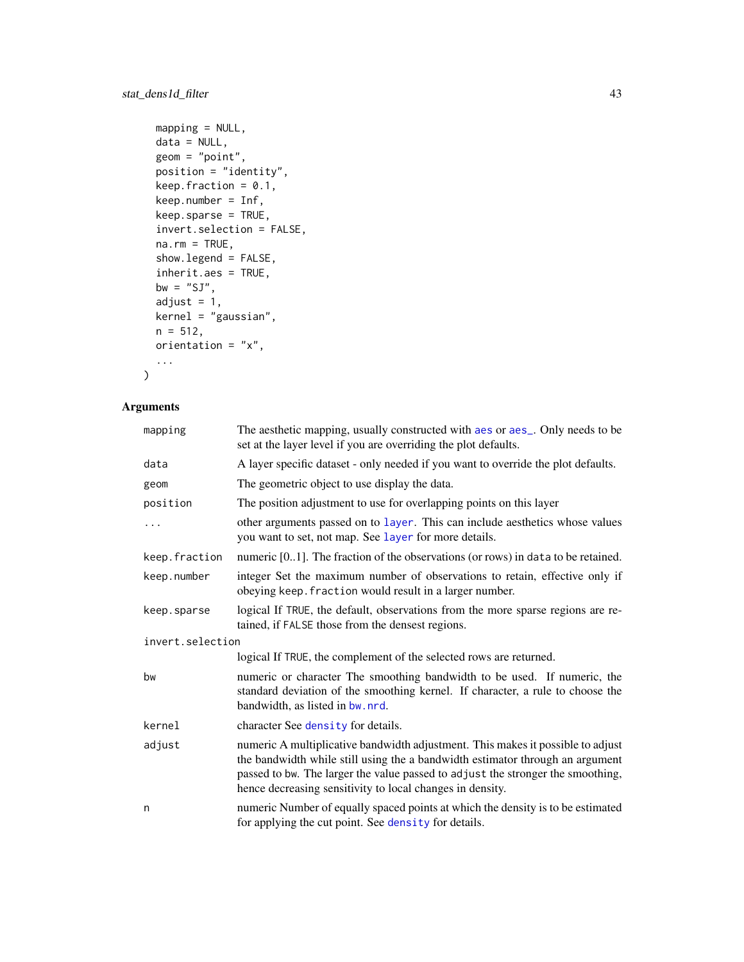# stat\_dens1d\_filter 43

```
mapping = NULL,
data = NULL,geom = "point",position = "identity",
keep.fraction = 0.1,
keep.number = Inf,
keep.sparse = TRUE,
invert.selection = FALSE,
na.rm = TRUE,show.legend = FALSE,
inherit.aes = TRUE,
bw = "SJ",adjust = 1,kernel = "gaussian",
n = 512,orientation = "x",...
```
# Arguments

 $\mathcal{L}$ 

| mapping          | The aesthetic mapping, usually constructed with aes or aes_. Only needs to be<br>set at the layer level if you are overriding the plot defaults.                                                                                                                                                                 |  |
|------------------|------------------------------------------------------------------------------------------------------------------------------------------------------------------------------------------------------------------------------------------------------------------------------------------------------------------|--|
| data             | A layer specific dataset - only needed if you want to override the plot defaults.                                                                                                                                                                                                                                |  |
| geom             | The geometric object to use display the data.                                                                                                                                                                                                                                                                    |  |
| position         | The position adjustment to use for overlapping points on this layer                                                                                                                                                                                                                                              |  |
| $\ddots$         | other arguments passed on to layer. This can include aesthetics whose values<br>you want to set, not map. See layer for more details.                                                                                                                                                                            |  |
| keep.fraction    | numeric [01]. The fraction of the observations (or rows) in data to be retained.                                                                                                                                                                                                                                 |  |
| keep.number      | integer Set the maximum number of observations to retain, effective only if<br>obeying keep. fraction would result in a larger number.                                                                                                                                                                           |  |
| keep.sparse      | logical If TRUE, the default, observations from the more sparse regions are re-<br>tained, if FALSE those from the densest regions.                                                                                                                                                                              |  |
| invert.selection |                                                                                                                                                                                                                                                                                                                  |  |
|                  | logical If TRUE, the complement of the selected rows are returned.                                                                                                                                                                                                                                               |  |
| bw               | numeric or character The smoothing bandwidth to be used. If numeric, the<br>standard deviation of the smoothing kernel. If character, a rule to choose the<br>bandwidth, as listed in bw. nrd.                                                                                                                   |  |
| kernel           | character See density for details.                                                                                                                                                                                                                                                                               |  |
| adjust           | numeric A multiplicative bandwidth adjustment. This makes it possible to adjust<br>the bandwidth while still using the a bandwidth estimator through an argument<br>passed to bw. The larger the value passed to adjust the stronger the smoothing,<br>hence decreasing sensitivity to local changes in density. |  |
| n                | numeric Number of equally spaced points at which the density is to be estimated<br>for applying the cut point. See density for details.                                                                                                                                                                          |  |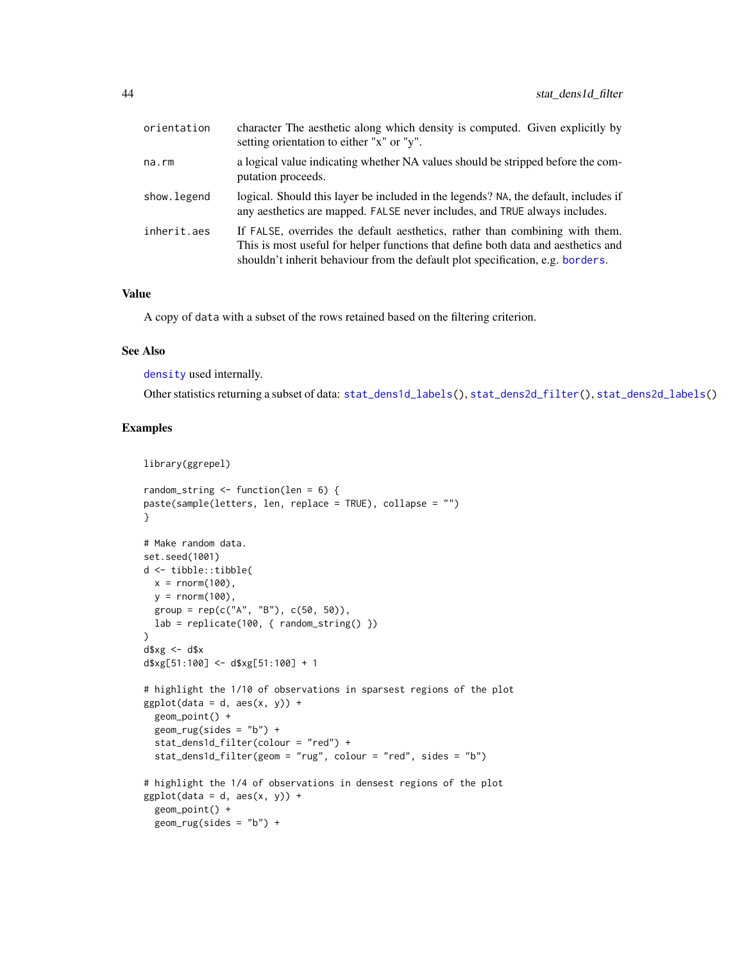| orientation | character The aesthetic along which density is computed. Given explicitly by<br>setting orientation to either "x" or "y".                                                                                                                           |
|-------------|-----------------------------------------------------------------------------------------------------------------------------------------------------------------------------------------------------------------------------------------------------|
| na.rm       | a logical value indicating whether NA values should be stripped before the com-<br>putation proceeds.                                                                                                                                               |
| show.legend | logical. Should this layer be included in the legends? NA, the default, includes if<br>any aesthetics are mapped. FALSE never includes, and TRUE always includes.                                                                                   |
| inherit.aes | If FALSE, overrides the default aesthetics, rather than combining with them.<br>This is most useful for helper functions that define both data and aesthetics and<br>shouldn't inherit behaviour from the default plot specification, e.g. borders. |

# Value

A copy of data with a subset of the rows retained based on the filtering criterion.

### See Also

[density](#page-0-0) used internally.

Other statistics returning a subset of data: [stat\\_dens1d\\_labels\(](#page-45-0)), [stat\\_dens2d\\_filter\(](#page-48-0)), [stat\\_dens2d\\_labels\(](#page-51-0))

# Examples

library(ggrepel)

```
random_string \le function(len = 6) {
paste(sample(letters, len, replace = TRUE), collapse = "")
}
# Make random data.
set.seed(1001)
d <- tibble::tibble(
 x = \text{norm}(100),
 y = rnorm(100),
 group = rep(c("A", "B"), c(50, 50)),lab = replicate(100, { random_string() })
)
d$xg <- d$x
d$xg[51:100] <- d$xg[51:100] + 1
# highlight the 1/10 of observations in sparsest regions of the plot
ggplot(data = d, aes(x, y)) +geom_point() +
  geom_rug(sides = "b") +
  stat_dens1d_filter(colour = "red") +
  stat_dens1d_filter(geom = "rug", colour = "red", sides = "b")
# highlight the 1/4 of observations in densest regions of the plot
ggplot(data = d, aes(x, y)) +geom_point() +
  geom_rug(sides = "b") +
```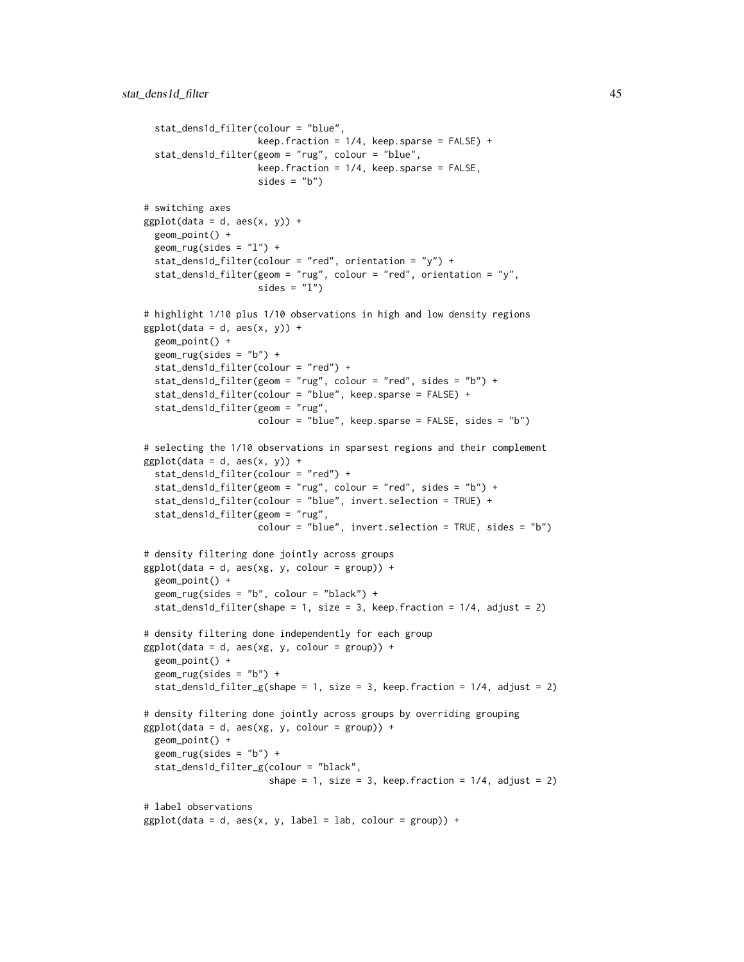```
stat_dens1d_filter(colour = "blue",
                    keep.fraction = 1/4, keep.sparse = FALSE) +
 stat_dens1d_filter(geom = "rug", colour = "blue",
                    keep.fraction = 1/4, keep.sparse = FALSE,
                     sides = "b")
# switching axes
ggplot(data = d, aes(x, y)) +geom_point() +
 geom_rug(sides = "l") +
 stat_dens1d_filter(colour = "red", orientation = "y") +
 stat_dens1d_filter(geom = "rug", colour = "red", orientation = "y",
                     sides = "1")
# highlight 1/10 plus 1/10 observations in high and low density regions
ggplot(data = d, aes(x, y)) +geom_point() +
 geom_rug(sides = "b") +
 stat_dens1d_filter(colour = "red") +
 stat_dens1d_filter(geom = "rug", colour = "red", sides = "b") +
 stat_dens1d_filter(colour = "blue", keep.sparse = FALSE) +
 stat_dens1d_filter(geom = "rug",
                    colour = "blue", keep.sparse = FALSE, sides = "b")
# selecting the 1/10 observations in sparsest regions and their complement
ggplot(data = d, aes(x, y)) +stat_dens1d_filter(colour = "red") +
 stat_dens1d_filter(geom = "rug", colour = "red", sides = "b") +
 stat_dens1d_filter(colour = "blue", invert.selection = TRUE) +
 stat_dens1d_filter(geom = "rug",
                    colour = "blue", invert.selection = TRUE, sides = "b")
# density filtering done jointly across groups
ggplot(data = d, aes(xg, y, colour = group)) +geom_point() +
 geom_rug(sides = "b", colour = "black") +stat_dens1d_filter(shape = 1, size = 3, keep.fraction = 1/4, adjust = 2)
# density filtering done independently for each group
ggplot(data = d, aes(xg, y, colour = group)) +geom_point() +
 geom_rug(sides = "b") +stat_dens1d_filter_g(shape = 1, size = 3, keep.fraction = 1/4, adjust = 2)
# density filtering done jointly across groups by overriding grouping
ggplot(data = d, aes(xg, y, colour = group)) +geom_point() +
 geom_rug(sides = "b") +stat_dens1d_filter_g(colour = "black",
                       shape = 1, size = 3, keep. fraction = 1/4, adjust = 2)
# label observations
ggplot(data = d, aes(x, y, label = lab, colour = group)) +
```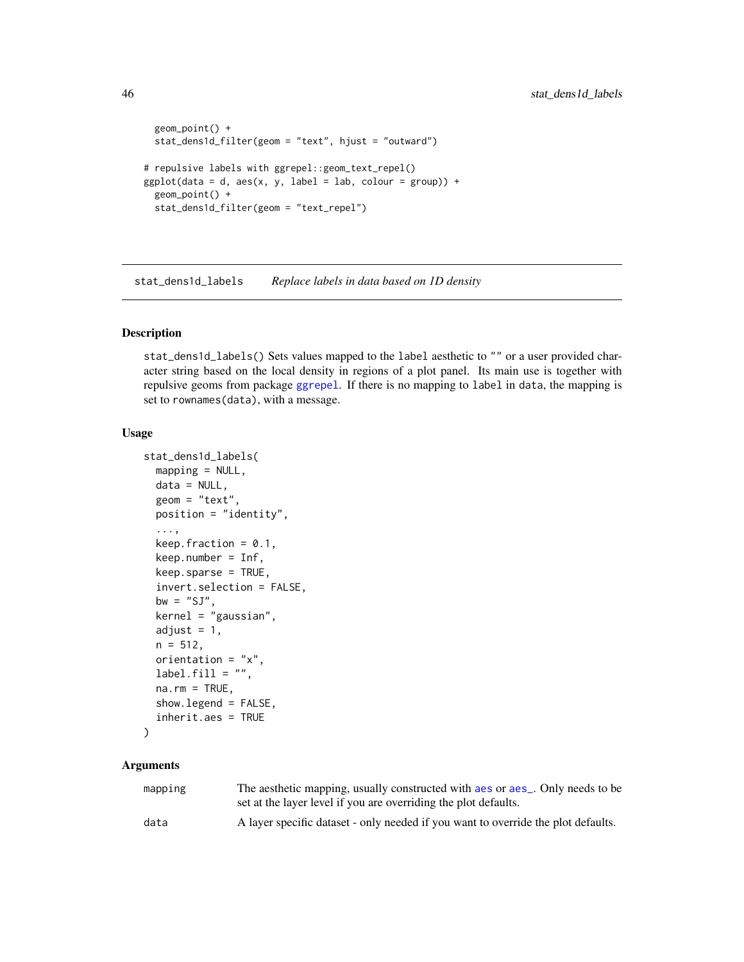```
geom_point() +
 stat_dens1d_filter(geom = "text", hjust = "outward")
# repulsive labels with ggrepel::geom_text_repel()
ggplot(data = d, aes(x, y, label = lab, colour = group)) +geom_point() +
 stat_dens1d_filter(geom = "text_repel")
```
<span id="page-45-0"></span>stat\_dens1d\_labels *Replace labels in data based on 1D density*

# Description

stat\_dens1d\_labels() Sets values mapped to the label aesthetic to "" or a user provided character string based on the local density in regions of a plot panel. Its main use is together with repulsive geoms from package [ggrepel](#page-0-0). If there is no mapping to label in data, the mapping is set to rownames(data), with a message.

# Usage

```
stat_dens1d_labels(
  mapping = NULL,data = NULL,geom = "text",
  position = "identity",
  ...,
  keep.fraction = 0.1,
  keep.number = Inf,keep.sparse = TRUE,
  invert.selection = FALSE,
  bw = "SJ",kernel = "gaussian",
  adjust = 1,
  n = 512,orientation = "x",
  label.fill = '''',
  na.rm = TRUE,show.legend = FALSE,
  inherit.aes = TRUE
```

```
\mathcal{L}
```

| mapping | The aesthetic mapping, usually constructed with a es or a es_. Only needs to be   |
|---------|-----------------------------------------------------------------------------------|
|         | set at the layer level if you are overriding the plot defaults.                   |
| data    | A layer specific dataset - only needed if you want to override the plot defaults. |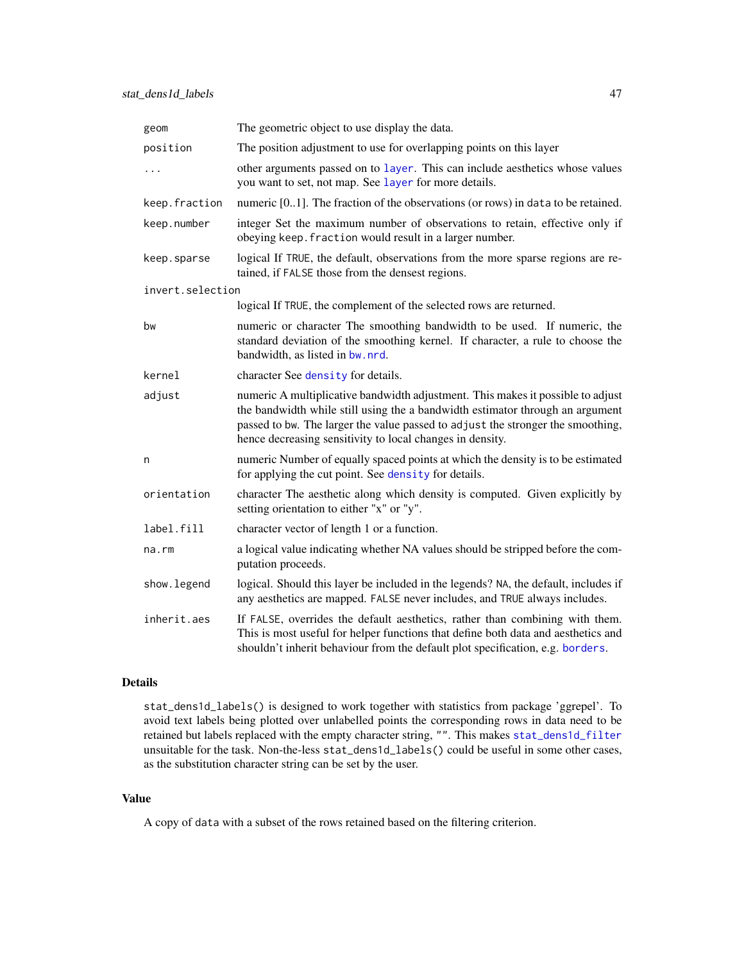| geom             | The geometric object to use display the data.                                                                                                                                                                                                                                                                    |
|------------------|------------------------------------------------------------------------------------------------------------------------------------------------------------------------------------------------------------------------------------------------------------------------------------------------------------------|
| position         | The position adjustment to use for overlapping points on this layer                                                                                                                                                                                                                                              |
| $\ddots$         | other arguments passed on to layer. This can include aesthetics whose values<br>you want to set, not map. See layer for more details.                                                                                                                                                                            |
| keep.fraction    | numeric [01]. The fraction of the observations (or rows) in data to be retained.                                                                                                                                                                                                                                 |
| keep.number      | integer Set the maximum number of observations to retain, effective only if<br>obeying keep. fraction would result in a larger number.                                                                                                                                                                           |
| keep.sparse      | logical If TRUE, the default, observations from the more sparse regions are re-<br>tained, if FALSE those from the densest regions.                                                                                                                                                                              |
| invert.selection |                                                                                                                                                                                                                                                                                                                  |
|                  | logical If TRUE, the complement of the selected rows are returned.                                                                                                                                                                                                                                               |
| bw               | numeric or character The smoothing bandwidth to be used. If numeric, the<br>standard deviation of the smoothing kernel. If character, a rule to choose the<br>bandwidth, as listed in bw.nrd.                                                                                                                    |
| kernel           | character See density for details.                                                                                                                                                                                                                                                                               |
| adjust           | numeric A multiplicative bandwidth adjustment. This makes it possible to adjust<br>the bandwidth while still using the a bandwidth estimator through an argument<br>passed to bw. The larger the value passed to adjust the stronger the smoothing,<br>hence decreasing sensitivity to local changes in density. |
| n                | numeric Number of equally spaced points at which the density is to be estimated<br>for applying the cut point. See density for details.                                                                                                                                                                          |
| orientation      | character The aesthetic along which density is computed. Given explicitly by<br>setting orientation to either "x" or "y".                                                                                                                                                                                        |
| label.fill       | character vector of length 1 or a function.                                                                                                                                                                                                                                                                      |
| $na$ . $rm$      | a logical value indicating whether NA values should be stripped before the com-<br>putation proceeds.                                                                                                                                                                                                            |
| show.legend      | logical. Should this layer be included in the legends? NA, the default, includes if<br>any aesthetics are mapped. FALSE never includes, and TRUE always includes.                                                                                                                                                |
| inherit.aes      | If FALSE, overrides the default aesthetics, rather than combining with them.<br>This is most useful for helper functions that define both data and aesthetics and<br>shouldn't inherit behaviour from the default plot specification, e.g. borders.                                                              |

stat\_dens1d\_labels() is designed to work together with statistics from package 'ggrepel'. To avoid text labels being plotted over unlabelled points the corresponding rows in data need to be retained but labels replaced with the empty character string, "". This makes [stat\\_dens1d\\_filter](#page-41-0) unsuitable for the task. Non-the-less stat\_dens1d\_labels() could be useful in some other cases, as the substitution character string can be set by the user.

### Value

A copy of data with a subset of the rows retained based on the filtering criterion.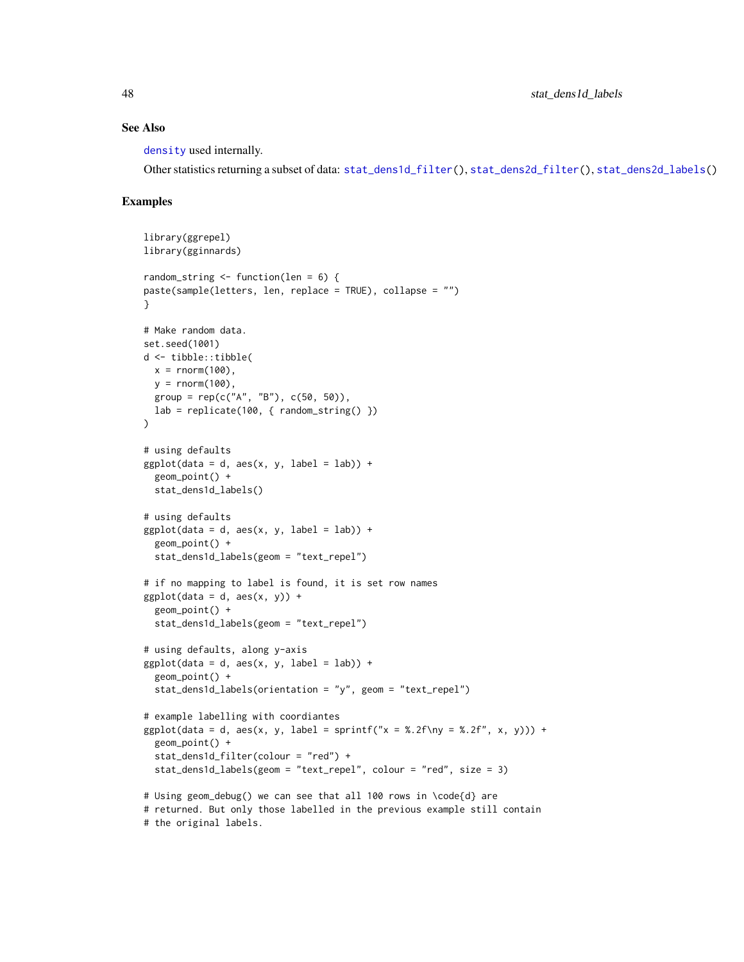## See Also

[density](#page-0-0) used internally.

Other statistics returning a subset of data: [stat\\_dens1d\\_filter\(](#page-41-0)), [stat\\_dens2d\\_filter\(](#page-48-0)), [stat\\_dens2d\\_labels\(](#page-51-0))

```
library(ggrepel)
library(gginnards)
random_string <- function(len = 6) {
paste(sample(letters, len, replace = TRUE), collapse = "")
}
# Make random data.
set.seed(1001)
d <- tibble::tibble(
 x = rnorm(100),
  y = rnorm(100),
  group = rep(c("A", "B"), c(50, 50)),lab = replicate(100, { random_string() })
)
# using defaults
ggplot(data = d, aes(x, y, label = lab)) +geom_point() +
  stat_dens1d_labels()
# using defaults
ggplot(data = d, aes(x, y, label = lab)) +geom_point() +
  stat_dens1d_labels(geom = "text_repel")
# if no mapping to label is found, it is set row names
ggplot(data = d, aes(x, y)) +geom_point() +
  stat_dens1d_labels(geom = "text_repel")
# using defaults, along y-axis
ggplot(data = d, aes(x, y, label = lab)) +geom_point() +
  stat_dens1d_labels(orientation = "y", geom = "text_repel")
# example labelling with coordiantes
ggplot(data = d, aes(x, y, label = sprintf("x = %.2f\ny = %.2f", x, y))) +geom_point() +
  stat_dens1d_filter(colour = "red") +
  stat_dens1d_labels(geom = "text_repel", colour = "red", size = 3)
# Using geom_debug() we can see that all 100 rows in \code{d} are
# returned. But only those labelled in the previous example still contain
# the original labels.
```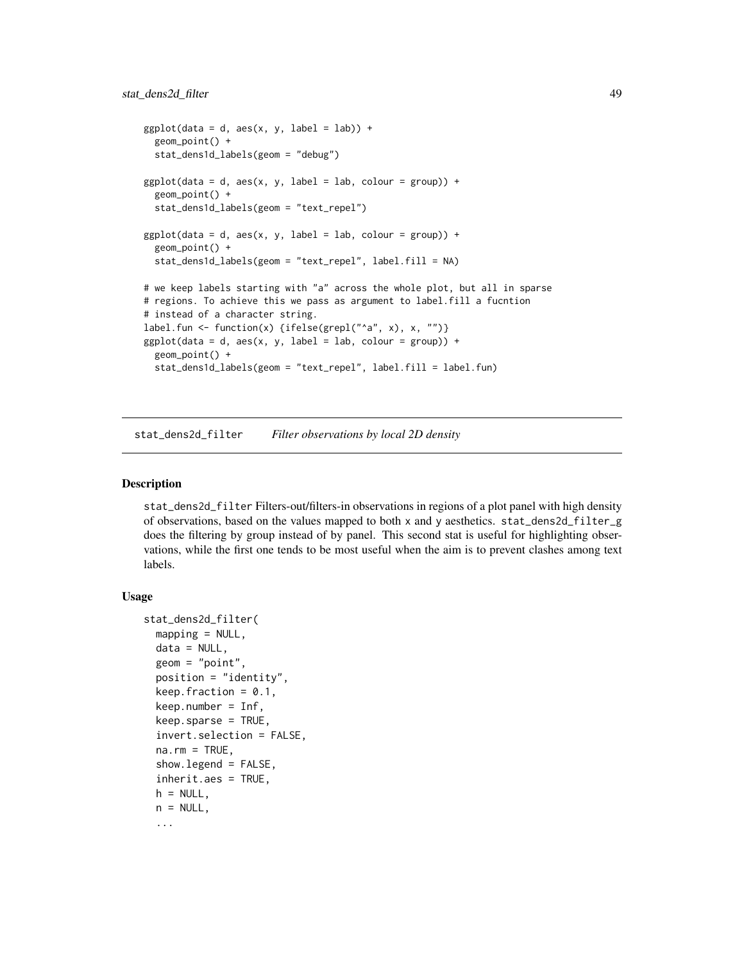```
ggplot(data = d, aes(x, y, label = lab)) +geom_point() +
 stat_dens1d_labels(geom = "debug")
ggplot(data = d, aes(x, y, label = lab, colour = group)) +geom_point() +
 stat_dens1d_labels(geom = "text_repel")
ggplot(data = d, aes(x, y, label = lab, colour = group)) +geom_point() +
 stat_dens1d_labels(geom = "text_repel", label.fill = NA)
# we keep labels starting with "a" across the whole plot, but all in sparse
# regions. To achieve this we pass as argument to label.fill a fucntion
# instead of a character string.
label.fun <- function(x) {ifelse(grepl("^a", x), x, "")}
ggplot(data = d, aes(x, y, label = lab, colour = group)) +geom_point() +
 stat_dens1d_labels(geom = "text_repel", label.fill = label.fun)
```
<span id="page-48-0"></span>stat\_dens2d\_filter *Filter observations by local 2D density*

#### **Description**

stat\_dens2d\_filter Filters-out/filters-in observations in regions of a plot panel with high density of observations, based on the values mapped to both x and y aesthetics. stat\_dens2d\_filter\_g does the filtering by group instead of by panel. This second stat is useful for highlighting observations, while the first one tends to be most useful when the aim is to prevent clashes among text labels.

### Usage

```
stat_dens2d_filter(
  mapping = NULL,data = NULL,geom = "point",position = "identity",
  keep. fraction = 0.1,
  keep.number = Inf,
  keep.sparse = TRUE,
  invert.selection = FALSE,
  na.rm = TRUE,show.legend = FALSE,
  inherit.aes = TRUE,
  h = NULL,n = NULL,...
```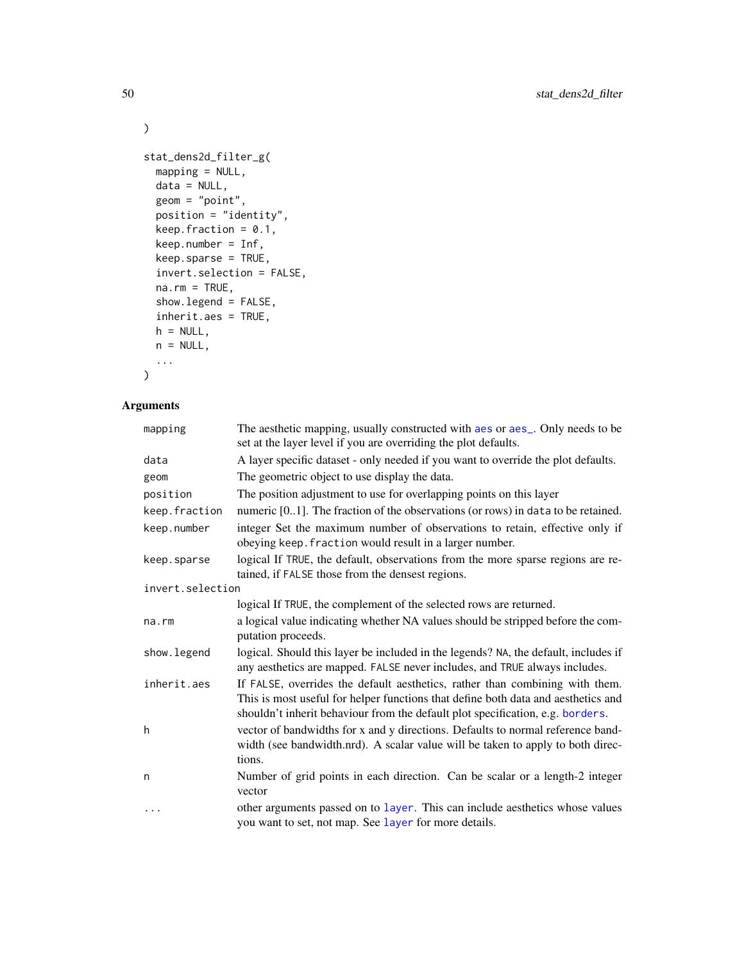```
stat_dens2d_filter_g(
 mapping = NULL,
 data = NULL,
 geom = "point",
 position = "identity",
 keep.fraction = 0.1,
  keep.number = Inf,
 keep.sparse = TRUE,
  invert.selection = FALSE,
  na.rm = TRUE,show.legend = FALSE,
  inherit.aes = TRUE,
 h = NULL,n = NULL,...
\mathcal{L}
```
# Arguments

| mapping          | The aesthetic mapping, usually constructed with aes or aes_. Only needs to be<br>set at the layer level if you are overriding the plot defaults.                                                                                                    |
|------------------|-----------------------------------------------------------------------------------------------------------------------------------------------------------------------------------------------------------------------------------------------------|
| data             | A layer specific dataset - only needed if you want to override the plot defaults.                                                                                                                                                                   |
| geom             | The geometric object to use display the data.                                                                                                                                                                                                       |
| position         | The position adjustment to use for overlapping points on this layer                                                                                                                                                                                 |
| keep.fraction    | numeric [01]. The fraction of the observations (or rows) in data to be retained.                                                                                                                                                                    |
| keep.number      | integer Set the maximum number of observations to retain, effective only if<br>obeying keep. fraction would result in a larger number.                                                                                                              |
| keep.sparse      | logical If TRUE, the default, observations from the more sparse regions are re-<br>tained, if FALSE those from the densest regions.                                                                                                                 |
| invert.selection |                                                                                                                                                                                                                                                     |
|                  | logical If TRUE, the complement of the selected rows are returned.                                                                                                                                                                                  |
| na.rm            | a logical value indicating whether NA values should be stripped before the com-<br>putation proceeds.                                                                                                                                               |
| show.legend      | logical. Should this layer be included in the legends? NA, the default, includes if<br>any aesthetics are mapped. FALSE never includes, and TRUE always includes.                                                                                   |
| inherit.aes      | If FALSE, overrides the default aesthetics, rather than combining with them.<br>This is most useful for helper functions that define both data and aesthetics and<br>shouldn't inherit behaviour from the default plot specification, e.g. borders. |
| h                | vector of bandwidths for x and y directions. Defaults to normal reference band-<br>width (see bandwidth.nrd). A scalar value will be taken to apply to both direc-<br>tions.                                                                        |
| n                | Number of grid points in each direction. Can be scalar or a length-2 integer<br>vector                                                                                                                                                              |
| .                | other arguments passed on to layer. This can include aesthetics whose values<br>you want to set, not map. See layer for more details.                                                                                                               |

 $\lambda$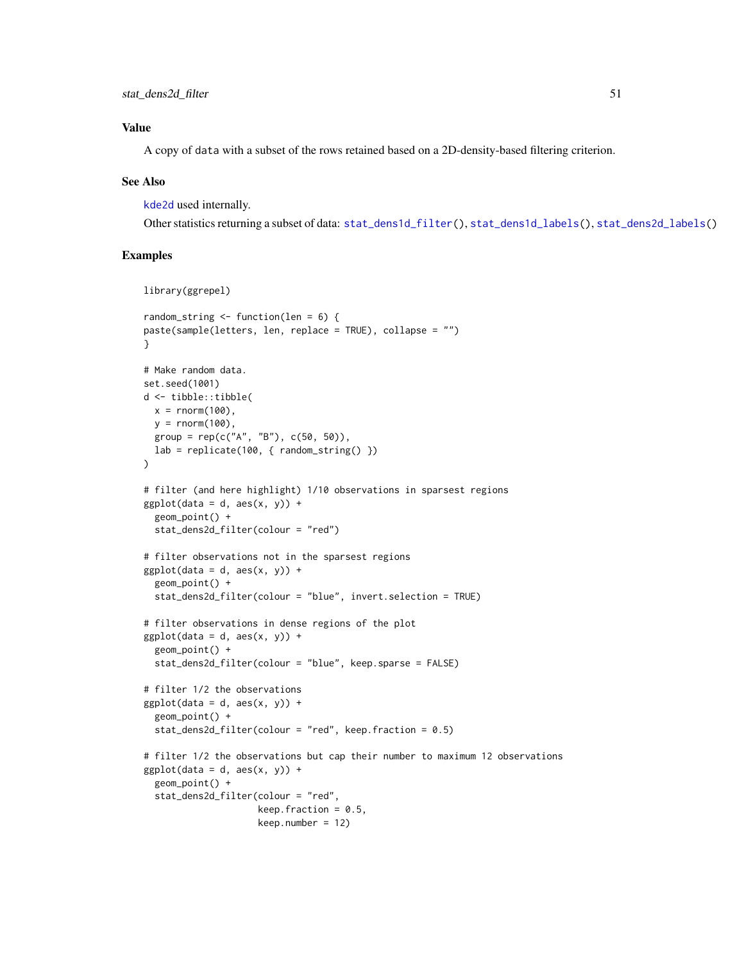# Value

A copy of data with a subset of the rows retained based on a 2D-density-based filtering criterion.

#### See Also

[kde2d](#page-0-0) used internally.

Other statistics returning a subset of data: [stat\\_dens1d\\_filter\(](#page-41-0)), [stat\\_dens1d\\_labels\(](#page-45-0)), [stat\\_dens2d\\_labels\(](#page-51-0))

```
library(ggrepel)
random_string \le function(len = 6) {
paste(sample(letters, len, replace = TRUE), collapse = "")
}
# Make random data.
set.seed(1001)
d <- tibble::tibble(
 x = \text{norm}(100),
  y = rnorm(100),
  group = rep(c("A", "B"), c(50, 50)),lab = replicate(100, { random_string() })
)
# filter (and here highlight) 1/10 observations in sparsest regions
ggplot(data = d, aes(x, y)) +geom_point() +
  stat_dens2d_filter(colour = "red")
# filter observations not in the sparsest regions
ggplot(data = d, aes(x, y)) +geom_point() +
  stat_dens2d_filter(colour = "blue", invert.selection = TRUE)
# filter observations in dense regions of the plot
ggplot(data = d, aes(x, y)) +geom_point() +
  stat_dens2d_filter(colour = "blue", keep.sparse = FALSE)
# filter 1/2 the observations
ggplot(data = d, aes(x, y)) +geom_point() +
  stat_dens2d_filter(colour = "red", keep.fraction = 0.5)
# filter 1/2 the observations but cap their number to maximum 12 observations
ggplot(data = d, aes(x, y)) +geom_point() +
  stat_dens2d_filter(colour = "red",
                     keep.fraction = 0.5,
                     keep.number = 12)
```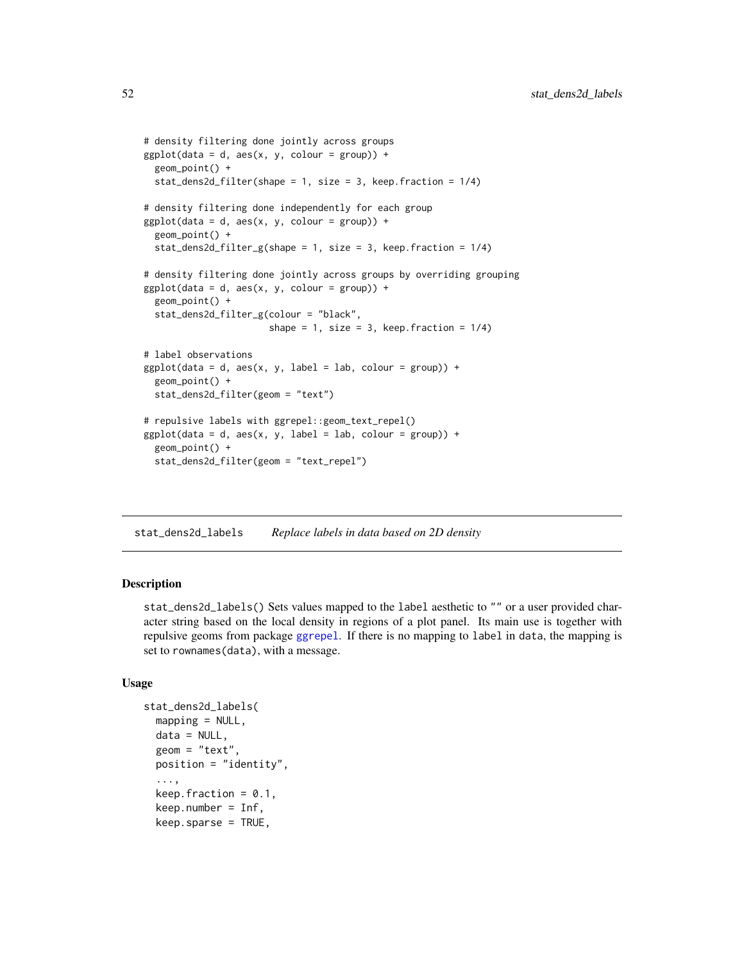```
# density filtering done jointly across groups
ggplot(data = d, aes(x, y, colour = group)) +geom_point() +
 stat_dens2d_filter(shape = 1, size = 3, keep.fraction = 1/4)
# density filtering done independently for each group
ggplot(data = d, aes(x, y, colour = group)) +geom_point() +
 stat_dens2d_filter_g(shape = 1, size = 3, keep.fraction = 1/4)
# density filtering done jointly across groups by overriding grouping
ggplot(data = d, aes(x, y, colour = group)) +geom_point() +
 stat_dens2d_filter_g(colour = "black",
                       shape = 1, size = 3, keep. fraction = 1/4)
# label observations
ggplot(data = d, aes(x, y, label = lab, colour = group)) +geom_point() +
 stat_dens2d_filter(geom = "text")
# repulsive labels with ggrepel::geom_text_repel()
ggplot(data = d, aes(x, y, label = lab, colour = group)) +geom_point() +
 stat_dens2d_filter(geom = "text_repel")
```
<span id="page-51-0"></span>stat\_dens2d\_labels *Replace labels in data based on 2D density*

### Description

stat\_dens2d\_labels() Sets values mapped to the label aesthetic to "" or a user provided character string based on the local density in regions of a plot panel. Its main use is together with repulsive geoms from package [ggrepel](#page-0-0). If there is no mapping to label in data, the mapping is set to rownames(data), with a message.

## Usage

```
stat_dens2d_labels(
 mapping = NULL,data = NULL,geom = "text",
 position = "identity",
  ...,
 keep.fraction = 0.1,
  keep.number = Inf,keep.sparse = TRUE,
```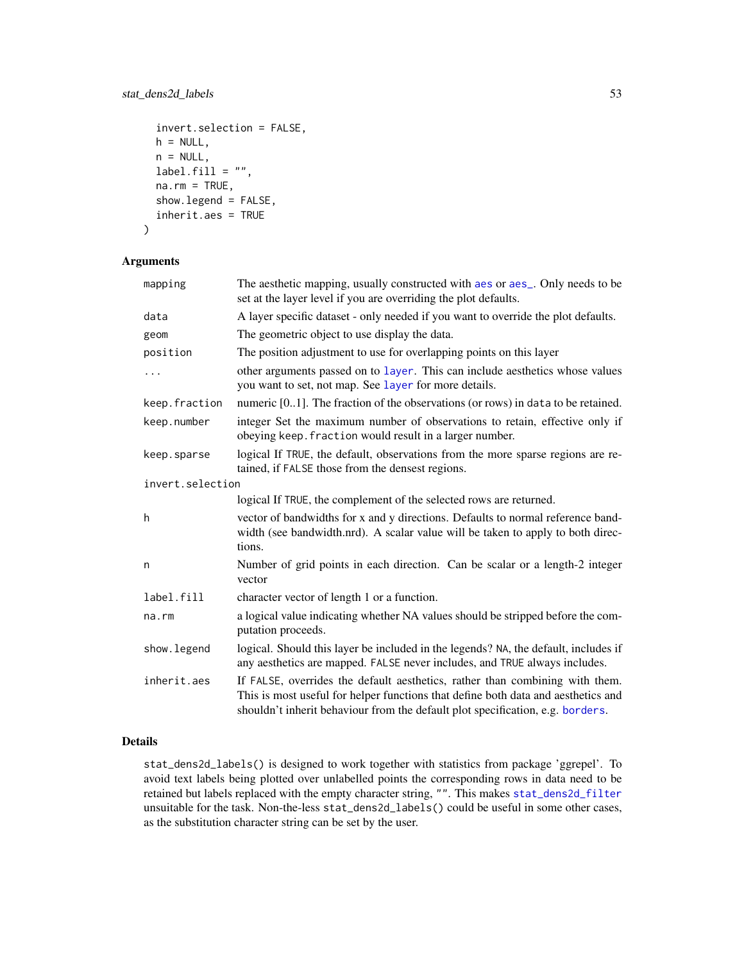# stat\_dens2d\_labels 53

```
invert.selection = FALSE,
 h = NULL,n = NULL,label.fill = "",na.rm = TRUE,show.legend = FALSE,
  inherit.aes = TRUE
\mathcal{L}
```
# Arguments

| mapping          | The aesthetic mapping, usually constructed with aes or aes <sub>-</sub> . Only needs to be<br>set at the layer level if you are overriding the plot defaults.                                                                                       |
|------------------|-----------------------------------------------------------------------------------------------------------------------------------------------------------------------------------------------------------------------------------------------------|
| data             | A layer specific dataset - only needed if you want to override the plot defaults.                                                                                                                                                                   |
| geom             | The geometric object to use display the data.                                                                                                                                                                                                       |
| position         | The position adjustment to use for overlapping points on this layer                                                                                                                                                                                 |
| $\ddots$         | other arguments passed on to layer. This can include aesthetics whose values<br>you want to set, not map. See layer for more details.                                                                                                               |
| keep.fraction    | numeric [01]. The fraction of the observations (or rows) in data to be retained.                                                                                                                                                                    |
| keep.number      | integer Set the maximum number of observations to retain, effective only if<br>obeying keep. fraction would result in a larger number.                                                                                                              |
| keep.sparse      | logical If TRUE, the default, observations from the more sparse regions are re-<br>tained, if FALSE those from the densest regions.                                                                                                                 |
| invert.selection |                                                                                                                                                                                                                                                     |
|                  | logical If TRUE, the complement of the selected rows are returned.                                                                                                                                                                                  |
| h                | vector of bandwidths for x and y directions. Defaults to normal reference band-<br>width (see bandwidth.nrd). A scalar value will be taken to apply to both direc-<br>tions.                                                                        |
| n                | Number of grid points in each direction. Can be scalar or a length-2 integer<br>vector                                                                                                                                                              |
| label.fill       | character vector of length 1 or a function.                                                                                                                                                                                                         |
| na.rm            | a logical value indicating whether NA values should be stripped before the com-<br>putation proceeds.                                                                                                                                               |
| show.legend      | logical. Should this layer be included in the legends? NA, the default, includes if<br>any aesthetics are mapped. FALSE never includes, and TRUE always includes.                                                                                   |
| inherit.aes      | If FALSE, overrides the default aesthetics, rather than combining with them.<br>This is most useful for helper functions that define both data and aesthetics and<br>shouldn't inherit behaviour from the default plot specification, e.g. borders. |

## Details

stat\_dens2d\_labels() is designed to work together with statistics from package 'ggrepel'. To avoid text labels being plotted over unlabelled points the corresponding rows in data need to be retained but labels replaced with the empty character string, "". This makes [stat\\_dens2d\\_filter](#page-48-0) unsuitable for the task. Non-the-less stat\_dens2d\_labels() could be useful in some other cases, as the substitution character string can be set by the user.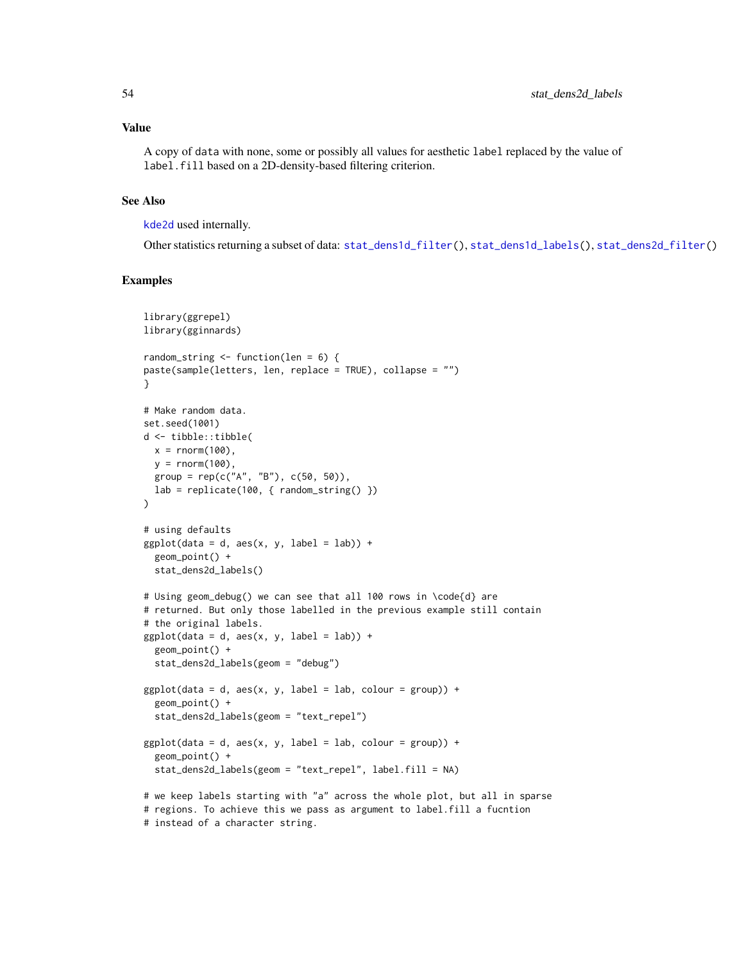#### Value

A copy of data with none, some or possibly all values for aesthetic label replaced by the value of label.fill based on a 2D-density-based filtering criterion.

#### See Also

[kde2d](#page-0-0) used internally.

Other statistics returning a subset of data: [stat\\_dens1d\\_filter\(](#page-41-0)), [stat\\_dens1d\\_labels\(](#page-45-0)), [stat\\_dens2d\\_filter\(](#page-48-0))

```
library(ggrepel)
library(gginnards)
random_string <- function(len = 6) {
paste(sample(letters, len, replace = TRUE), collapse = "")
}
# Make random data.
set.seed(1001)
d <- tibble::tibble(
 x = rnorm(100),
 y = rnorm(100),
  group = rep(c("A", "B"), c(50, 50)),lab = replicate(100, { random\_string() })\lambda# using defaults
ggplot(data = d, aes(x, y, label = lab)) +geom_point() +
  stat_dens2d_labels()
# Using geom_debug() we can see that all 100 rows in \code{d} are
# returned. But only those labelled in the previous example still contain
# the original labels.
ggplot(data = d, aes(x, y, label = lab)) +geom_point() +
  stat_dens2d_labels(geom = "debug")
ggplot(data = d, aes(x, y, label = lab, colour = group)) +geom_point() +
  stat_dens2d_labels(geom = "text_repel")
ggplot(data = d, aes(x, y, label = lab, colour = group)) +geom_point() +
  stat_dens2d_labels(geom = "text_repel", label.fill = NA)
# we keep labels starting with "a" across the whole plot, but all in sparse
# regions. To achieve this we pass as argument to label.fill a fucntion
# instead of a character string.
```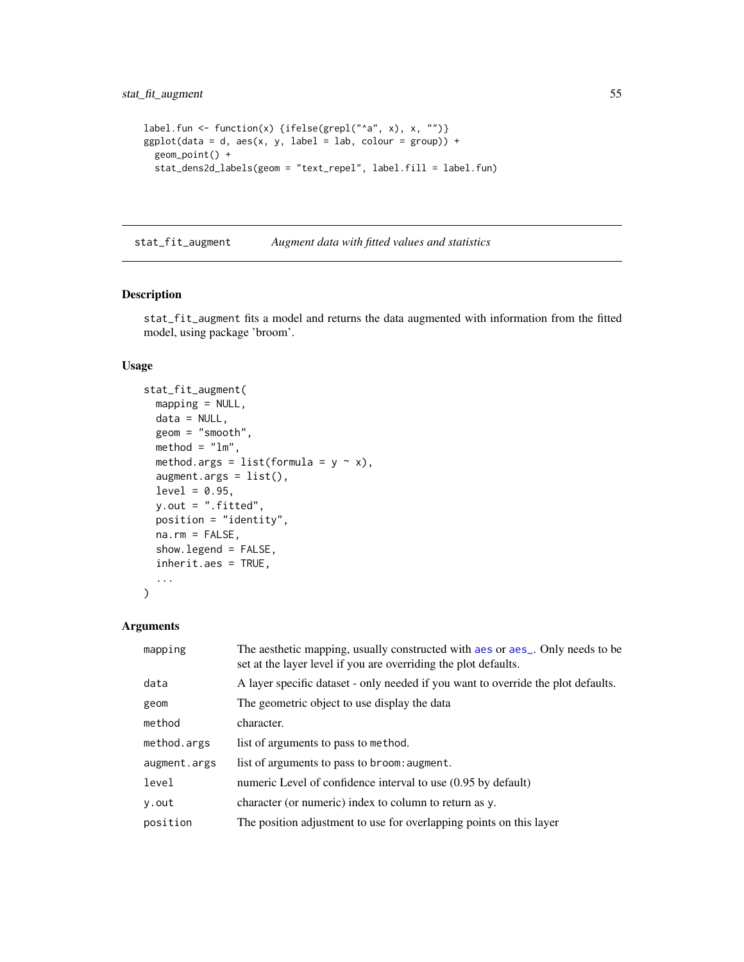```
label.fun <- function(x) {ifelse(grepl("^a", x), x, "")}
ggplot(data = d, aes(x, y, label = lab, colour = group)) +geom_point() +
  stat_dens2d_labels(geom = "text_repel", label.fill = label.fun)
```
<span id="page-54-0"></span>stat\_fit\_augment *Augment data with fitted values and statistics*

# Description

stat\_fit\_augment fits a model and returns the data augmented with information from the fitted model, using package 'broom'.

## Usage

```
stat_fit_augment(
 mapping = NULL,
 data = NULL,geom = "smooth",
 \text{method} = "lm",method.args = list(formula = y \sim x),
 augment.orgs = list(),level = 0.95,y.out = ".fitted",
 position = "identity",
 na.rm = FALSE,show.legend = FALSE,
  inherit.aes = TRUE,
  ...
\mathcal{L}
```

| mapping      | The aesthetic mapping, usually constructed with a es or a es_. Only needs to be<br>set at the layer level if you are overriding the plot defaults. |
|--------------|----------------------------------------------------------------------------------------------------------------------------------------------------|
| data         | A layer specific dataset - only needed if you want to override the plot defaults.                                                                  |
| geom         | The geometric object to use display the data                                                                                                       |
| method       | character.                                                                                                                                         |
| method.args  | list of arguments to pass to method.                                                                                                               |
| augment.args | list of arguments to pass to broom: augment.                                                                                                       |
| level        | numeric Level of confidence interval to use (0.95 by default)                                                                                      |
| y.out        | character (or numeric) index to column to return as y.                                                                                             |
| position     | The position adjustment to use for overlapping points on this layer                                                                                |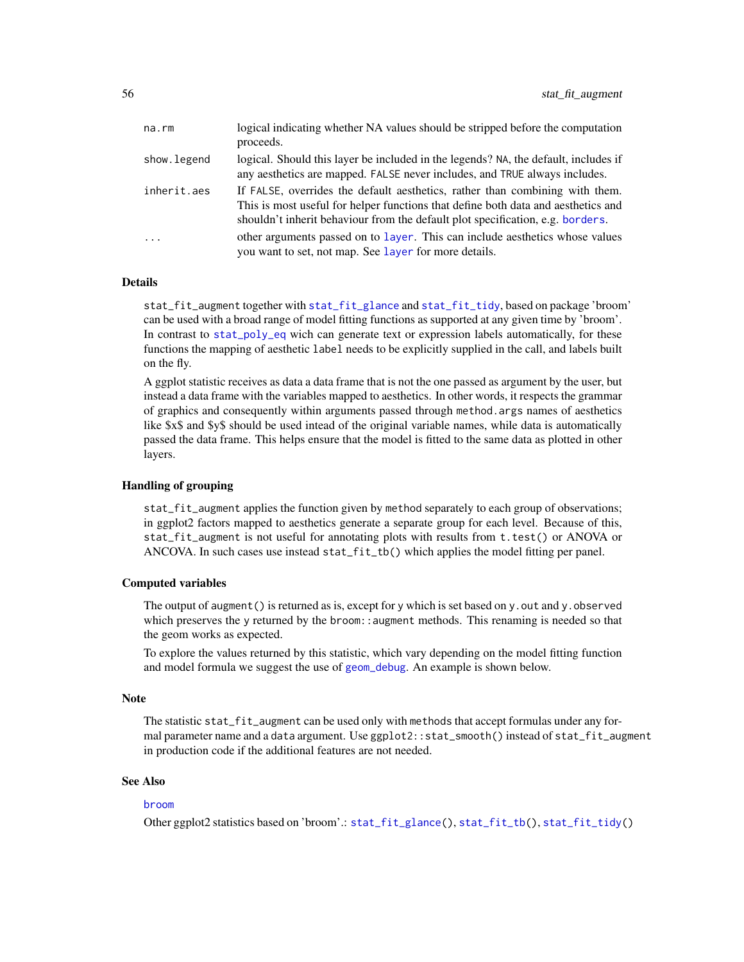| na.rm       | logical indicating whether NA values should be stripped before the computation<br>proceeds.                                                                                                                                                         |
|-------------|-----------------------------------------------------------------------------------------------------------------------------------------------------------------------------------------------------------------------------------------------------|
| show.legend | logical. Should this layer be included in the legends? NA, the default, includes if<br>any aesthetics are mapped. FALSE never includes, and TRUE always includes.                                                                                   |
| inherit.aes | If FALSE, overrides the default aesthetics, rather than combining with them.<br>This is most useful for helper functions that define both data and aesthetics and<br>shouldn't inherit behaviour from the default plot specification, e.g. borders. |
| .           | other arguments passed on to layer. This can include aesthetics whose values<br>you want to set, not map. See layer for more details.                                                                                                               |

stat\_fit\_augment together with [stat\\_fit\\_glance](#page-59-0) and [stat\\_fit\\_tidy](#page-68-0), based on package 'broom' can be used with a broad range of model fitting functions as supported at any given time by 'broom'. In contrast to [stat\\_poly\\_eq](#page-76-0) wich can generate text or expression labels automatically, for these functions the mapping of aesthetic label needs to be explicitly supplied in the call, and labels built on the fly.

A ggplot statistic receives as data a data frame that is not the one passed as argument by the user, but instead a data frame with the variables mapped to aesthetics. In other words, it respects the grammar of graphics and consequently within arguments passed through method.args names of aesthetics like \$x\$ and \$y\$ should be used intead of the original variable names, while data is automatically passed the data frame. This helps ensure that the model is fitted to the same data as plotted in other layers.

## Handling of grouping

stat\_fit\_augment applies the function given by method separately to each group of observations; in ggplot2 factors mapped to aesthetics generate a separate group for each level. Because of this, stat\_fit\_augment is not useful for annotating plots with results from t.test() or ANOVA or ANCOVA. In such cases use instead stat\_fit\_tb() which applies the model fitting per panel.

### Computed variables

The output of augment () is returned as is, except for y which is set based on y out and y observed which preserves the y returned by the broom: : augment methods. This renaming is needed so that the geom works as expected.

To explore the values returned by this statistic, which vary depending on the model fitting function and model formula we suggest the use of [geom\\_debug](#page-26-0). An example is shown below.

#### Note

The statistic stat\_fit\_augment can be used only with methods that accept formulas under any formal parameter name and a data argument. Use ggplot2::stat\_smooth() instead of stat\_fit\_augment in production code if the additional features are not needed.

# See Also

#### [broom](#page-0-0)

Other ggplot2 statistics based on 'broom'.: [stat\\_fit\\_glance\(](#page-59-0)), [stat\\_fit\\_tb\(](#page-64-0)), [stat\\_fit\\_tidy\(](#page-68-0))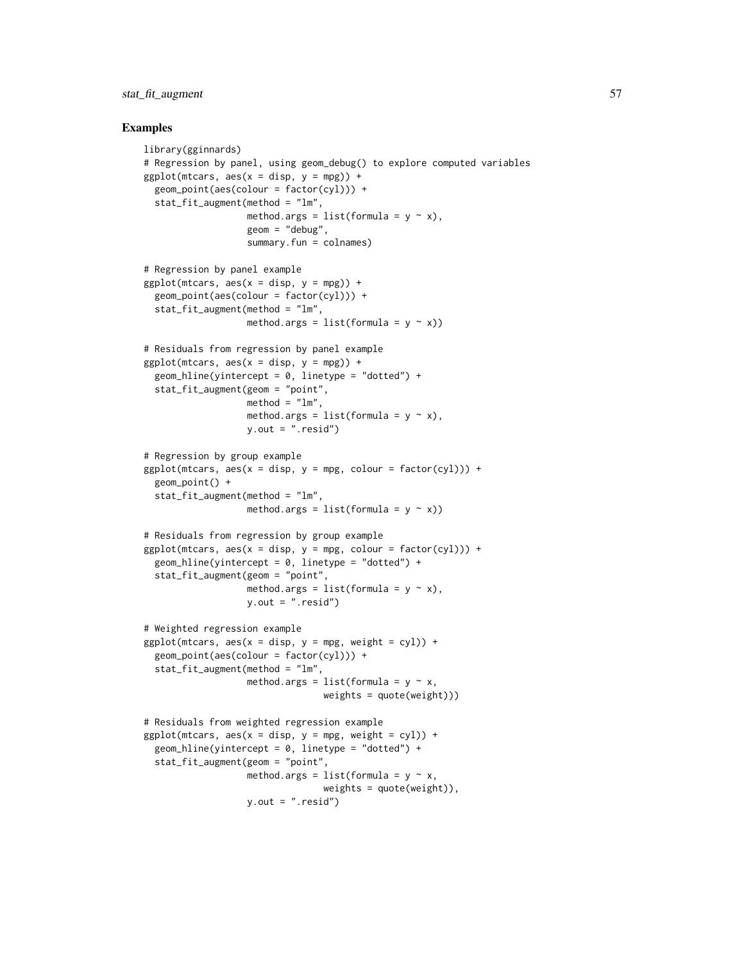# stat\_fit\_augment 57

```
library(gginnards)
# Regression by panel, using geom_debug() to explore computed variables
ggplot(mtcars, aes(x = disp, y = mpg)) +geom_point(aes(colour = factor(cyl))) +
 stat_fit_augment(method = "lm",
                   method.args = list(formula = y \sim x),
                   geom = "debug",
                   summary.fun = colnames)
# Regression by panel example
ggplot(mtcars, aes(x = disp, y = mp)) +geom_point(aes(colour = factor(cyl))) +
 stat_fit_augment(method = "lm",
                  method.args = list(formula = y \sim x))
# Residuals from regression by panel example
ggplot(mtcars, aes(x = disp, y = mpg)) +geom_hline(yintercept = 0, linetype = "dotted") +
 stat_fit_augment(geom = "point",
                   method = "lm",
                   method.args = list(formula = y \sim x),
                   y.out = "resid")# Regression by group example
ggplot(mtcars, aes(x = disp, y = mpg, colour = factor(cyl))) +geom_point() +
 stat_fit_augment(method = "lm",
                   method.args = list(formula = y \sim x))
# Residuals from regression by group example
ggplot(mtcars, aes(x = disp, y = mpg, colour = factor(cyl))) +geom_hline(yintercept = 0, linetype = "dotted") +
 stat_fit_augment(geom = "point",
                   method.args = list(formula = y \sim x),
                   y.out = "resid")# Weighted regression example
ggplot(mtcars, aes(x = disp, y = mpg, weight = cyl)) +geom_point(aes(colour = factor(cyl))) +
 stat_fit_augment(method = "lm",
                   method.args = list(formula = y \sim x,
                                 weights = quote(weight)))
# Residuals from weighted regression example
ggplot(mtcars, aes(x = disp, y = mpg, weight = cyl)) +geom_hline(yintercept = 0, linetype = "dotted") +
 stat_fit_augment(geom = "point",
                   method.args = list(formula = y \sim x,
                                 weights = quote(weight)),y.out = ".resid")
```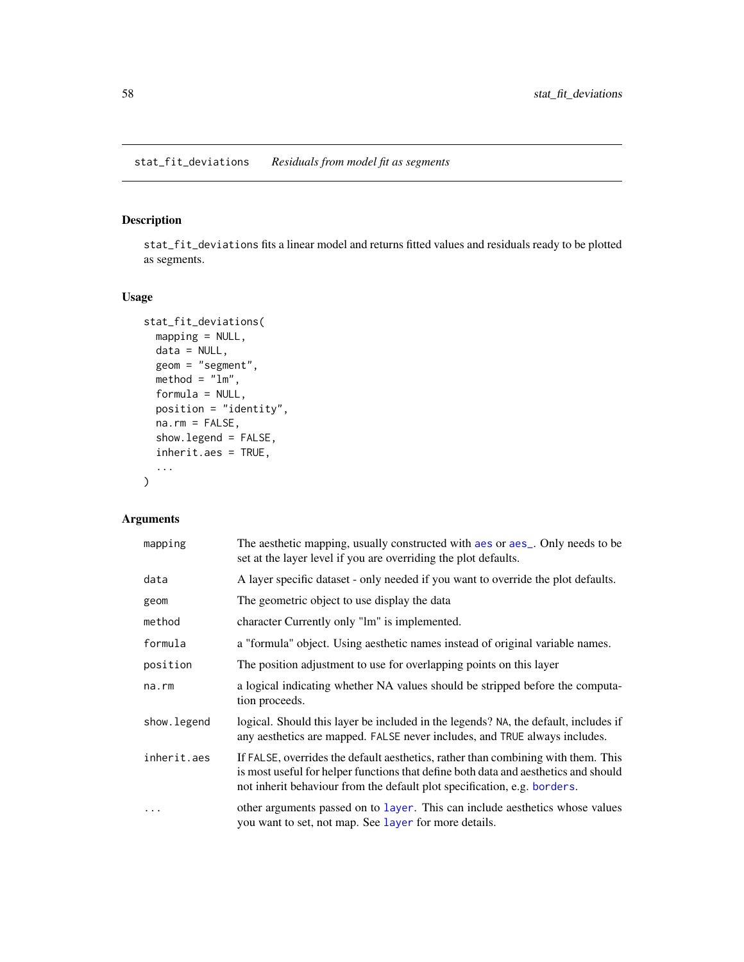# <span id="page-57-0"></span>Description

stat\_fit\_deviations fits a linear model and returns fitted values and residuals ready to be plotted as segments.

## Usage

```
stat_fit_deviations(
 mapping = NULL,data = NULL,geom = "segment",
 \text{method} = "lm",formula = NULL,
 position = "identity",
  na.rm = FALSE,
  show.legend = FALSE,
  inherit.aes = TRUE,
  ...
)
```

| mapping      | The aesthetic mapping, usually constructed with a es or a es_. Only needs to be<br>set at the layer level if you are overriding the plot defaults.                                                                                                   |
|--------------|------------------------------------------------------------------------------------------------------------------------------------------------------------------------------------------------------------------------------------------------------|
| data         | A layer specific dataset - only needed if you want to override the plot defaults.                                                                                                                                                                    |
| geom         | The geometric object to use display the data                                                                                                                                                                                                         |
| method       | character Currently only "lm" is implemented.                                                                                                                                                                                                        |
| formula      | a "formula" object. Using aesthetic names instead of original variable names.                                                                                                                                                                        |
| position     | The position adjustment to use for overlapping points on this layer                                                                                                                                                                                  |
| na.rm        | a logical indicating whether NA values should be stripped before the computa-<br>tion proceeds.                                                                                                                                                      |
| show. legend | logical. Should this layer be included in the legends? NA, the default, includes if<br>any aesthetics are mapped. FALSE never includes, and TRUE always includes.                                                                                    |
| inherit.aes  | If FALSE, overrides the default aesthetics, rather than combining with them. This<br>is most useful for helper functions that define both data and aesthetics and should<br>not inherit behaviour from the default plot specification, e.g. borders. |
|              | other arguments passed on to layer. This can include aesthetics whose values<br>you want to set, not map. See layer for more details.                                                                                                                |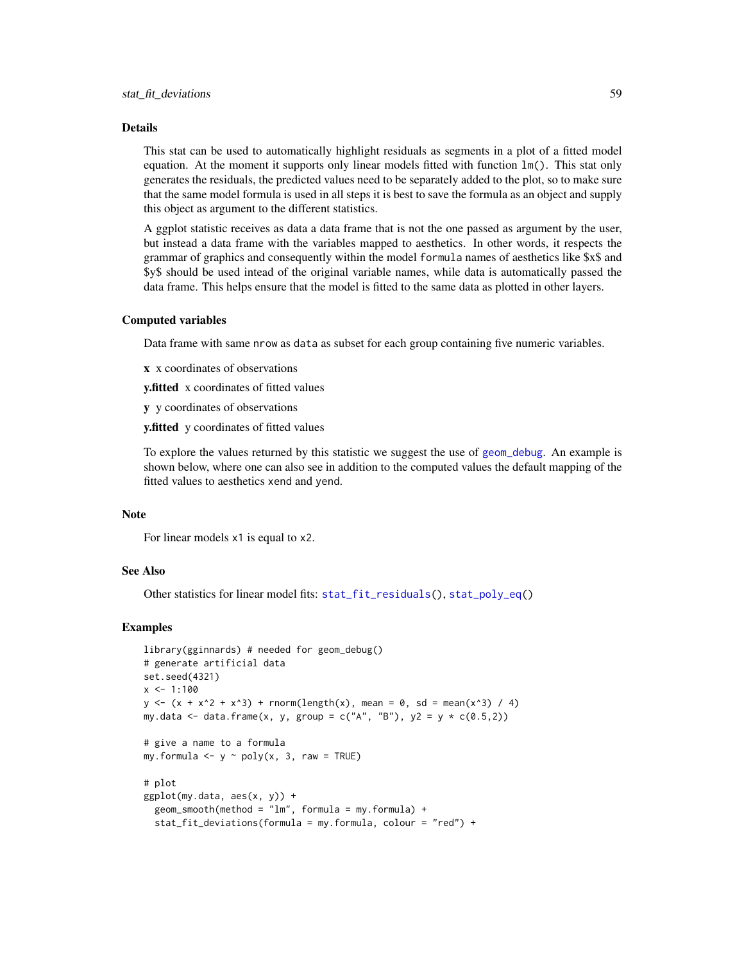This stat can be used to automatically highlight residuals as segments in a plot of a fitted model equation. At the moment it supports only linear models fitted with function  $lm()$ . This stat only generates the residuals, the predicted values need to be separately added to the plot, so to make sure that the same model formula is used in all steps it is best to save the formula as an object and supply this object as argument to the different statistics.

A ggplot statistic receives as data a data frame that is not the one passed as argument by the user, but instead a data frame with the variables mapped to aesthetics. In other words, it respects the grammar of graphics and consequently within the model formula names of aesthetics like \$x\$ and \$y\$ should be used intead of the original variable names, while data is automatically passed the data frame. This helps ensure that the model is fitted to the same data as plotted in other layers.

#### Computed variables

Data frame with same nrow as data as subset for each group containing five numeric variables.

x x coordinates of observations

y.fitted x coordinates of fitted values

y y coordinates of observations

y.fitted y coordinates of fitted values

To explore the values returned by this statistic we suggest the use of [geom\\_debug](#page-26-0). An example is shown below, where one can also see in addition to the computed values the default mapping of the fitted values to aesthetics xend and yend.

# Note

For linear models x1 is equal to x2.

### See Also

Other statistics for linear model fits: [stat\\_fit\\_residuals\(](#page-62-0)), [stat\\_poly\\_eq\(](#page-76-0))

```
library(gginnards) # needed for geom_debug()
# generate artificial data
set.seed(4321)
x \le -1:100y \le -(x + x^2 + x^3) + \text{norm}(\text{length}(x), \text{ mean } = 0, \text{ sd } = \text{mean}(x^3) / 4)my.data <- data.frame(x, y, group = c("A", "B"), y2 = y * c(0.5,2))
# give a name to a formula
my.formula \leq y \leq \text{poly}(x, 3, \text{raw} = \text{TRUE})# plot
ggplot(my.data, aes(x, y)) +
  geom\_smooth(method = "lm", formula = my.format) +stat_fit_deviations(formula = my.formula, colour = "red") +
```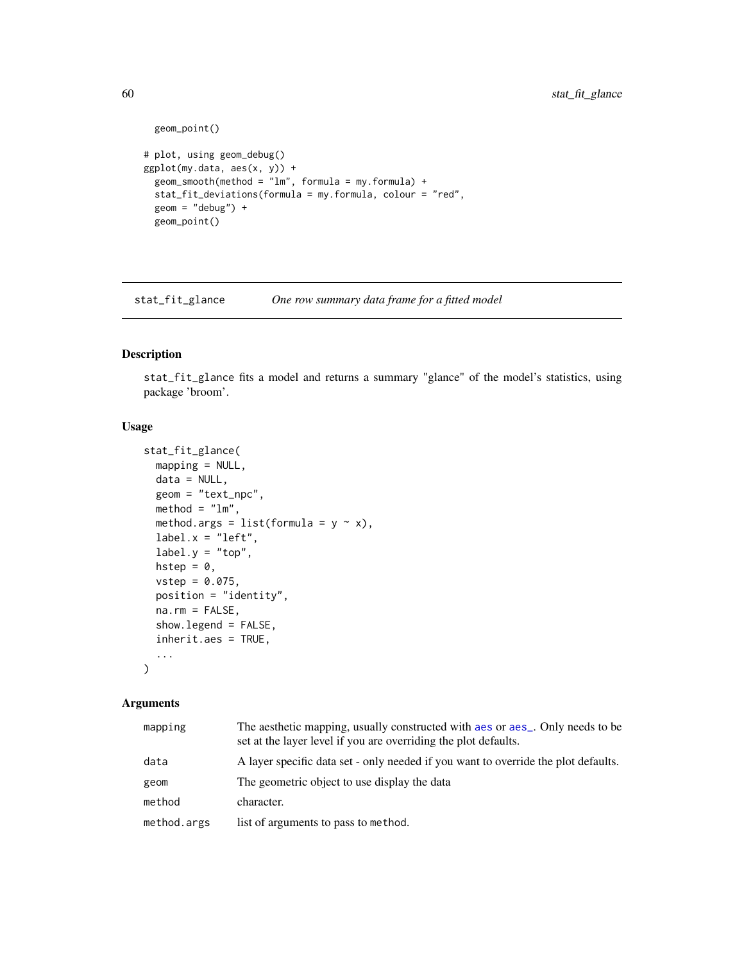```
geom_point()
# plot, using geom_debug()
ggplot(my.data, aes(x, y)) +
 geom_smooth(method = "lm", formula = my.formula) +
 stat_fit_deviations(formula = my.formula, colour = "red",
 geom = "delay") +geom_point()
```
<span id="page-59-0"></span>stat\_fit\_glance *One row summary data frame for a fitted model*

# Description

stat\_fit\_glance fits a model and returns a summary "glance" of the model's statistics, using package 'broom'.

# Usage

```
stat_fit_glance(
 mapping = NULL,
 data = NULL,geom = "text_npc",
 \text{method} = "lm",method.args = list(formula = y \sim x),
 label.x = "left",label.y = "top",hstep = 0,
 vstep = 0.075,position = "identity",
 na.rm = FALSE,show.legend = FALSE,
  inherit.aes = TRUE,
  ...
\mathcal{L}
```

| mapping     | The aesthetic mapping, usually constructed with aes or aes Only needs to be<br>set at the layer level if you are overriding the plot defaults. |
|-------------|------------------------------------------------------------------------------------------------------------------------------------------------|
| data        | A layer specific data set - only needed if you want to override the plot defaults.                                                             |
| geom        | The geometric object to use display the data                                                                                                   |
| method      | character.                                                                                                                                     |
| method.args | list of arguments to pass to method.                                                                                                           |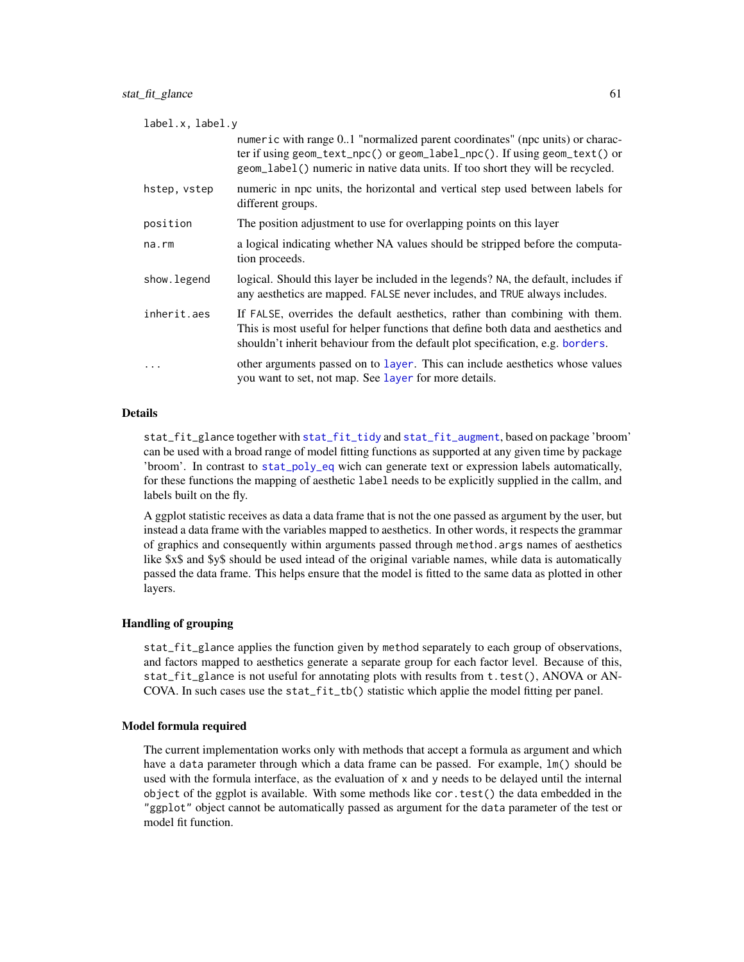| label.x, label.y |                                                                                                                                                                                                                                                     |  |
|------------------|-----------------------------------------------------------------------------------------------------------------------------------------------------------------------------------------------------------------------------------------------------|--|
|                  | numeric with range 01 "normalized parent coordinates" (npc units) or charac-<br>ter if using geom_text_npc() or geom_label_npc(). If using geom_text() or<br>geom_label() numeric in native data units. If too short they will be recycled.         |  |
| hstep, vstep     | numeric in npc units, the horizontal and vertical step used between labels for<br>different groups.                                                                                                                                                 |  |
| position         | The position adjustment to use for overlapping points on this layer                                                                                                                                                                                 |  |
| na.rm            | a logical indicating whether NA values should be stripped before the computa-<br>tion proceeds.                                                                                                                                                     |  |
| show.legend      | logical. Should this layer be included in the legends? NA, the default, includes if<br>any aesthetics are mapped. FALSE never includes, and TRUE always includes.                                                                                   |  |
| inherit.aes      | If FALSE, overrides the default aesthetics, rather than combining with them.<br>This is most useful for helper functions that define both data and aesthetics and<br>shouldn't inherit behaviour from the default plot specification, e.g. borders. |  |
| .                | other arguments passed on to layer. This can include aesthetics whose values<br>you want to set, not map. See layer for more details.                                                                                                               |  |

stat\_fit\_glance together with [stat\\_fit\\_tidy](#page-68-0) and [stat\\_fit\\_augment](#page-54-0), based on package 'broom' can be used with a broad range of model fitting functions as supported at any given time by package 'broom'. In contrast to [stat\\_poly\\_eq](#page-76-0) wich can generate text or expression labels automatically, for these functions the mapping of aesthetic label needs to be explicitly supplied in the callm, and labels built on the fly.

A ggplot statistic receives as data a data frame that is not the one passed as argument by the user, but instead a data frame with the variables mapped to aesthetics. In other words, it respects the grammar of graphics and consequently within arguments passed through method.args names of aesthetics like \$x\$ and \$y\$ should be used intead of the original variable names, while data is automatically passed the data frame. This helps ensure that the model is fitted to the same data as plotted in other layers.

#### Handling of grouping

stat\_fit\_glance applies the function given by method separately to each group of observations, and factors mapped to aesthetics generate a separate group for each factor level. Because of this, stat\_fit\_glance is not useful for annotating plots with results from t.test(), ANOVA or AN-COVA. In such cases use the stat\_fit\_tb() statistic which applie the model fitting per panel.

#### Model formula required

The current implementation works only with methods that accept a formula as argument and which have a data parameter through which a data frame can be passed. For example,  $lm()$  should be used with the formula interface, as the evaluation of x and y needs to be delayed until the internal object of the ggplot is available. With some methods like  $cor.test()$  the data embedded in the "ggplot" object cannot be automatically passed as argument for the data parameter of the test or model fit function.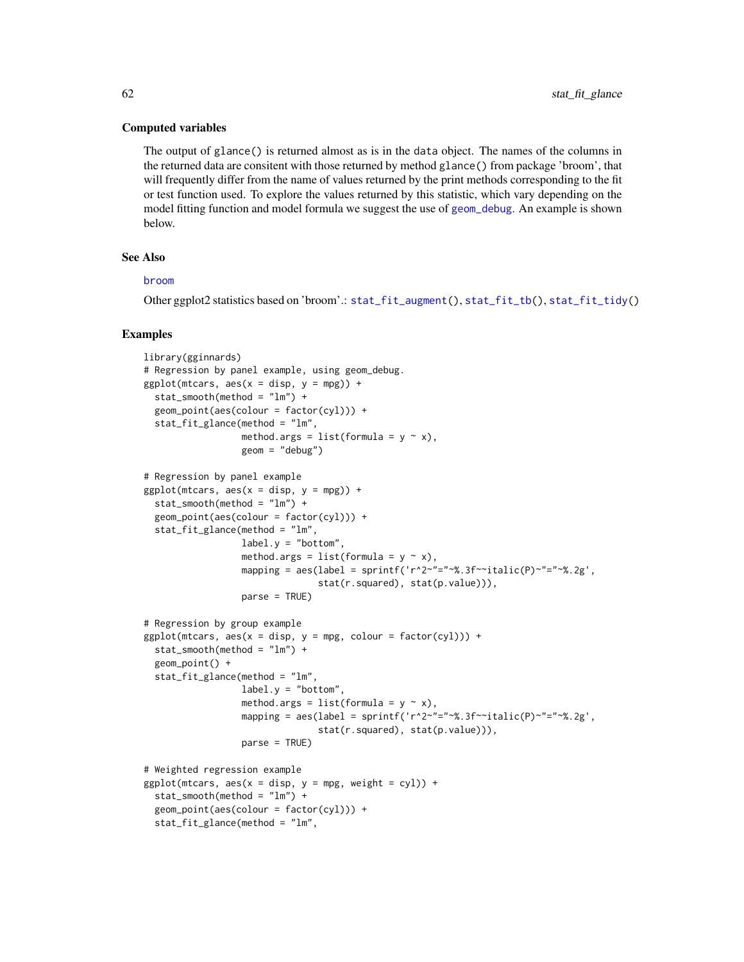#### Computed variables

The output of glance() is returned almost as is in the data object. The names of the columns in the returned data are consitent with those returned by method glance() from package 'broom', that will frequently differ from the name of values returned by the print methods corresponding to the fit or test function used. To explore the values returned by this statistic, which vary depending on the model fitting function and model formula we suggest the use of [geom\\_debug](#page-26-0). An example is shown below.

### See Also

#### [broom](#page-0-0)

Other ggplot2 statistics based on 'broom'.: [stat\\_fit\\_augment\(](#page-54-0)), [stat\\_fit\\_tb\(](#page-64-0)), [stat\\_fit\\_tidy\(](#page-68-0))

```
library(gginnards)
# Regression by panel example, using geom_debug.
ggplot(mtcars, aes(x = disp, y = mp)) +
 stat\_smooth(method = "lm") +geom_point(aes(colour = factor(cyl))) +
 stat_fit_glance(method = "lm",
                  method.args = list(formula = y \sim x),
                  geom = "debug")
# Regression by panel example
ggplot(mtcars, aes(x = disp, y = mpg)) +stat_smooth(method = "lm") +
 geom_point(aes(colour = factor(cyl))) +
 stat_fit_glance(method = "lm",
                  label.y = "bottom",
                  method.args = list(formula = y \sim x),
                  mapping = aes(label = sprintf('r^2~"="~%.3f~~italic(P)~"="~%.2g',
                                stat(r.squared), stat(p.value))),
                  parse = TRUE)
# Regression by group example
ggplot(mtcars, aes(x = disp, y = mpg, colour = factor(cyl))) +stat\_smooth(method = "lm") +geom_point() +
 stat_fit_glance(method = "lm",
                  label.y = "bottom",method.args = list(formula = y \sim x),
                  mapping = aes(label = sprintf('r^2-"="~%.3f~~italic(P)~"="~%.2g',
                                stat(r.squared), stat(p.value))),
                  parse = TRUE)
# Weighted regression example
ggplot(mtcars, aes(x = disp, y = mpg, weight = cyl)) +stat_smooth(method = "lm") +
 geom_point(aes(colour = factor(cyl))) +
 stat_fit_glance(method = "lm",
```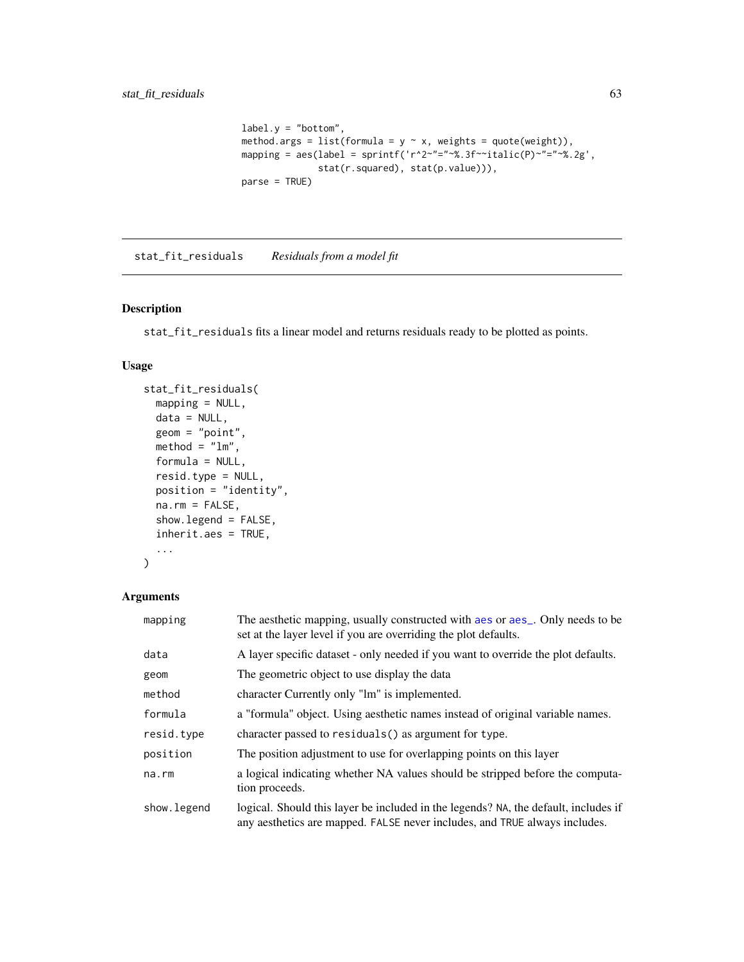```
label.y = "bottom",method.args = list(formula = y \sim x, weights = quote(weight)),
mapping = aes(label = sprintf('r^2~"="~%.3f~~italic(P)~"="~%.2g',
              stat(r.squared), stat(p.value))),
parse = TRUE)
```
<span id="page-62-0"></span>stat\_fit\_residuals *Residuals from a model fit*

## Description

stat\_fit\_residuals fits a linear model and returns residuals ready to be plotted as points.

## Usage

```
stat_fit_residuals(
 mapping = NULL,
 data = NULL,
 geom = "point",
 \text{method} = "lm",formula = NULL,
  resid.type = NULL,
 position = "identity",
 na.rm = FALSE,show.legend = FALSE,
  inherit.aes = TRUE,
  ...
\mathcal{L}
```

| mapping     | The aesthetic mapping, usually constructed with aes or aes_. Only needs to be<br>set at the layer level if you are overriding the plot defaults.                  |
|-------------|-------------------------------------------------------------------------------------------------------------------------------------------------------------------|
| data        | A layer specific dataset - only needed if you want to override the plot defaults.                                                                                 |
| geom        | The geometric object to use display the data                                                                                                                      |
| method      | character Currently only "lm" is implemented.                                                                                                                     |
| formula     | a "formula" object. Using aesthetic names instead of original variable names.                                                                                     |
| resid.type  | character passed to residuals () as argument for type.                                                                                                            |
| position    | The position adjustment to use for overlapping points on this layer                                                                                               |
| na.rm       | a logical indicating whether NA values should be stripped before the computa-<br>tion proceeds.                                                                   |
| show.legend | logical. Should this layer be included in the legends? NA, the default, includes if<br>any aesthetics are mapped. FALSE never includes, and TRUE always includes. |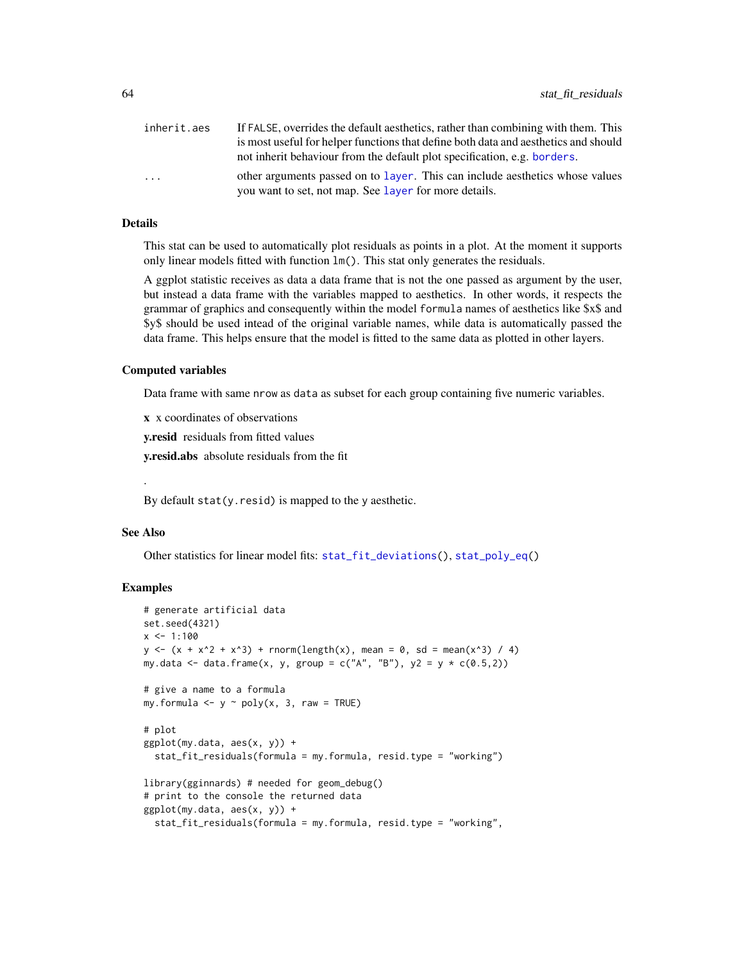| inherit.aes             | If FALSE, overrides the default aesthetics, rather than combining with them. This   |
|-------------------------|-------------------------------------------------------------------------------------|
|                         | is most useful for helper functions that define both data and aesthetics and should |
|                         | not inherit behaviour from the default plot specification, e.g. borders.            |
| $\cdot$ $\cdot$ $\cdot$ | other arguments passed on to layer. This can include aesthetics whose values        |
|                         | you want to set, not map. See layer for more details.                               |

This stat can be used to automatically plot residuals as points in a plot. At the moment it supports only linear models fitted with function lm(). This stat only generates the residuals.

A ggplot statistic receives as data a data frame that is not the one passed as argument by the user, but instead a data frame with the variables mapped to aesthetics. In other words, it respects the grammar of graphics and consequently within the model formula names of aesthetics like \$x\$ and \$y\$ should be used intead of the original variable names, while data is automatically passed the data frame. This helps ensure that the model is fitted to the same data as plotted in other layers.

#### Computed variables

Data frame with same nrow as data as subset for each group containing five numeric variables.

x x coordinates of observations

y.resid residuals from fitted values

**v.resid.abs** absolute residuals from the fit

By default  $stat(y,resid)$  is mapped to the y aesthetic.

## See Also

.

Other statistics for linear model fits: [stat\\_fit\\_deviations\(](#page-57-0)), [stat\\_poly\\_eq\(](#page-76-0))

```
# generate artificial data
set.seed(4321)
x \le -1:100y \le -(x + x^2 + x^3) + \text{norm}(\text{length}(x)), \text{ mean } = \emptyset, \text{ sd } = \text{mean}(x^3) / 4)my.data <- data.frame(x, y, group = c("A", "B"), y2 = y * c(0.5,2))
# give a name to a formula
my.formula \leq y \sim poly(x, 3, raw = TRUE)
# plot
ggplot(my.data, aes(x, y)) +stat_fit_residuals(formula = my.formula, resid.type = "working")
library(gginnards) # needed for geom_debug()
# print to the console the returned data
ggplot(my.data, aes(x, y)) +stat_fit_residuals(formula = my.formula, resid.type = "working",
```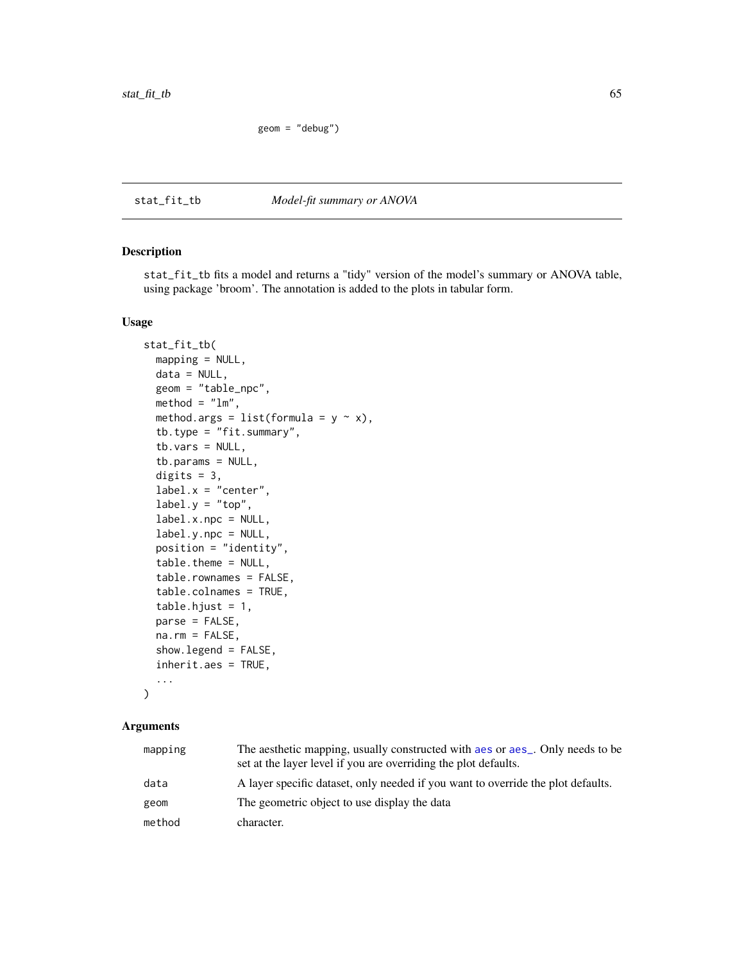geom = "debug")

# <span id="page-64-0"></span>stat\_fit\_tb *Model-fit summary or ANOVA*

# Description

stat\_fit\_tb fits a model and returns a "tidy" version of the model's summary or ANOVA table, using package 'broom'. The annotation is added to the plots in tabular form.

## Usage

```
stat_fit_tb(
 mapping = NULL,
 data = NULL,geom = "table_npc",
 \text{method} = "lm",method.args = list(formula = y \sim x),
  tb.type = "fit.summary",
  tb.vars = NULL,tb.params = NULL,
  digits = 3,
  label.x = "center".label.y = "top",label.x.npc = NULL,
  label.y.npc = NULL,
 position = "identity",
  table.theme = NULL,
  table.rownames = FALSE,
  table.colnames = TRUE,
  table.hjust = 1,parse = FALSE,
  na.rm = FALSE,
  show.legend = FALSE,
  inherit.aes = TRUE,
  ...
```
# )

| mapping | The aesthetic mapping, usually constructed with aes or aes Only needs to be<br>set at the layer level if you are overriding the plot defaults. |
|---------|------------------------------------------------------------------------------------------------------------------------------------------------|
| data    | A layer specific dataset, only needed if you want to override the plot defaults.                                                               |
| geom    | The geometric object to use display the data                                                                                                   |
| method  | character.                                                                                                                                     |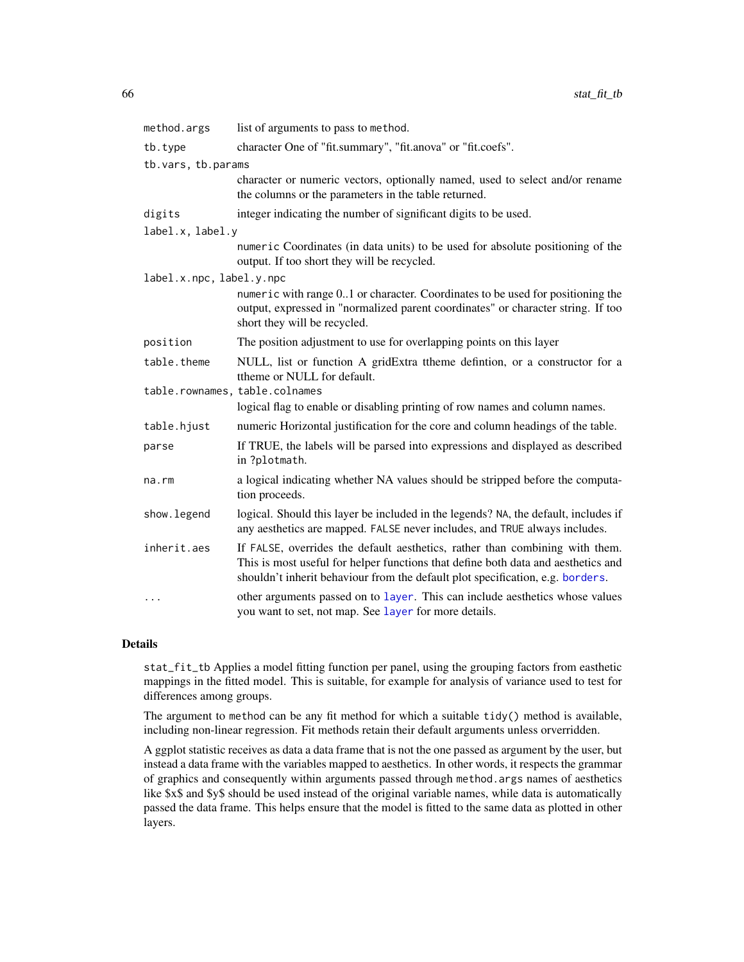| method.args                    | list of arguments to pass to method.                                                                                                                                                                                                                |
|--------------------------------|-----------------------------------------------------------------------------------------------------------------------------------------------------------------------------------------------------------------------------------------------------|
| tb.type                        | character One of "fit.summary", "fit.anova" or "fit.coefs".                                                                                                                                                                                         |
| tb.vars, tb.params             |                                                                                                                                                                                                                                                     |
|                                | character or numeric vectors, optionally named, used to select and/or rename<br>the columns or the parameters in the table returned.                                                                                                                |
| digits                         | integer indicating the number of significant digits to be used.                                                                                                                                                                                     |
| label.x, label.y               |                                                                                                                                                                                                                                                     |
|                                | numeric Coordinates (in data units) to be used for absolute positioning of the<br>output. If too short they will be recycled.                                                                                                                       |
| label.x.npc, label.y.npc       |                                                                                                                                                                                                                                                     |
|                                | numeric with range 01 or character. Coordinates to be used for positioning the<br>output, expressed in "normalized parent coordinates" or character string. If too<br>short they will be recycled.                                                  |
| position                       | The position adjustment to use for overlapping points on this layer                                                                                                                                                                                 |
| table.theme                    | NULL, list or function A gridExtra ttheme defintion, or a constructor for a<br>ttheme or NULL for default.                                                                                                                                          |
| table.rownames, table.colnames |                                                                                                                                                                                                                                                     |
|                                | logical flag to enable or disabling printing of row names and column names.                                                                                                                                                                         |
| table.hjust                    | numeric Horizontal justification for the core and column headings of the table.                                                                                                                                                                     |
| parse                          | If TRUE, the labels will be parsed into expressions and displayed as described<br>in ?plotmath.                                                                                                                                                     |
| na.rm                          | a logical indicating whether NA values should be stripped before the computa-<br>tion proceeds.                                                                                                                                                     |
| show.legend                    | logical. Should this layer be included in the legends? NA, the default, includes if<br>any aesthetics are mapped. FALSE never includes, and TRUE always includes.                                                                                   |
| inherit.aes                    | If FALSE, overrides the default aesthetics, rather than combining with them.<br>This is most useful for helper functions that define both data and aesthetics and<br>shouldn't inherit behaviour from the default plot specification, e.g. borders. |
| .                              | other arguments passed on to layer. This can include aesthetics whose values<br>you want to set, not map. See layer for more details.                                                                                                               |

stat\_fit\_tb Applies a model fitting function per panel, using the grouping factors from easthetic mappings in the fitted model. This is suitable, for example for analysis of variance used to test for differences among groups.

The argument to method can be any fit method for which a suitable tidy() method is available, including non-linear regression. Fit methods retain their default arguments unless orverridden.

A ggplot statistic receives as data a data frame that is not the one passed as argument by the user, but instead a data frame with the variables mapped to aesthetics. In other words, it respects the grammar of graphics and consequently within arguments passed through method.args names of aesthetics like \$x\$ and \$y\$ should be used instead of the original variable names, while data is automatically passed the data frame. This helps ensure that the model is fitted to the same data as plotted in other layers.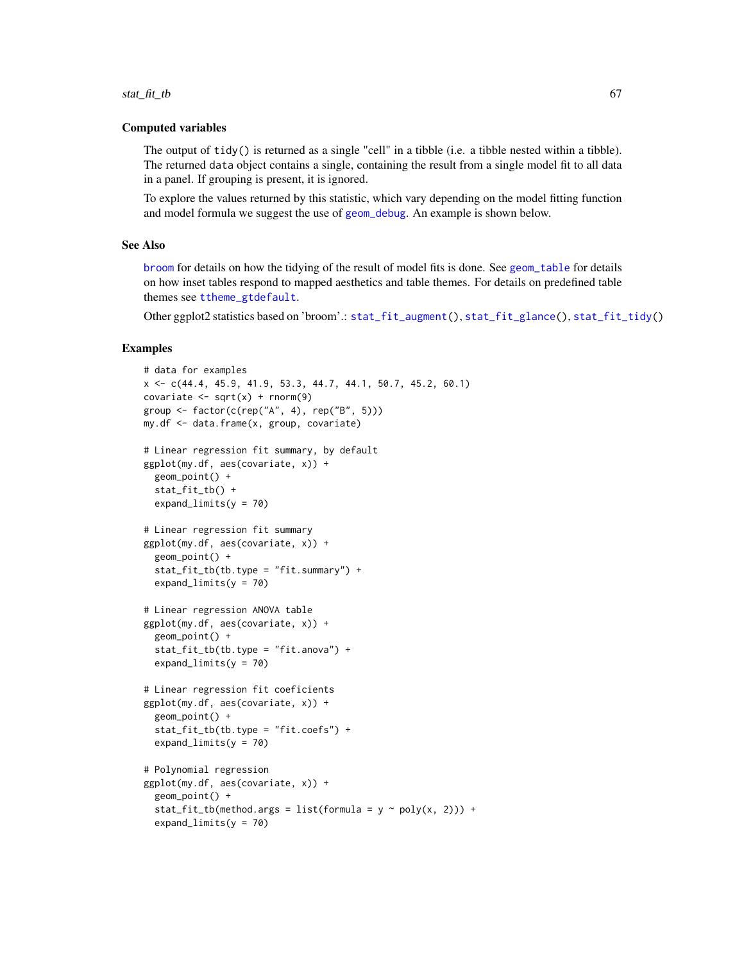#### stat\_fit\_tb 67

## Computed variables

The output of  $tidy()$  is returned as a single "cell" in a tibble (i.e. a tibble nested within a tibble). The returned data object contains a single, containing the result from a single model fit to all data in a panel. If grouping is present, it is ignored.

To explore the values returned by this statistic, which vary depending on the model fitting function and model formula we suggest the use of [geom\\_debug](#page-26-0). An example is shown below.

### See Also

[broom](#page-0-0) for details on how the tidying of the result of model fits is done. See [geom\\_table](#page-15-0) for details on how inset tables respond to mapped aesthetics and table themes. For details on predefined table themes see [ttheme\\_gtdefault](#page-87-0).

Other ggplot2 statistics based on 'broom'.: [stat\\_fit\\_augment\(](#page-54-0)), [stat\\_fit\\_glance\(](#page-59-0)), [stat\\_fit\\_tidy\(](#page-68-0))

```
# data for examples
x <- c(44.4, 45.9, 41.9, 53.3, 44.7, 44.1, 50.7, 45.2, 60.1)
covariate \leq sqrt(x) + rnorm(9)
group <- factor(c(rep("A", 4), rep("B", 5)))
my.df <- data.frame(x, group, covariate)
# Linear regression fit summary, by default
ggplot(my.df, aes(covariate, x)) +
  geom_point() +
  stat_fit_texpand_limits(y = 70)
# Linear regression fit summary
ggplot(my.df, aes(covariate, x)) +
  geom_point() +
  stat_fit_tb(tb.type = "fit.summary") +
  expand_limits(y = 70)
# Linear regression ANOVA table
ggplot(my.df, aes(covariate, x)) +
  geom_point() +
  stat_fit_tb(tb.type = "fit.anova") +
  expand_limits(y = 70)
# Linear regression fit coeficients
ggplot(my.df, aes(covariate, x)) +
  geom_point() +
  stat_fit_tb(tb.type = "fit.coefs") +
  expand_limits(y = 70)
# Polynomial regression
ggplot(my.df, aes(covariate, x)) +
  geom_point() +
  stat_fit_tb(method.args = list(formula = y \sim poly(x, 2))) +
  expand_limits(y = 70)
```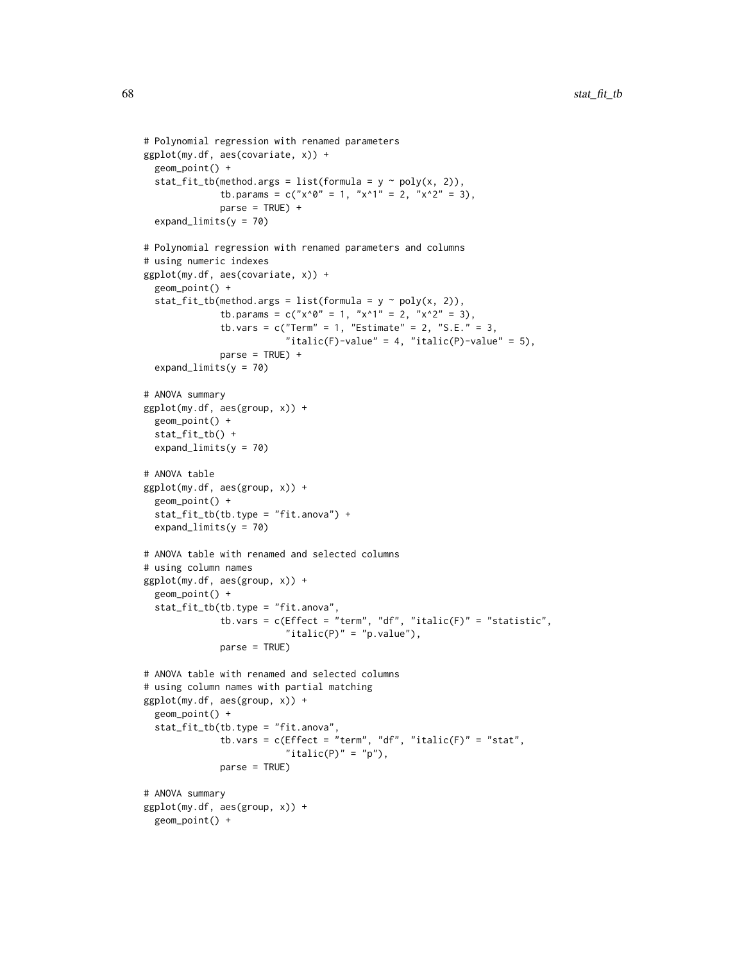```
# Polynomial regression with renamed parameters
ggplot(my.df, aes(covariate, x)) +
 geom_point() +
 stat_fit_tb(method.args = list(formula = y \sim poly(x, 2)),
              tb.params = c("x^0" = 1, "x^1" = 2, "x^2" = 3),
              parse = TRUE) +
 expand_limits(y = 70)
# Polynomial regression with renamed parameters and columns
# using numeric indexes
ggplot(my.df, aes(covariate, x)) +
 geom_point() +
 stat_fit_tb(method.args = list(formula = y \sim poly(x, 2)),
              tb.params = c("x^0" = 1, "x^1" = 2, "x^2" = 3),
              tb.vars = c("Term" = 1, "Estimate" = 2, "S.E." = 3,"italic(F)-value" = 4, "italic(P)-value" = 5),
              parse = TRUE) +
 expand_limits(y = 70)
# ANOVA summary
ggplot(my.df, aes(group, x)) +
 geom_point() +
 stat_fit_tb() +
 expand_limits(y = 70)
# ANOVA table
ggplot(my.df, aes(group, x)) +
 geom_point() +
 stat_fit_tb(tb.type = "fit.anova") +
 expand_limits(y = 70)
# ANOVA table with renamed and selected columns
# using column names
ggplot(my.df, aes(group, x)) +
 geom_point() +
 stat_fit_tb(tb.type = "fit.anova",
              tb.vars = c(Effect = "term", "df", "italic(F)" = "statistic","italic(P)" = "p.value"),
              parse = TRUE)
# ANOVA table with renamed and selected columns
# using column names with partial matching
ggplot(my.df, aes(group, x)) +
 geom_point() +
 stat_fit_tb(tb.type = "fit.anova",
              tb.vars = c(Effect = "term", "df", "italic(F)" = "stat","italic(P)" = "p"),
             parse = TRUE)
# ANOVA summary
ggplot(my.df, aes(group, x)) +
 geom_point() +
```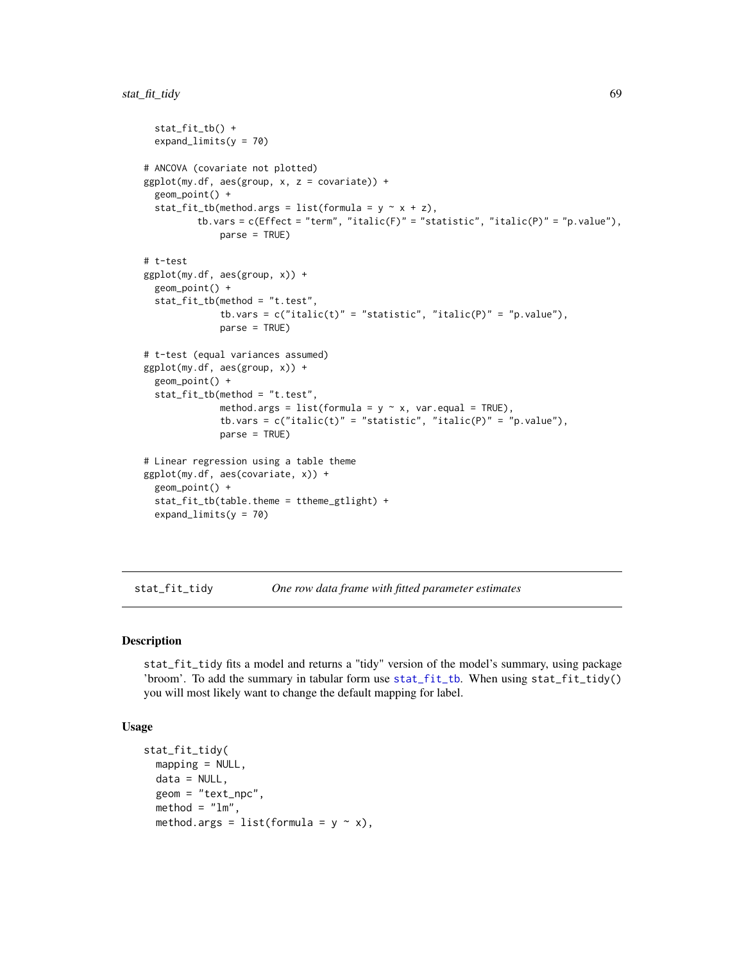```
stat_fit_tb() +
 expand_limits(y = 70)
# ANCOVA (covariate not plotted)
ggplot(my.df, aes(group, x, z = covariate)) +geom_point() +
 stat_fit_tb(method.args = list(formula = y \sim x + z),
         tb.vars = c(Effect = "term", "italic(F)" = "statistic", "italic(P)" = "p.value"),
              parse = TRUE)
# t-test
ggplot(my.df, aes(group, x)) +
 geom_point() +
 stat_fit_tb(method = "t.test",
              tb.vars = c("italic(t)" = "statistic", "italic(P)" = "p.value"),parse = TRUE)
# t-test (equal variances assumed)
ggplot(my.df, aes(group, x)) +
 geom_point() +
 stat_fit_tb(method = "t.test",
              method.args = list(formula = y \sim x, var.equal = TRUE),
              tb.vars = c("italic(t)" = "statistic", "italic(P)" = "p.value"),parse = TRUE)
# Linear regression using a table theme
ggplot(my.df, aes(covariate, x)) +
 geom_point() +
 stat_fit_tb(table.theme = ttheme_gtlight) +
 expand_limits(y = 70)
```
<span id="page-68-0"></span>stat\_fit\_tidy *One row data frame with fitted parameter estimates*

## Description

stat\_fit\_tidy fits a model and returns a "tidy" version of the model's summary, using package 'broom'. To add the summary in tabular form use [stat\\_fit\\_tb](#page-64-0). When using stat\_fit\_tidy() you will most likely want to change the default mapping for label.

## Usage

```
stat_fit_tidy(
 mapping = NULL,
  data = NULL,
  geom = "text_npc",
 method = "lm",method.args = list(formula = y \sim x),
```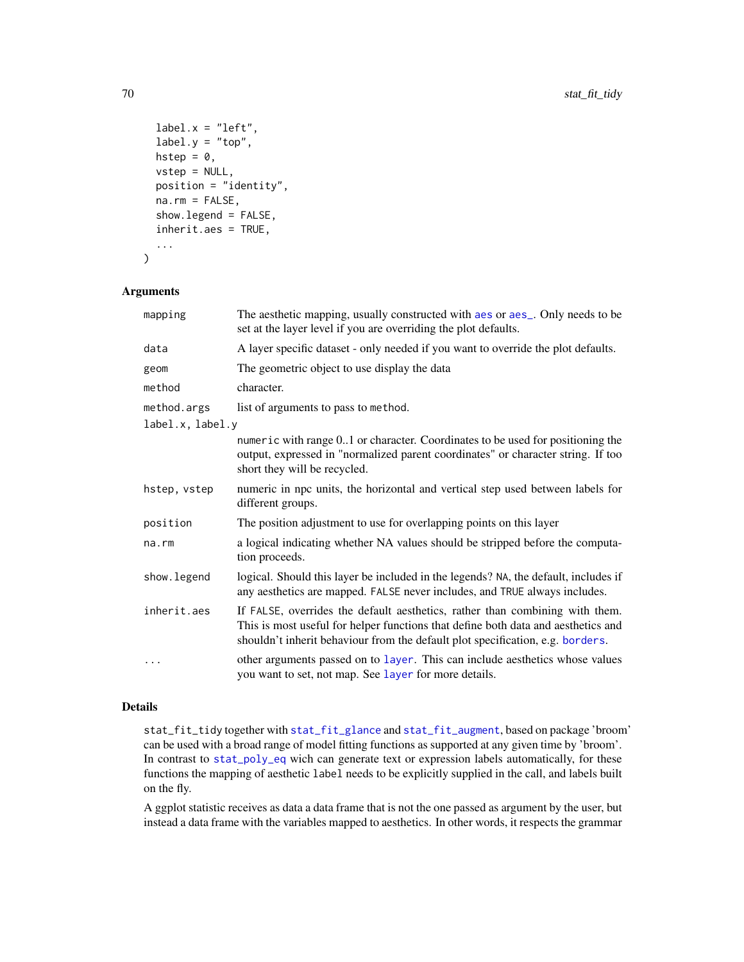```
label.x = "left",label.y = "top",hstep = \theta,
  vstep = NULL,
  position = "identity",
  na.rm = FALSE,
  show.legend = FALSE,
  inherit.aes = TRUE,
  ...
\mathcal{L}
```
## Arguments

| mapping          | The aesthetic mapping, usually constructed with aes or aes_. Only needs to be<br>set at the layer level if you are overriding the plot defaults.                                                                                                    |
|------------------|-----------------------------------------------------------------------------------------------------------------------------------------------------------------------------------------------------------------------------------------------------|
| data             | A layer specific dataset - only needed if you want to override the plot defaults.                                                                                                                                                                   |
| geom             | The geometric object to use display the data                                                                                                                                                                                                        |
| method           | character.                                                                                                                                                                                                                                          |
| method.args      | list of arguments to pass to method.                                                                                                                                                                                                                |
| label.x, label.y |                                                                                                                                                                                                                                                     |
|                  | numeric with range 01 or character. Coordinates to be used for positioning the<br>output, expressed in "normalized parent coordinates" or character string. If too<br>short they will be recycled.                                                  |
| hstep, vstep     | numeric in npc units, the horizontal and vertical step used between labels for<br>different groups.                                                                                                                                                 |
| position         | The position adjustment to use for overlapping points on this layer                                                                                                                                                                                 |
| $na$ . $rm$      | a logical indicating whether NA values should be stripped before the computa-<br>tion proceeds.                                                                                                                                                     |
| show.legend      | logical. Should this layer be included in the legends? NA, the default, includes if<br>any aesthetics are mapped. FALSE never includes, and TRUE always includes.                                                                                   |
| inherit.aes      | If FALSE, overrides the default aesthetics, rather than combining with them.<br>This is most useful for helper functions that define both data and aesthetics and<br>shouldn't inherit behaviour from the default plot specification, e.g. borders. |
| .                | other arguments passed on to layer. This can include aesthetics whose values<br>you want to set, not map. See layer for more details.                                                                                                               |

## Details

stat\_fit\_tidy together with [stat\\_fit\\_glance](#page-59-0) and [stat\\_fit\\_augment](#page-54-0), based on package 'broom' can be used with a broad range of model fitting functions as supported at any given time by 'broom'. In contrast to [stat\\_poly\\_eq](#page-76-0) wich can generate text or expression labels automatically, for these functions the mapping of aesthetic label needs to be explicitly supplied in the call, and labels built on the fly.

A ggplot statistic receives as data a data frame that is not the one passed as argument by the user, but instead a data frame with the variables mapped to aesthetics. In other words, it respects the grammar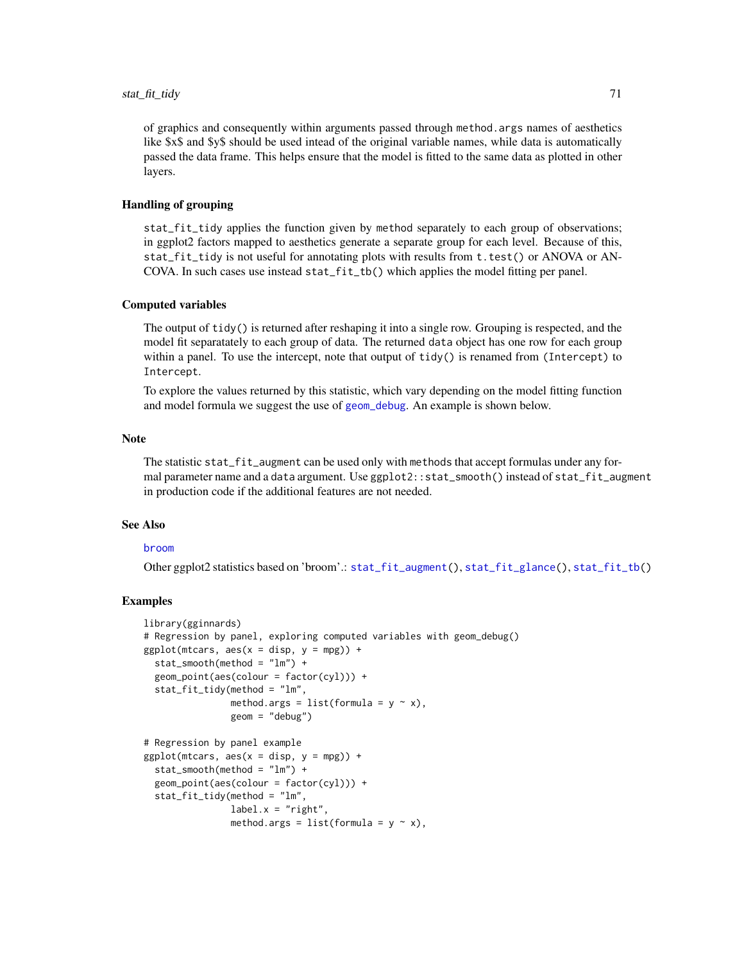## stat\_fit\_tidy 71

of graphics and consequently within arguments passed through method.args names of aesthetics like \$x\$ and \$y\$ should be used intead of the original variable names, while data is automatically passed the data frame. This helps ensure that the model is fitted to the same data as plotted in other layers.

#### Handling of grouping

stat\_fit\_tidy applies the function given by method separately to each group of observations; in ggplot2 factors mapped to aesthetics generate a separate group for each level. Because of this, stat\_fit\_tidy is not useful for annotating plots with results from t.test() or ANOVA or AN-COVA. In such cases use instead stat\_fit\_tb() which applies the model fitting per panel.

#### Computed variables

The output of tidy() is returned after reshaping it into a single row. Grouping is respected, and the model fit separatately to each group of data. The returned data object has one row for each group within a panel. To use the intercept, note that output of tidy() is renamed from (Intercept) to Intercept.

To explore the values returned by this statistic, which vary depending on the model fitting function and model formula we suggest the use of [geom\\_debug](#page-26-0). An example is shown below.

### **Note**

The statistic stat\_fit\_augment can be used only with methods that accept formulas under any formal parameter name and a data argument. Use ggplot2::stat\_smooth() instead of stat\_fit\_augment in production code if the additional features are not needed.

#### See Also

## [broom](#page-0-0)

Other ggplot2 statistics based on 'broom'.: [stat\\_fit\\_augment\(](#page-54-0)), [stat\\_fit\\_glance\(](#page-59-0)), [stat\\_fit\\_tb\(](#page-64-0))

```
library(gginnards)
# Regression by panel, exploring computed variables with geom_debug()
ggplot(mtcars, aes(x = disp, y = mp)) +
 stat\_smooth(method = "lm") +geom_point(aes(colour = factor(cyl))) +
 stat_fit_tidy(method = "lm",
                method.args = list(formula = y \sim x),
                geom = "debug")
# Regression by panel example
ggplot(mtcars, aes(x = disp, y = mp)) +
 stat_smooth(method = "lm") +
 geom_point(aes(colour = factor(cyl))) +
 stat_fit_tidy(method = "lm",
                label.x = "right",method.args = list(formula = y \sim x),
```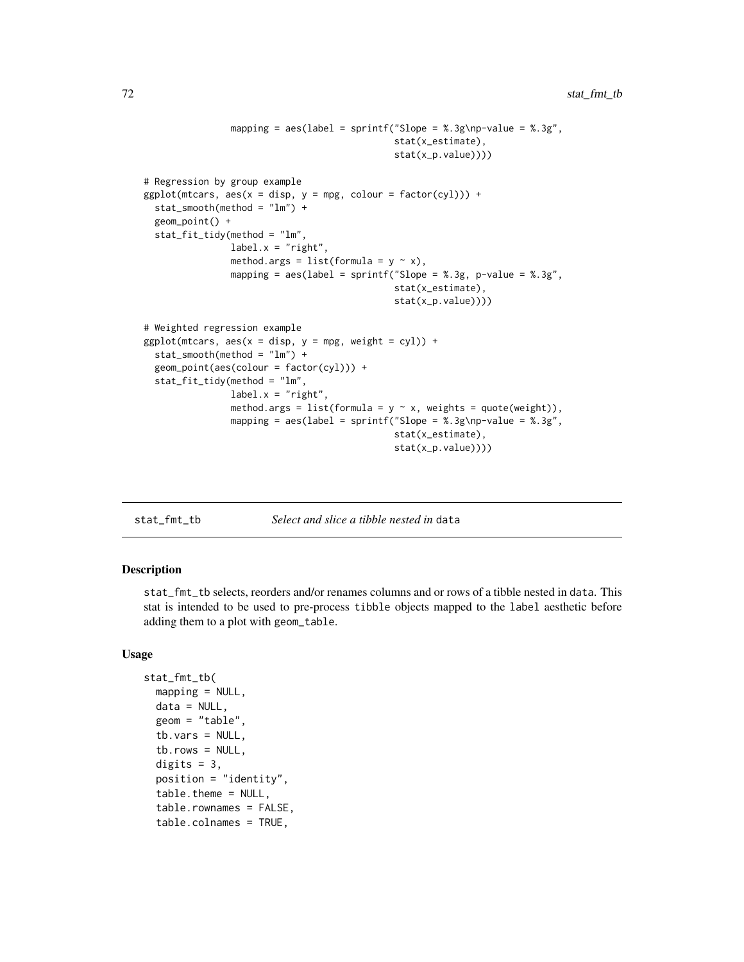```
mapping = aes(label = sprintf("Slope = %.3g\nmp-value = %.3g",stat(x_estimate),
                                              stat(x_p.value))))
# Regression by group example
ggplot(mtcars, aes(x = disp, y = mp, colour = factor(cyl))) +stat_smooth(method = "lm") +
 geom_point() +
 stat_fit_tidy(method = "lm",
               label.x = "right",method.args = list(formula = y \sim x),
                mapping = aes(label = sprintf("Slope = %.3g, p-value = %.3g",stat(x_estimate),
                                              stat(x_p.value))))
# Weighted regression example
ggplot(mtcars, aes(x = disp, y = mpg, weight = cyl)) +stat_smooth(method = "lm") +
 geom_point(aes(colour = factor(cyl))) +
 stat_fit_tidy(method = "lm",
               label.x = "right",method.args = list(formula = y \sim x, weights = quote(weight)),
                mapping = aes(1abel = sprintf("Slope = %.3g\nup-value = %.3g",stat(x_estimate),
                                              stat(x_p.value))))
```
stat\_fmt\_tb *Select and slice a tibble nested in* data

### Description

stat\_fmt\_tb selects, reorders and/or renames columns and or rows of a tibble nested in data. This stat is intended to be used to pre-process tibble objects mapped to the label aesthetic before adding them to a plot with geom\_table.

## Usage

```
stat_fmt_tb(
 mapping = NULL,data = NULL,geom = "table",tb.vars = NULL,
  tb.rows = NULL,digits = 3,
 position = "identity",
  table.theme = NULL,
  table.rownames = FALSE,
  table.colnames = TRUE,
```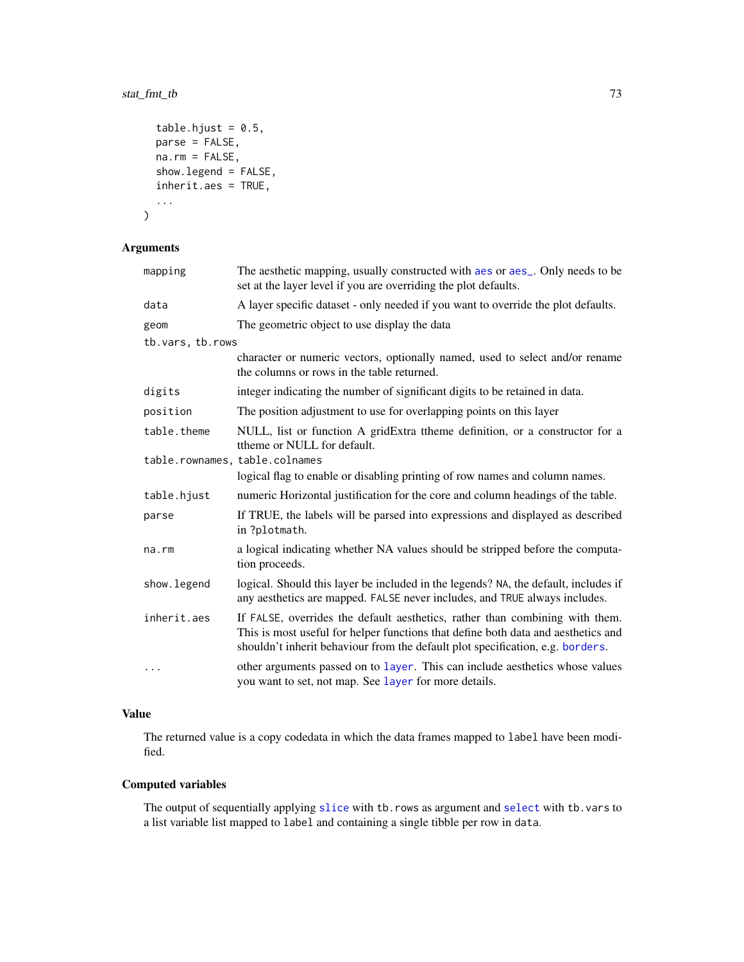# <span id="page-72-0"></span>stat\_fmt\_tb 73

```
table.hjust = 0.5,
 parse = FALSE,
 na.rm = FALSE,
  show.legend = FALSE,
  inherit.aes = TRUE,
  ...
\mathcal{L}
```
# Arguments

| mapping                        | The aesthetic mapping, usually constructed with aes or aes <sub>-</sub> . Only needs to be<br>set at the layer level if you are overriding the plot defaults.                                                                                       |
|--------------------------------|-----------------------------------------------------------------------------------------------------------------------------------------------------------------------------------------------------------------------------------------------------|
| data                           | A layer specific dataset - only needed if you want to override the plot defaults.                                                                                                                                                                   |
| geom                           | The geometric object to use display the data                                                                                                                                                                                                        |
| tb.vars, tb.rows               |                                                                                                                                                                                                                                                     |
|                                | character or numeric vectors, optionally named, used to select and/or rename<br>the columns or rows in the table returned.                                                                                                                          |
| digits                         | integer indicating the number of significant digits to be retained in data.                                                                                                                                                                         |
| position                       | The position adjustment to use for overlapping points on this layer                                                                                                                                                                                 |
| table.theme                    | NULL, list or function A gridExtra ttheme definition, or a constructor for a<br>ttheme or NULL for default.                                                                                                                                         |
| table.rownames, table.colnames |                                                                                                                                                                                                                                                     |
|                                | logical flag to enable or disabling printing of row names and column names.                                                                                                                                                                         |
| table.hjust                    | numeric Horizontal justification for the core and column headings of the table.                                                                                                                                                                     |
| parse                          | If TRUE, the labels will be parsed into expressions and displayed as described<br>in ?plotmath.                                                                                                                                                     |
| na.rm                          | a logical indicating whether NA values should be stripped before the computa-<br>tion proceeds.                                                                                                                                                     |
| show.legend                    | logical. Should this layer be included in the legends? NA, the default, includes if<br>any aesthetics are mapped. FALSE never includes, and TRUE always includes.                                                                                   |
| inherit.aes                    | If FALSE, overrides the default aesthetics, rather than combining with them.<br>This is most useful for helper functions that define both data and aesthetics and<br>shouldn't inherit behaviour from the default plot specification, e.g. borders. |
| $\ddots$                       | other arguments passed on to layer. This can include aesthetics whose values<br>you want to set, not map. See layer for more details.                                                                                                               |

# Value

The returned value is a copy codedata in which the data frames mapped to label have been modified.

# Computed variables

The output of sequentially applying [slice](#page-0-0) with tb.rows as argument and [select](#page-0-0) with tb.vars to a list variable list mapped to label and containing a single tibble per row in data.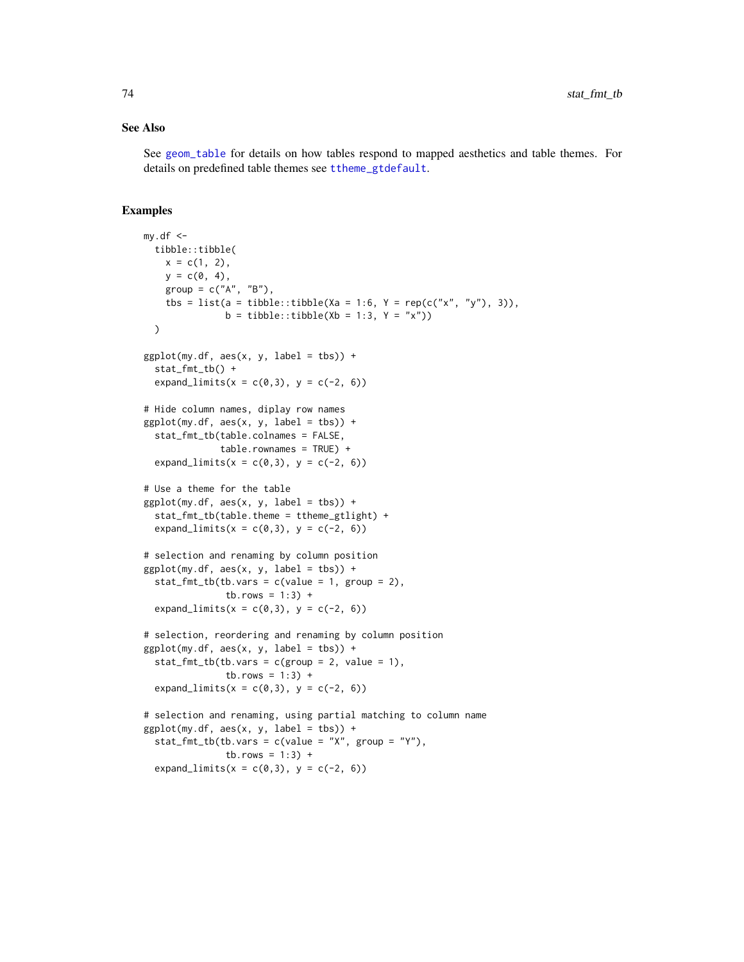#### See Also

See [geom\\_table](#page-15-0) for details on how tables respond to mapped aesthetics and table themes. For details on predefined table themes see [ttheme\\_gtdefault](#page-87-0).

```
my.df < -tibble::tibble(
   x = c(1, 2),
   y = c(0, 4),
   group = c("A", "B"),
    tbs = list(a = tibble::tibble(Xa = 1:6, Y = rep(c("x", "y"), 3)),b = tibble::tibble(Xb = 1:3, Y = "x")))
ggplot(my.df, aes(x, y, label = tbs)) +stat_fmt_tb() +
  expand_limits(x = c(0,3), y = c(-2, 6))
# Hide column names, diplay row names
ggplot(my.df, aes(x, y, label = tbs)) +stat_fmt_tb(table.colnames = FALSE,
              table.rownames = TRUE) +
  expand_limits(x = c(0,3), y = c(-2, 6))
# Use a theme for the table
ggplot(my.df, aes(x, y, label = tbs)) +stat_fmt_tb(table.theme = ttheme_gtlight) +
  expand_limits(x = c(0,3), y = c(-2, 6))
# selection and renaming by column position
ggplot(my.df, aes(x, y, label = tbs)) +stat_fmt_tb(tb.vars = c(value = 1, group = 2),
               tb. rows = 1:3) +expand_limits(x = c(0,3), y = c(-2, 6))
# selection, reordering and renaming by column position
ggplot(my.df, aes(x, y, label = tbs)) +stat_fmt_tb(tb.vars = c(group = 2, value = 1),tb. rows = 1:3) +expand_limits(x = c(0,3), y = c(-2, 6))
# selection and renaming, using partial matching to column name
ggplot(my.df, aes(x, y, label = tbs)) +stat_fmt_tb(tb.vars = c(value = "X", group = "Y"),
               tb. rows = 1:3) +expand_limits(x = c(0,3), y = c(-2, 6))
```
<span id="page-73-0"></span>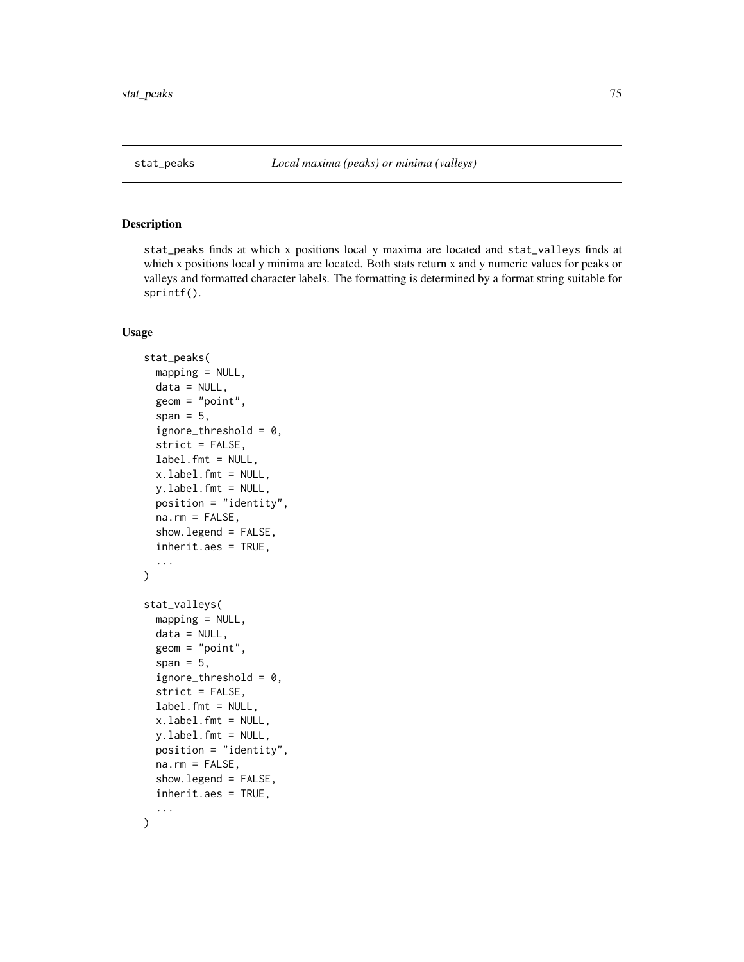<span id="page-74-0"></span>

#### Description

stat\_peaks finds at which x positions local y maxima are located and stat\_valleys finds at which x positions local y minima are located. Both stats return x and y numeric values for peaks or valleys and formatted character labels. The formatting is determined by a format string suitable for sprintf().

#### Usage

```
stat_peaks(
  mapping = NULL,
  data = NULL,geom = "point",
  span = 5,
  ignore_threshold = 0,
  strict = FALSE,
  label.fmt = NULL,
  x.label.fmt = NULL,
 y.label.fmt = NULL,
 position = "identity",
 na.rm = FALSE,show.legend = FALSE,
  inherit.aes = TRUE,
  ...
\mathcal{L}stat_valleys(
 mapping = NULL,
  data = NULL,
  geom = "point",
  span = 5,
  ignore_threshold = 0,
  strict = FALSE,
  label.fmt = NULL,
  x.label.fmt = NULL,
 y.label.fmt = NULL,
 position = "identity",
  na.rm = FALSE,
  show.legend = FALSE,
  inherit.aes = TRUE,
  ...
)
```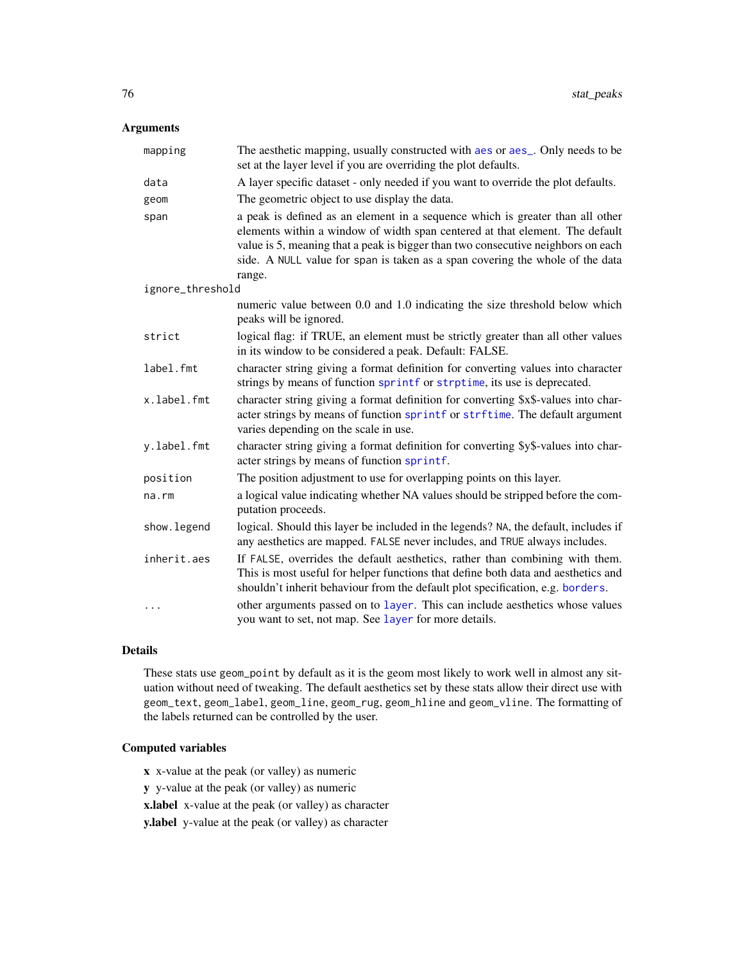# <span id="page-75-0"></span>Arguments

| mapping          | The aesthetic mapping, usually constructed with aes or aes_. Only needs to be<br>set at the layer level if you are overriding the plot defaults.                                                                                                                                                                                             |
|------------------|----------------------------------------------------------------------------------------------------------------------------------------------------------------------------------------------------------------------------------------------------------------------------------------------------------------------------------------------|
| data             | A layer specific dataset - only needed if you want to override the plot defaults.                                                                                                                                                                                                                                                            |
| geom             | The geometric object to use display the data.                                                                                                                                                                                                                                                                                                |
| span             | a peak is defined as an element in a sequence which is greater than all other<br>elements within a window of width span centered at that element. The default<br>value is 5, meaning that a peak is bigger than two consecutive neighbors on each<br>side. A NULL value for span is taken as a span covering the whole of the data<br>range. |
| ignore_threshold |                                                                                                                                                                                                                                                                                                                                              |
|                  | numeric value between 0.0 and 1.0 indicating the size threshold below which<br>peaks will be ignored.                                                                                                                                                                                                                                        |
| strict           | logical flag: if TRUE, an element must be strictly greater than all other values<br>in its window to be considered a peak. Default: FALSE.                                                                                                                                                                                                   |
| label.fmt        | character string giving a format definition for converting values into character<br>strings by means of function sprintf or strptime, its use is deprecated.                                                                                                                                                                                 |
| x.label.fmt      | character string giving a format definition for converting \$x\$-values into char-<br>acter strings by means of function sprintf or strftime. The default argument<br>varies depending on the scale in use.                                                                                                                                  |
| y.label.fmt      | character string giving a format definition for converting \$y\$-values into char-<br>acter strings by means of function sprintf.                                                                                                                                                                                                            |
| position         | The position adjustment to use for overlapping points on this layer.                                                                                                                                                                                                                                                                         |
| $na$ . $rm$      | a logical value indicating whether NA values should be stripped before the com-<br>putation proceeds.                                                                                                                                                                                                                                        |
| show. legend     | logical. Should this layer be included in the legends? NA, the default, includes if<br>any aesthetics are mapped. FALSE never includes, and TRUE always includes.                                                                                                                                                                            |
| inherit.aes      | If FALSE, overrides the default aesthetics, rather than combining with them.<br>This is most useful for helper functions that define both data and aesthetics and<br>shouldn't inherit behaviour from the default plot specification, e.g. borders.                                                                                          |
| .                | other arguments passed on to layer. This can include aesthetics whose values<br>you want to set, not map. See layer for more details.                                                                                                                                                                                                        |

# Details

These stats use geom\_point by default as it is the geom most likely to work well in almost any situation without need of tweaking. The default aesthetics set by these stats allow their direct use with geom\_text, geom\_label, geom\_line, geom\_rug, geom\_hline and geom\_vline. The formatting of the labels returned can be controlled by the user.

# Computed variables

x x-value at the peak (or valley) as numeric

y y-value at the peak (or valley) as numeric

x.label x-value at the peak (or valley) as character

y.label y-value at the peak (or valley) as character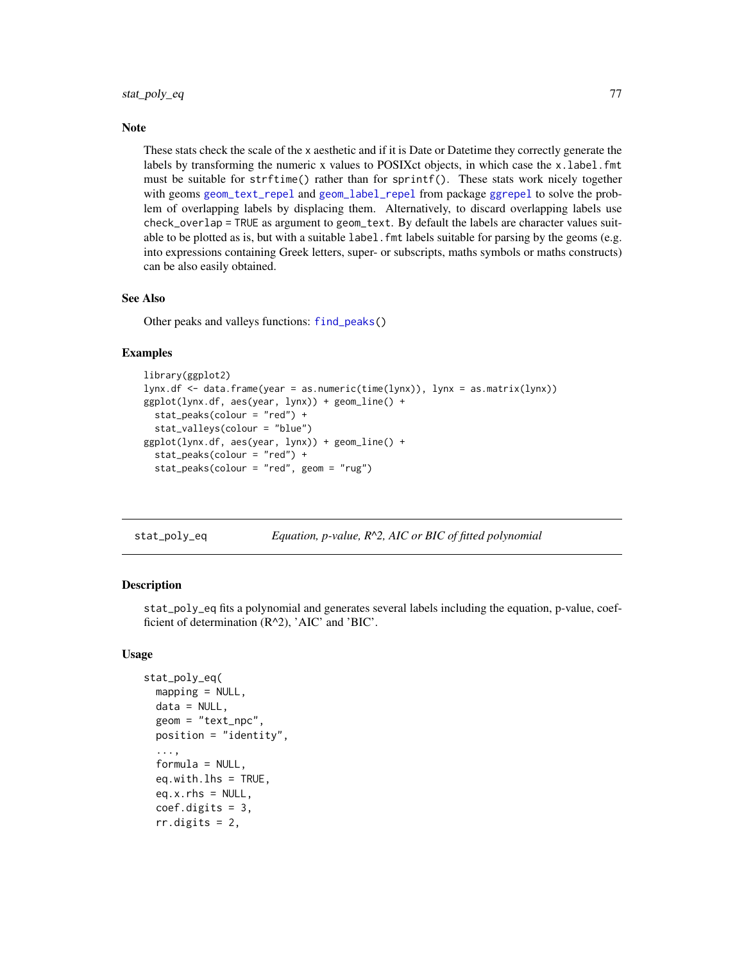#### <span id="page-76-0"></span>**Note**

These stats check the scale of the x aesthetic and if it is Date or Datetime they correctly generate the labels by transforming the numeric x values to POSIXct objects, in which case the x.label.fmt must be suitable for strftime() rather than for sprintf(). These stats work nicely together with geoms [geom\\_text\\_repel](#page-0-0) and [geom\\_label\\_repel](#page-0-0) from package [ggrepel](#page-0-0) to solve the problem of overlapping labels by displacing them. Alternatively, to discard overlapping labels use check\_overlap = TRUE as argument to geom\_text. By default the labels are character values suitable to be plotted as is, but with a suitable label. fmt labels suitable for parsing by the geoms (e.g. into expressions containing Greek letters, super- or subscripts, maths symbols or maths constructs) can be also easily obtained.

#### See Also

Other peaks and valleys functions: [find\\_peaks\(](#page-0-0))

#### Examples

```
library(ggplot2)
lynx.df <- data.frame(year = as.numeric(time(lynx)), lynx = as.matrix(lynx))
ggplot(lynx.df, aes(year, lynx)) + geom_line() +
 stat_peaks(colour = "red") +
 stat_valleys(colour = "blue")
ggplot(lynx.df, aes(year, lynx)) + geom_line() +
 stat_peaks(colour = "red") +
 stat_peaks(colour = "red", geom = "rug")
```
stat\_poly\_eq *Equation, p-value, R^2, AIC or BIC of fitted polynomial*

#### Description

stat\_poly\_eq fits a polynomial and generates several labels including the equation, p-value, coefficient of determination (R^2), 'AIC' and 'BIC'.

#### Usage

```
stat_poly_eq(
 mapping = NULL,data = NULL,geom = "text_npc",
 position = "identity",
  ...,
  formula = NULL,eq.with.lhs = TRUE,
  eq.x.rhs = NULL,coef.digits = 3,
  rr.digits = 2,
```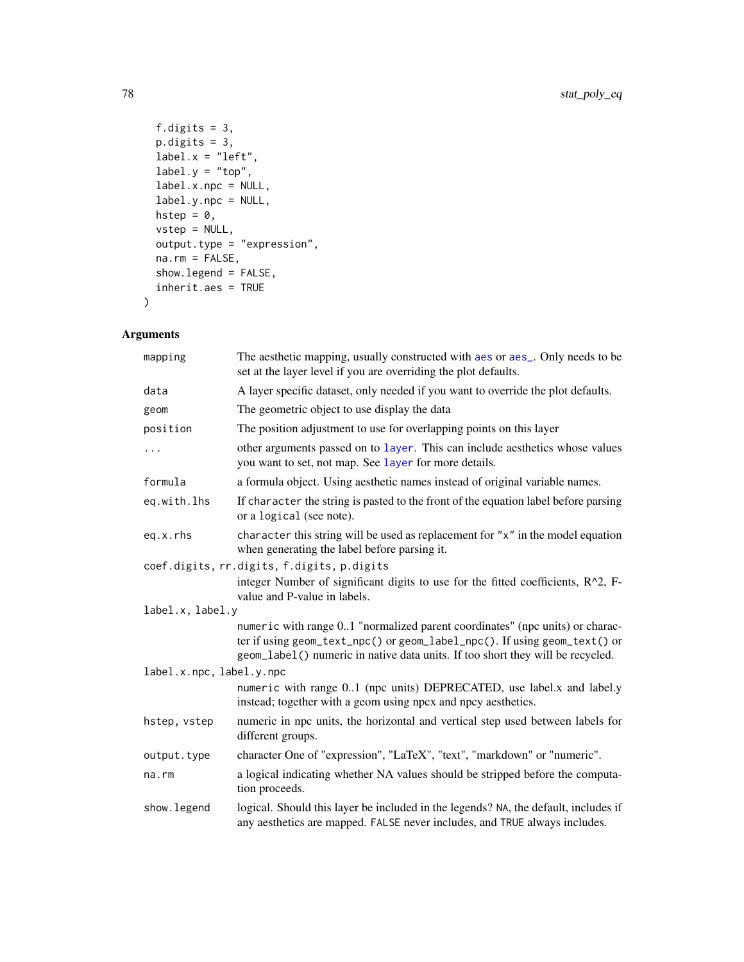```
f.digits = 3,
 p.digits = 3,
 label.x = "left",label.y = "top",label.x.npc = NULL,
 label.y.npc = NULL,
 hstep = 0,
 vstep = NULL,
 output.type = "expression",
 na.rm = FALSE,show.legend = FALSE,
  inherit.aes = TRUE
\mathcal{L}
```
# Arguments

| mapping                  | The aesthetic mapping, usually constructed with aes or aes <sub>-</sub> . Only needs to be<br>set at the layer level if you are overriding the plot defaults.                                                                               |
|--------------------------|---------------------------------------------------------------------------------------------------------------------------------------------------------------------------------------------------------------------------------------------|
| data                     | A layer specific dataset, only needed if you want to override the plot defaults.                                                                                                                                                            |
| geom                     | The geometric object to use display the data                                                                                                                                                                                                |
| position                 | The position adjustment to use for overlapping points on this layer                                                                                                                                                                         |
| $\cdots$                 | other arguments passed on to layer. This can include aesthetics whose values<br>you want to set, not map. See layer for more details.                                                                                                       |
| formula                  | a formula object. Using aesthetic names instead of original variable names.                                                                                                                                                                 |
| eq.with.lhs              | If character the string is pasted to the front of the equation label before parsing<br>or a logical (see note).                                                                                                                             |
| eq.x.rhs                 | character this string will be used as replacement for "x" in the model equation<br>when generating the label before parsing it.                                                                                                             |
|                          | coef.digits, rr.digits, f.digits, p.digits<br>integer Number of significant digits to use for the fitted coefficients, R^2, F-<br>value and P-value in labels.                                                                              |
| label.x, label.y         |                                                                                                                                                                                                                                             |
|                          | numeric with range 01 "normalized parent coordinates" (npc units) or charac-<br>ter if using geom_text_npc() or geom_label_npc(). If using geom_text() or<br>geom_label() numeric in native data units. If too short they will be recycled. |
| label.x.npc, label.y.npc |                                                                                                                                                                                                                                             |
|                          | numeric with range 0.1 (npc units) DEPRECATED, use label.x and label.y<br>instead; together with a geom using npcx and npcy aesthetics.                                                                                                     |
| hstep, vstep             | numeric in npc units, the horizontal and vertical step used between labels for<br>different groups.                                                                                                                                         |
| output.type              | character One of "expression", "LaTeX", "text", "markdown" or "numeric".                                                                                                                                                                    |
| na.rm                    | a logical indicating whether NA values should be stripped before the computa-<br>tion proceeds.                                                                                                                                             |
| show. legend             | logical. Should this layer be included in the legends? NA, the default, includes if<br>any aesthetics are mapped. FALSE never includes, and TRUE always includes.                                                                           |

<span id="page-77-0"></span>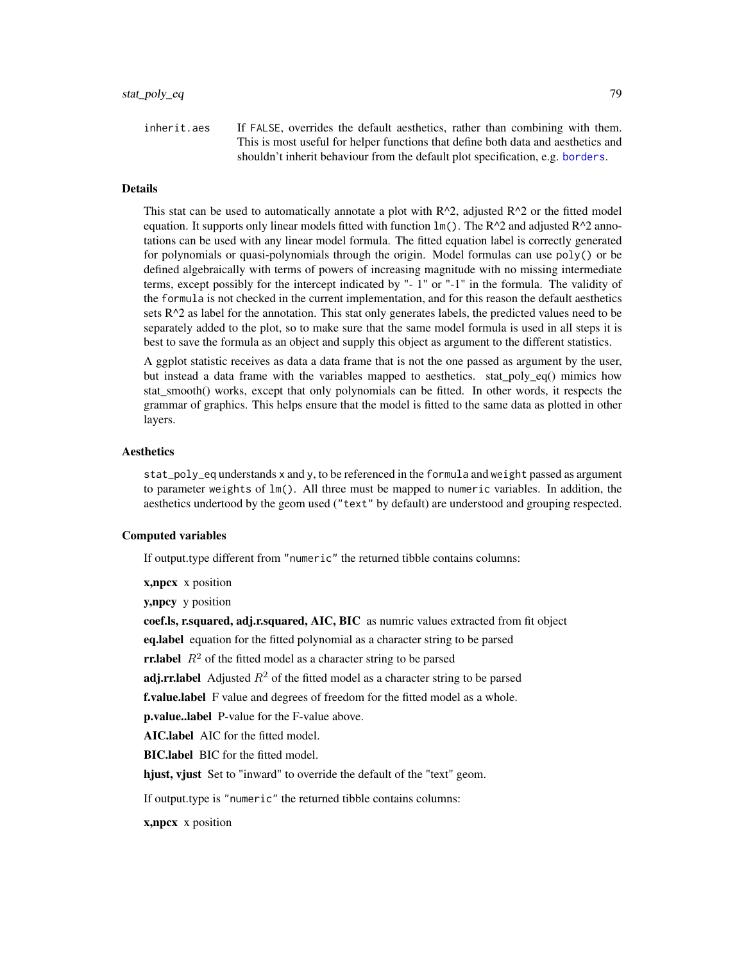<span id="page-78-0"></span>inherit.aes If FALSE, overrides the default aesthetics, rather than combining with them. This is most useful for helper functions that define both data and aesthetics and shouldn't inherit behaviour from the default plot specification, e.g. [borders](#page-0-0).

#### Details

This stat can be used to automatically annotate a plot with  $R^2$ , adjusted  $R^2$  or the fitted model equation. It supports only linear models fitted with function  $lm()$ . The R^2 and adjusted R^2 annotations can be used with any linear model formula. The fitted equation label is correctly generated for polynomials or quasi-polynomials through the origin. Model formulas can use poly() or be defined algebraically with terms of powers of increasing magnitude with no missing intermediate terms, except possibly for the intercept indicated by "- 1" or "-1" in the formula. The validity of the formula is not checked in the current implementation, and for this reason the default aesthetics sets  $R^2$  as label for the annotation. This stat only generates labels, the predicted values need to be separately added to the plot, so to make sure that the same model formula is used in all steps it is best to save the formula as an object and supply this object as argument to the different statistics.

A ggplot statistic receives as data a data frame that is not the one passed as argument by the user, but instead a data frame with the variables mapped to aesthetics. stat poly eq() mimics how stat smooth() works, except that only polynomials can be fitted. In other words, it respects the grammar of graphics. This helps ensure that the model is fitted to the same data as plotted in other layers.

#### Aesthetics

stat\_poly\_eq understands x and y, to be referenced in the formula and weight passed as argument to parameter weights of lm(). All three must be mapped to numeric variables. In addition, the aesthetics undertood by the geom used ("text" by default) are understood and grouping respected.

#### Computed variables

If output.type different from "numeric" the returned tibble contains columns:

**x, npcx** x position

y, npcy y position

coef.ls, r.squared, adj.r.squared, AIC, BIC as numric values extracted from fit object

eq.label equation for the fitted polynomial as a character string to be parsed

**rr.label**  $R^2$  of the fitted model as a character string to be parsed

adj.rr.label Adjusted  $R^2$  of the fitted model as a character string to be parsed

f.value.label F value and degrees of freedom for the fitted model as a whole.

p.value..label P-value for the F-value above.

AIC.label AIC for the fitted model.

BIC.label BIC for the fitted model.

hjust, vjust Set to "inward" to override the default of the "text" geom.

If output.type is "numeric" the returned tibble contains columns:

x, npcx x position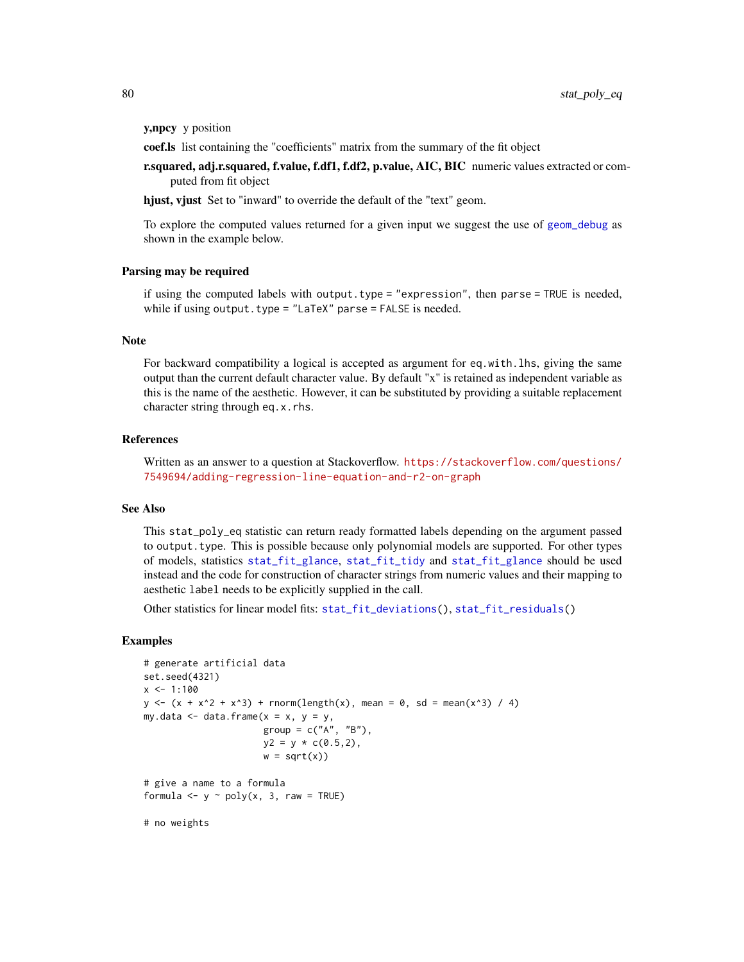```
y,npcy y position
```
coef.ls list containing the "coefficients" matrix from the summary of the fit object

r.squared, adj.r.squared, f.value, f.df1, f.df2, p.value, AIC, BIC numeric values extracted or computed from fit object

hjust, vjust Set to "inward" to override the default of the "text" geom.

To explore the computed values returned for a given input we suggest the use of [geom\\_debug](#page-26-0) as shown in the example below.

#### Parsing may be required

if using the computed labels with output.type = "expression", then parse = TRUE is needed, while if using output.type = "LaTeX" parse = FALSE is needed.

# Note

For backward compatibility a logical is accepted as argument for eq.with.lhs, giving the same output than the current default character value. By default "x" is retained as independent variable as this is the name of the aesthetic. However, it can be substituted by providing a suitable replacement character string through eq.x.rhs.

# References

Written as an answer to a question at Stackoverflow. [https://stackoverflow.com/questions/](https://stackoverflow.com/questions/7549694/adding-regression-line-equation-and-r2-on-graph) [7549694/adding-regression-line-equation-and-r2-on-graph](https://stackoverflow.com/questions/7549694/adding-regression-line-equation-and-r2-on-graph)

#### See Also

This stat\_poly\_eq statistic can return ready formatted labels depending on the argument passed to output.type. This is possible because only polynomial models are supported. For other types of models, statistics [stat\\_fit\\_glance](#page-59-0), [stat\\_fit\\_tidy](#page-68-0) and [stat\\_fit\\_glance](#page-59-0) should be used instead and the code for construction of character strings from numeric values and their mapping to aesthetic label needs to be explicitly supplied in the call.

Other statistics for linear model fits: [stat\\_fit\\_deviations\(](#page-57-0)), [stat\\_fit\\_residuals\(](#page-62-0))

```
# generate artificial data
set.seed(4321)
x \le -1:100y \le -(x + x^2 + x^3) + \text{norm}(\text{length}(x), \text{ mean } = 0, \text{ sd } = \text{mean}(x^3) / 4)my.data \leq data.frame(x = x, y = y,
                          group = c("A", "B"),
                          y2 = y * c(0.5, 2),
                          w = sqrt(x))# give a name to a formula
formula \leq y \sim poly(x, 3, raw = TRUE)
# no weights
```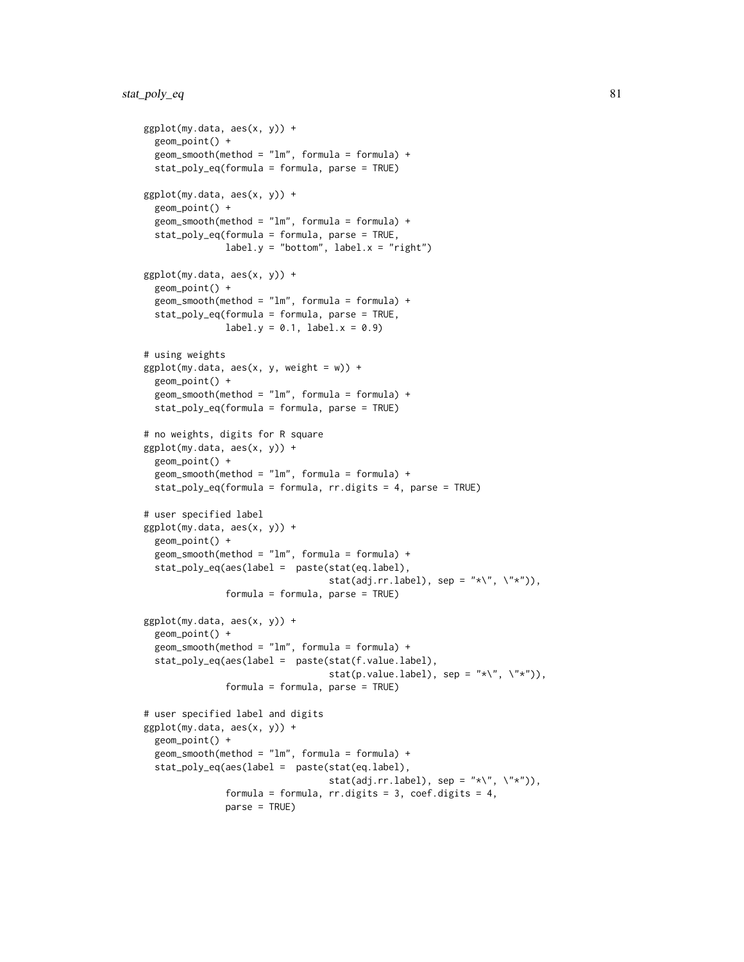```
ggplot(my.data, aes(x, y)) +geom_point() +
 geom_smooth(method = "lm", formula = formula) +
 stat_poly_eq(formula = formula, parse = TRUE)
ggplot(my.data, aes(x, y)) +geom_point() +
 geom_smooth(method = "lm", formula = formula) +
 stat_poly_eq(formula = formula, parse = TRUE,
               label.y = "bottom", label.x = "right")ggplot(my.data, aes(x, y)) +
 geom_point() +
 geom\_smooth(method = "lm", formula = formula) +stat_poly_eq(formula = formula, parse = TRUE,
               label.y = 0.1, label.x = 0.9# using weights
ggplot(my.data, aes(x, y, weight = w)) +geom_point() +
 geom\_smooth(method = "lm", formula = formula) +stat_poly_eq(formula = formula, parse = TRUE)
# no weights, digits for R square
ggplot(my.data, aes(x, y)) +
 geom_point() +
 geom\_smooth(method = "lm", formula = formula) +stat_poly_eq(formula = formula, rr.digits = 4, parse = TRUE)
# user specified label
ggplot(my.data, aes(x, y)) +
 geom_point() +
 geom\_smooth(method = "lm", formula = formula) +stat_poly_eq(aes(label = paste(stat(eq.label),
                                  stat(adj.rr.label), sep = "*\", \"*")),
               formula = formula, parse = TRUE)
ggplot(my.data, aes(x, y)) +
 geom_point() +
 geom\_smooth(method = "lm", formula = formula) +stat_poly_eq(aes(label = paste(stat(f.value.label),
                                  stat(p.value.label), sep = "*\", \"*")),
               formula = formula, parse = TRUE)
# user specified label and digits
ggplot(my.data, aes(x, y)) +
 geom_point() +
 geom\_smooth(method = "lm", formula = formula) +stat_poly_eq(aes(label = paste(stat(eq.label),
                                  stat(adj.rr.label), sep = "*\", \"*")),
               formula = formula, rr.digits = 3, coef.digits = 4,
               parse = TRUE)
```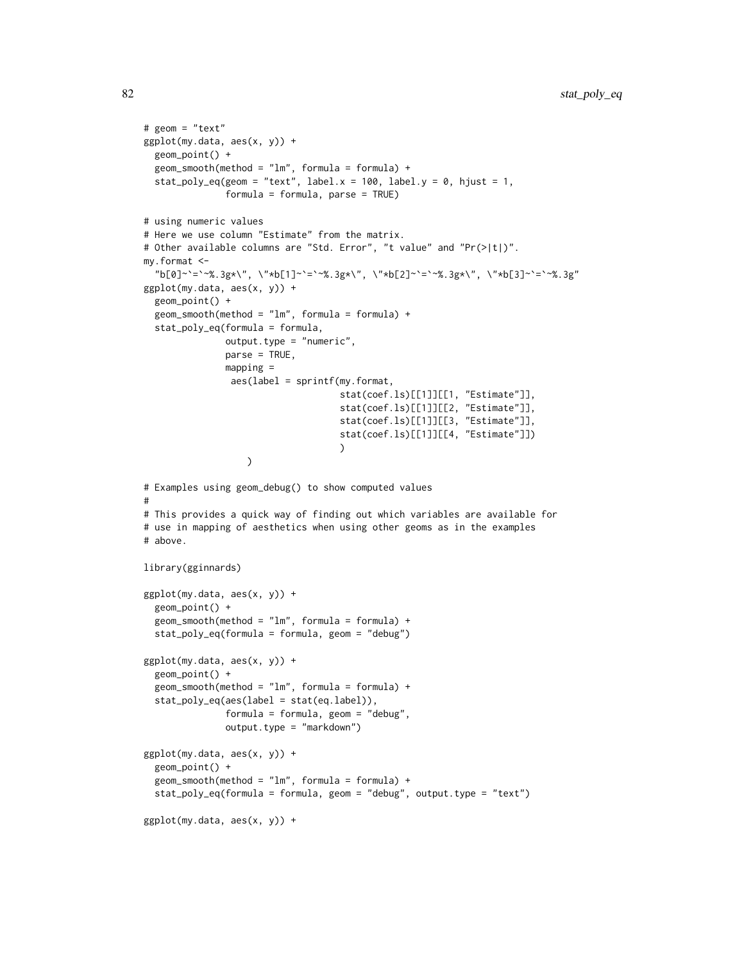```
# geom = "text"
ggplot(my.data, aes(x, y)) +
  geom_point() +
  geom\_smooth(method = "lm", formula = formula) +stat_poly_eq(geom = "text", label.x = 100, label.y = 0, hjust = 1,
               formula = formula, parse = TRUE)
# using numeric values
# Here we use column "Estimate" from the matrix.
# Other available columns are "Std. Error", "t value" and "Pr(>|t|)".
my.format <-
  "b[0]~`=`~%.3g*\", \"*b[1]~`=`~%.3g*\", \"*b[2]~`=`~%.3g*\", \"*b[3]~`=`~%.3g"
ggplot(my.data, aes(x, y)) +
  geom_point() +
  geom\_smooth(method = "lm", formula = formula) +stat_poly_eq(formula = formula,
               output.type = "numeric",
               parse = TRUE,
               mapping =
                aes(label = sprintf(my.format,
                                    stat(coef.ls)[[1]][[1, "Estimate"]],
                                    stat(coef.ls)[[1]][[2, "Estimate"]],
                                    stat(coef.ls)[[1]][[3, "Estimate"]],
                                    stat(coef.ls)[[1]][[4, "Estimate"]])
                                    )
                   )
# Examples using geom_debug() to show computed values
#
# This provides a quick way of finding out which variables are available for
# use in mapping of aesthetics when using other geoms as in the examples
# above.
library(gginnards)
ggplot(my.data, aes(x, y)) +
  geom_point() +
  geom\_smooth(method = "lm", formula = formula) +stat_poly_eq(formula = formula, geom = "debug")
ggplot(my.data, aes(x, y)) +
  geom_point() +
  geom_smooth(method = "lm", formula = formula) +
  stat_poly_eq(aes(label = stat(eq.label)),
               formula = formula, geom = "debug",
               output.type = "markdown")
ggplot(my.data, aes(x, y)) +
  geom_point() +
  geom\_smooth(method = "lm", formula = formula) +stat_poly_eq(formula = formula, geom = "debug", output.type = "text")
ggplot(my.data, aes(x, y)) +
```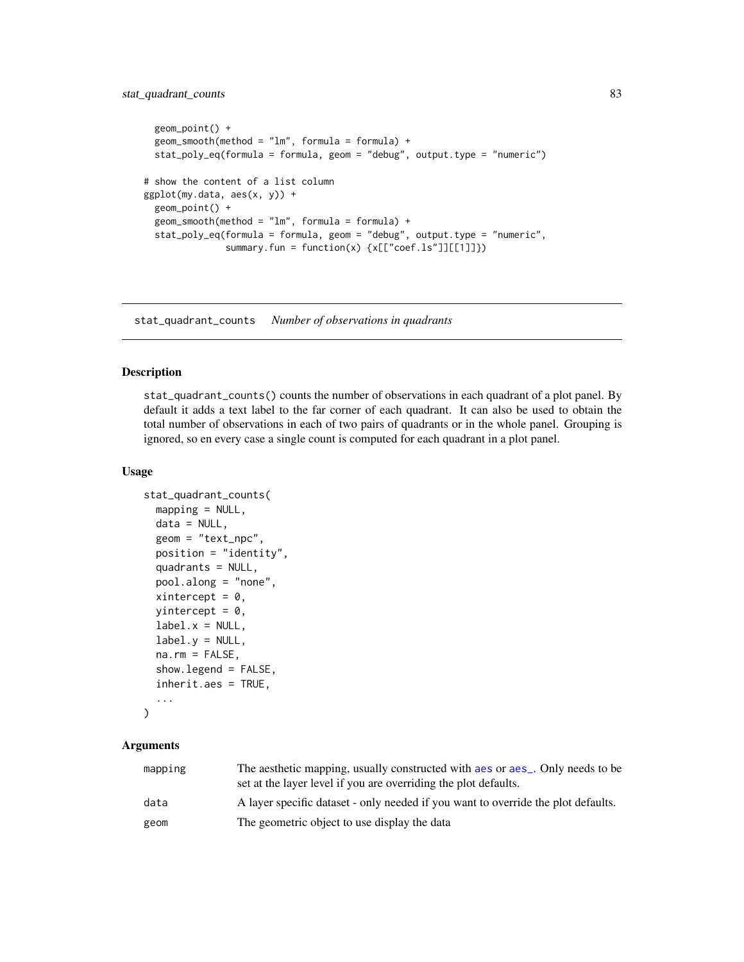# <span id="page-82-1"></span>stat\_quadrant\_counts 83

```
geom_point() +
 geom\_smooth(method = "lm", formula = formula) +stat_poly_eq(formula = formula, geom = "debug", output.type = "numeric")
# show the content of a list column
ggplot(my.data, aes(x, y)) +
 geom_point() +
 geom_smooth(method = "lm", formula = formula) +
 stat_poly_eq(formula = formula, geom = "debug", output.type = "numeric",
               summary.fun = function(x) \{x[\text{['coef.ls'']][[1]]}\}
```
<span id="page-82-0"></span>stat\_quadrant\_counts *Number of observations in quadrants*

#### Description

stat\_quadrant\_counts() counts the number of observations in each quadrant of a plot panel. By default it adds a text label to the far corner of each quadrant. It can also be used to obtain the total number of observations in each of two pairs of quadrants or in the whole panel. Grouping is ignored, so en every case a single count is computed for each quadrant in a plot panel.

#### Usage

```
stat_quadrant_counts(
 mapping = NULL,data = NULL,geom = "text_npc",
 position = "identity",
  quadrants = NULL,
 pool.along = "none",
  xintercept = 0,
 yintercept = 0,
 label.x = NULL,label.y = NULL,na.rm = FALSE,
  show.legend = FALSE,
  inherit.aes = TRUE,
  ...
```
# )

#### Arguments

| mapping | The aesthetic mapping, usually constructed with a es or a es_. Only needs to be<br>set at the layer level if you are overriding the plot defaults. |
|---------|----------------------------------------------------------------------------------------------------------------------------------------------------|
| data    | A layer specific dataset - only needed if you want to override the plot defaults.                                                                  |
| geom    | The geometric object to use display the data                                                                                                       |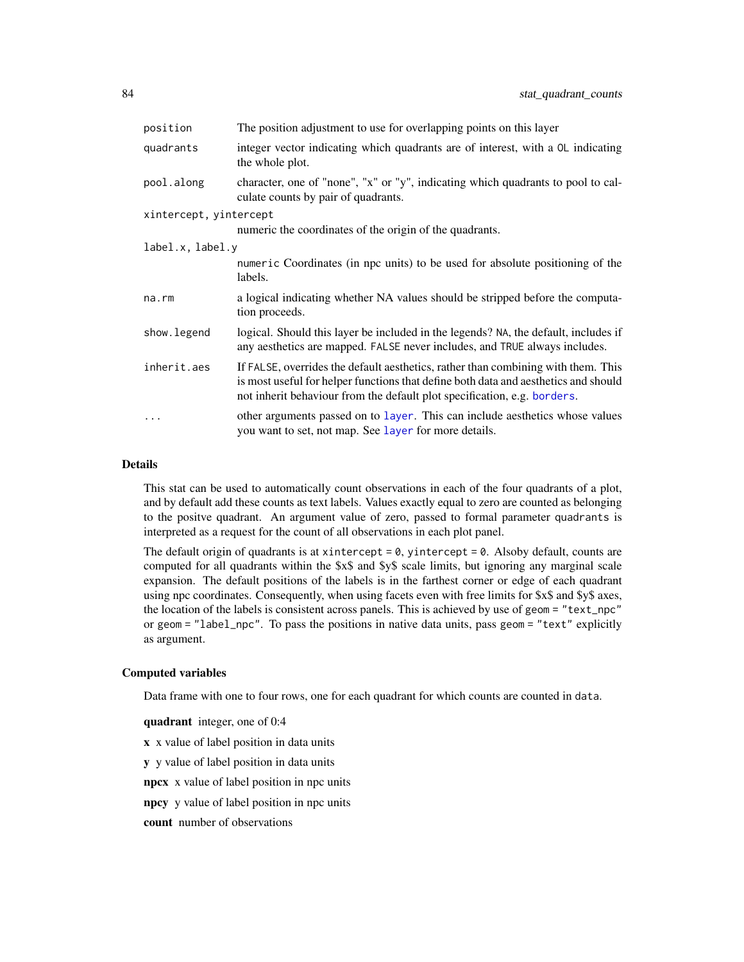<span id="page-83-0"></span>

| position               | The position adjustment to use for overlapping points on this layer                                                                                                                                                                                  |
|------------------------|------------------------------------------------------------------------------------------------------------------------------------------------------------------------------------------------------------------------------------------------------|
| quadrants              | integer vector indicating which quadrants are of interest, with a OL indicating<br>the whole plot.                                                                                                                                                   |
| pool.along             | character, one of "none", "x" or "y", indicating which quadrants to pool to cal-<br>culate counts by pair of quadrants.                                                                                                                              |
| xintercept, yintercept |                                                                                                                                                                                                                                                      |
|                        | numeric the coordinates of the origin of the quadrants.                                                                                                                                                                                              |
| label.x, label.y       |                                                                                                                                                                                                                                                      |
|                        | numeric Coordinates (in npc units) to be used for absolute positioning of the<br>labels.                                                                                                                                                             |
| $na$ . $rm$            | a logical indicating whether NA values should be stripped before the computa-<br>tion proceeds.                                                                                                                                                      |
| show.legend            | logical. Should this layer be included in the legends? NA, the default, includes if<br>any aesthetics are mapped. FALSE never includes, and TRUE always includes.                                                                                    |
| inherit.aes            | If FALSE, overrides the default aesthetics, rather than combining with them. This<br>is most useful for helper functions that define both data and aesthetics and should<br>not inherit behaviour from the default plot specification, e.g. borders. |
| $\cdots$               | other arguments passed on to layer. This can include aesthetics whose values<br>you want to set, not map. See layer for more details.                                                                                                                |

#### Details

This stat can be used to automatically count observations in each of the four quadrants of a plot, and by default add these counts as text labels. Values exactly equal to zero are counted as belonging to the positve quadrant. An argument value of zero, passed to formal parameter quadrants is interpreted as a request for the count of all observations in each plot panel.

The default origin of quadrants is at xintercept =  $0$ , yintercept =  $0$ . Alsoby default, counts are computed for all quadrants within the \$x\$ and \$y\$ scale limits, but ignoring any marginal scale expansion. The default positions of the labels is in the farthest corner or edge of each quadrant using npc coordinates. Consequently, when using facets even with free limits for \$x\$ and \$y\$ axes, the location of the labels is consistent across panels. This is achieved by use of geom = "text\_npc" or geom = "label\_npc". To pass the positions in native data units, pass geom = "text" explicitly as argument.

#### Computed variables

Data frame with one to four rows, one for each quadrant for which counts are counted in data.

quadrant integer, one of 0:4

- x x value of label position in data units
- y y value of label position in data units

npcx x value of label position in npc units

npcy y value of label position in npc units

count number of observations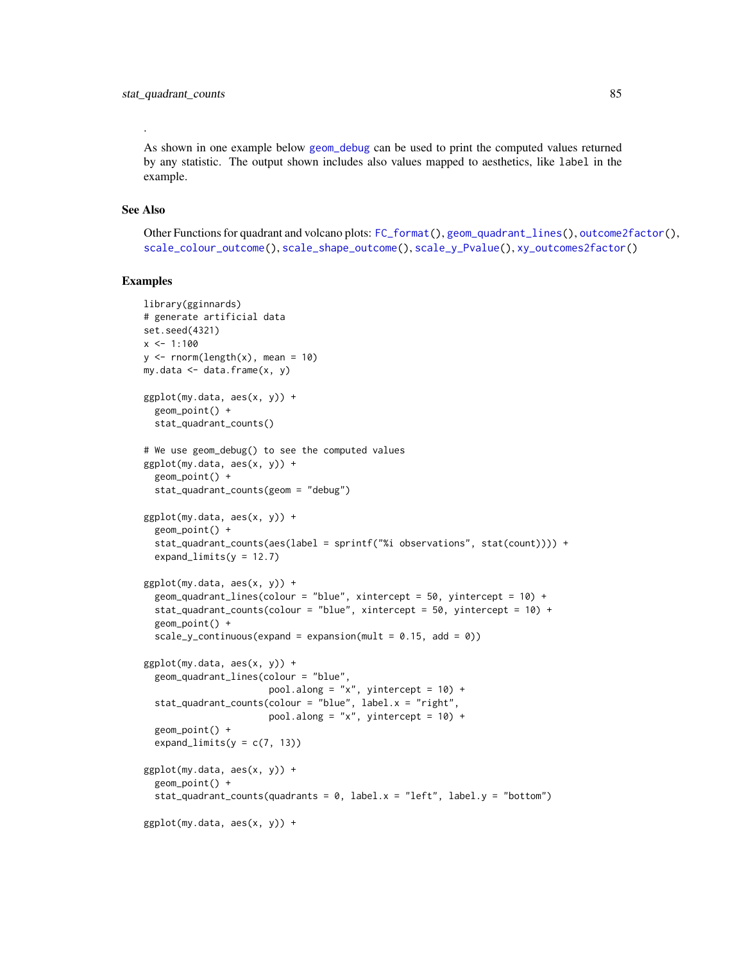As shown in one example below [geom\\_debug](#page-26-0) can be used to print the computed values returned by any statistic. The output shown includes also values mapped to aesthetics, like label in the example.

#### See Also

<span id="page-84-0"></span>.

Other Functions for quadrant and volcano plots: [FC\\_format\(](#page-0-0)), [geom\\_quadrant\\_lines\(](#page-13-0)), [outcome2factor\(](#page-27-0)), [scale\\_colour\\_outcome\(](#page-28-0)), [scale\\_shape\\_outcome\(](#page-31-0)), [scale\\_y\\_Pvalue\(](#page-35-0)), [xy\\_outcomes2factor\(](#page-92-0))

```
library(gginnards)
# generate artificial data
set.seed(4321)
x < -1:100y \le - rnorm(length(x), mean = 10)
my.data \leq data.frame(x, y)ggplot(my.data, aes(x, y)) +
  geom_point() +
  stat_quadrant_counts()
# We use geom_debug() to see the computed values
ggplot(my.data, aes(x, y)) +
  geom_point() +
  stat_quadrant_counts(geom = "debug")
ggplot(my.data, aes(x, y)) +
  geom_point() +
  stat_quadrant_counts(aes(label = sprintf("%i observations", stat(count)))) +
  expand_limits(y = 12.7)
ggplot(my.data, aes(x, y)) +geom_quadrant_lines(colour = "blue", xintercept = 50, yintercept = 10) +
  stat_quadrant_counts(colour = "blue", xintercept = 50, yintercept = 10) +
  geom_point() +
  scale_y_continuous(expand = expansion(mult = 0.15, add = 0))ggplot(my.data, aes(x, y)) +geom_quadrant_lines(colour = "blue",
                       pool.along = "x", yintercept = 10) +
  stat_quadrant_counts(colour = "blue", label.x = "right",
                       pool.along = "x", yintercept = 10) +
  geom_point() +
  expand_limits(y = c(7, 13))
ggplot(my.data, aes(x, y)) +
  geom_point() +
  stat_quadrant_counts(quadrants = 0, label.x = "left", label.y = "bottom")
ggplot(my.data, aes(x, y)) +
```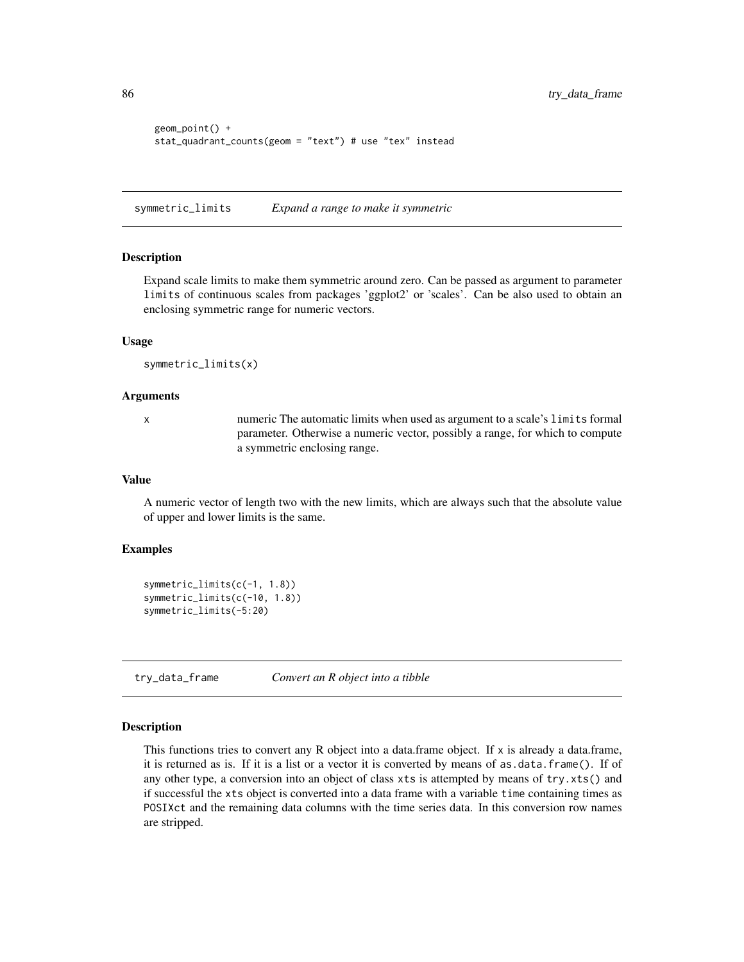```
geom_point() +
stat_quadrant_counts(geom = "text") # use "tex" instead
```
symmetric\_limits *Expand a range to make it symmetric*

#### Description

Expand scale limits to make them symmetric around zero. Can be passed as argument to parameter limits of continuous scales from packages 'ggplot2' or 'scales'. Can be also used to obtain an enclosing symmetric range for numeric vectors.

#### Usage

symmetric\_limits(x)

#### Arguments

x numeric The automatic limits when used as argument to a scale's limits formal parameter. Otherwise a numeric vector, possibly a range, for which to compute a symmetric enclosing range.

#### Value

A numeric vector of length two with the new limits, which are always such that the absolute value of upper and lower limits is the same.

#### Examples

```
symmetric_limits(c(-1, 1.8))
symmetric_limits(c(-10, 1.8))
symmetric_limits(-5:20)
```
try\_data\_frame *Convert an R object into a tibble*

#### **Description**

This functions tries to convert any R object into a data.frame object. If x is already a data.frame, it is returned as is. If it is a list or a vector it is converted by means of as.data.frame(). If of any other type, a conversion into an object of class xts is attempted by means of try.xts() and if successful the xts object is converted into a data frame with a variable time containing times as POSIXct and the remaining data columns with the time series data. In this conversion row names are stripped.

<span id="page-85-0"></span>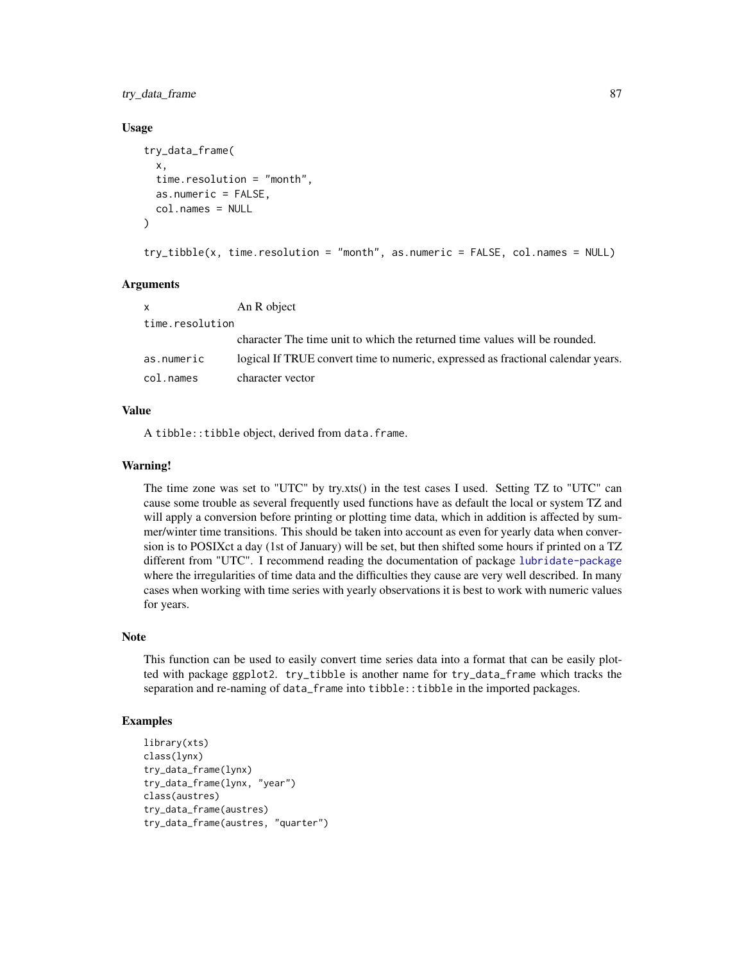try\_data\_frame 87

#### Usage

```
try_data_frame(
  x,
  time.resolution = "month",
  as.numeric = FALSE,
  col.names = NULL
\lambda
```

```
try_tibble(x, time.resolution = "month", as.numeric = FALSE, col.names = NULL)
```
#### Arguments

| $\mathsf{x}$    | An R object                                                                      |
|-----------------|----------------------------------------------------------------------------------|
| time.resolution |                                                                                  |
|                 | character The time unit to which the returned time values will be rounded.       |
| as.numeric      | logical If TRUE convert time to numeric, expressed as fractional calendar years. |
| col.names       | character vector                                                                 |

#### Value

A tibble:: tibble object, derived from data.frame.

#### Warning!

The time zone was set to "UTC" by try.xts() in the test cases I used. Setting TZ to "UTC" can cause some trouble as several frequently used functions have as default the local or system TZ and will apply a conversion before printing or plotting time data, which in addition is affected by summer/winter time transitions. This should be taken into account as even for yearly data when conversion is to POSIXct a day (1st of January) will be set, but then shifted some hours if printed on a TZ different from "UTC". I recommend reading the documentation of package [lubridate-package](#page-0-0) where the irregularities of time data and the difficulties they cause are very well described. In many cases when working with time series with yearly observations it is best to work with numeric values for years.

#### Note

This function can be used to easily convert time series data into a format that can be easily plotted with package ggplot2. try\_tibble is another name for try\_data\_frame which tracks the separation and re-naming of data\_frame into tibble::tibble in the imported packages.

```
library(xts)
class(lynx)
try_data_frame(lynx)
try_data_frame(lynx, "year")
class(austres)
try_data_frame(austres)
try_data_frame(austres, "quarter")
```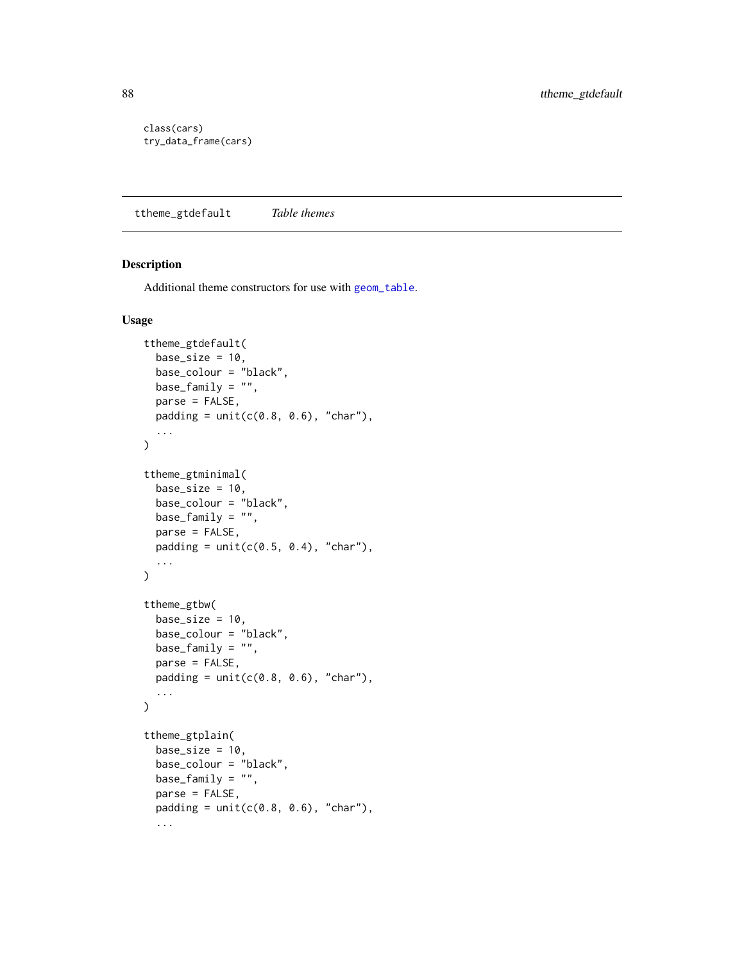<span id="page-87-1"></span>class(cars) try\_data\_frame(cars)

<span id="page-87-0"></span>ttheme\_gtdefault *Table themes*

# Description

Additional theme constructors for use with [geom\\_table](#page-15-0).

# Usage

```
ttheme_gtdefault(
  base_size = 10,
  base_colour = "black",
 base_family = ",
 parse = FALSE,
 padding = unit(c(0.8, 0.6), "char"),...
)
ttheme_gtminimal(
 base_size = 10,
 base_colour = "black",
 base_family = ",
 parse = FALSE,
 padding = unit(c(0.5, 0.4), "char"),...
\mathcal{L}ttheme_gtbw(
 base_size = 10,
 base_colour = "black",
 base_family = ",
 parse = FALSE,
 padding = unit(c(0.8, 0.6), "char"),...
)
ttheme_gtplain(
 base_size = 10.
 base_colour = "black",
 base_family = ",
 parse = FALSE,
  padding = unit(c(0.8, 0.6), "char"),...
```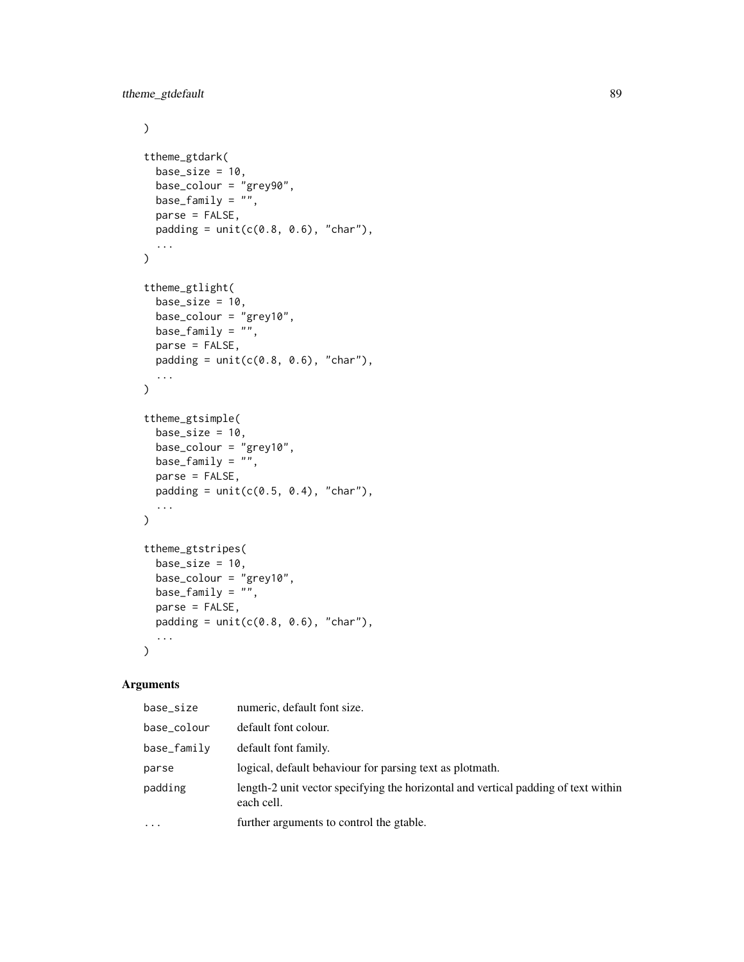```
\mathcal{L}ttheme_gtdark(
  base_size = 10,
  base_colour = "grey90",
  base_family = ",
  parse = FALSE,
  padding = unit(c(0.8, 0.6), "char"),...
\mathcal{L}ttheme_gtlight(
  base_size = 10,
  base_colour = "grey10",
  base_family = "",
  parse = FALSE,
  padding = unit(c(0.8, 0.6), "char"),...
\lambdattheme_gtsimple(
  base_size = 10,
  base_colour = "grey10",
  base_family = \overline{''},
  parse = FALSE,
  padding = unit(c(0.5, 0.4), "char"),
  ...
\mathcal{L}ttheme_gtstripes(
  base_size = 10,
  base_colour = "grey10",
  base_family = "",
  parse = FALSE,
  padding = unit(c(0.8, 0.6), "char"),...
\lambda
```
# Arguments

| base_size   | numeric, default font size.                                                                      |
|-------------|--------------------------------------------------------------------------------------------------|
| base_colour | default font colour.                                                                             |
| base_family | default font family.                                                                             |
| parse       | logical, default behaviour for parsing text as plotmath.                                         |
| padding     | length-2 unit vector specifying the horizontal and vertical padding of text within<br>each cell. |
| $\ddotsc$   | further arguments to control the gtable.                                                         |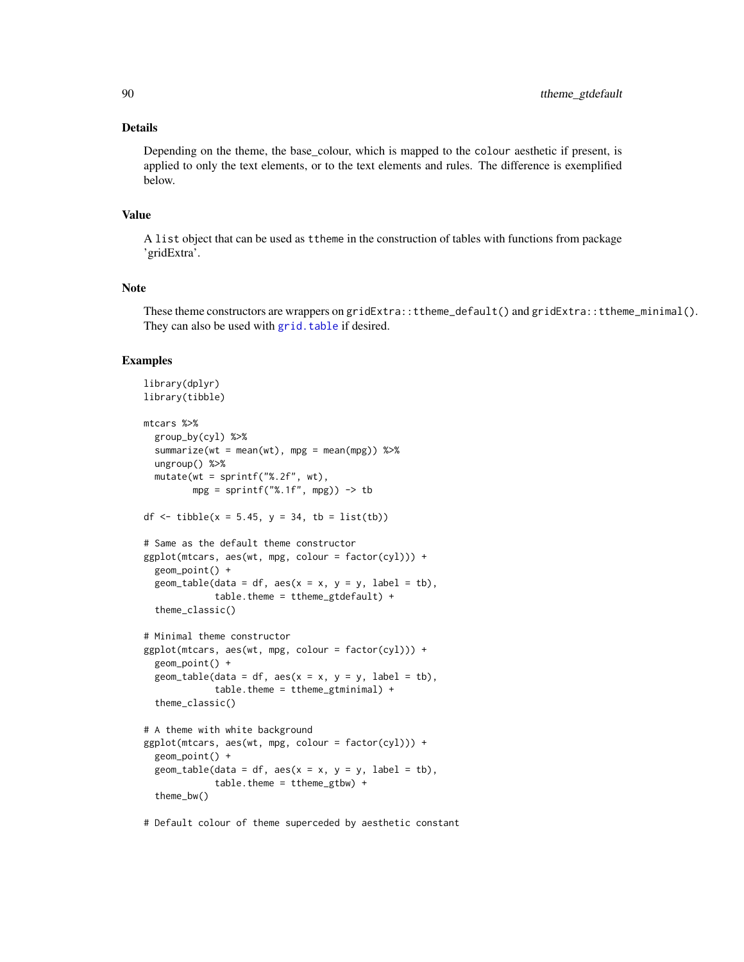# <span id="page-89-0"></span>Details

Depending on the theme, the base\_colour, which is mapped to the colour aesthetic if present, is applied to only the text elements, or to the text elements and rules. The difference is exemplified below.

#### Value

A list object that can be used as ttheme in the construction of tables with functions from package 'gridExtra'.

#### Note

These theme constructors are wrappers on gridExtra::ttheme\_default() and gridExtra::ttheme\_minimal(). They can also be used with [grid.table](#page-0-0) if desired.

#### Examples

```
library(dplyr)
library(tibble)
mtcars %>%
  group_by(cyl) %>%
  summarize(wt = mean(wt), mpg = mean(mpg)) %>%
  ungroup() %>%
  mutate(wt = sprintf("%.2f", wt),
         mpg = sprint f("%, 1f", mpg) -> tb
df \le tibble(x = 5.45, y = 34, tb = list(tb))
# Same as the default theme constructor
ggplot(mtcars, aes(wt, mpg, colour = factor(cyl))) +geom_point() +
  geom\_table(data = df, aes(x = x, y = y, label = tb),table. theme = ttheme_gtdefault) +
  theme_classic()
# Minimal theme constructor
ggplot(mtcars, aes(wt, mpg, colour = factor(cyl))) +
  geom_point() +
  geom_table(data = df, aes(x = x, y = y, label = tb),
             table. theme = ttheme_gtminimal) +
  theme_classic()
# A theme with white background
ggplot(mtcars, aes(wt, mpg, colour = factor(cyl))) +geom_point() +
  geom\_table(data = df, aes(x = x, y = y, label = tb),table. theme = ttheme_gtbw) +
  theme_bw()
```
# Default colour of theme superceded by aesthetic constant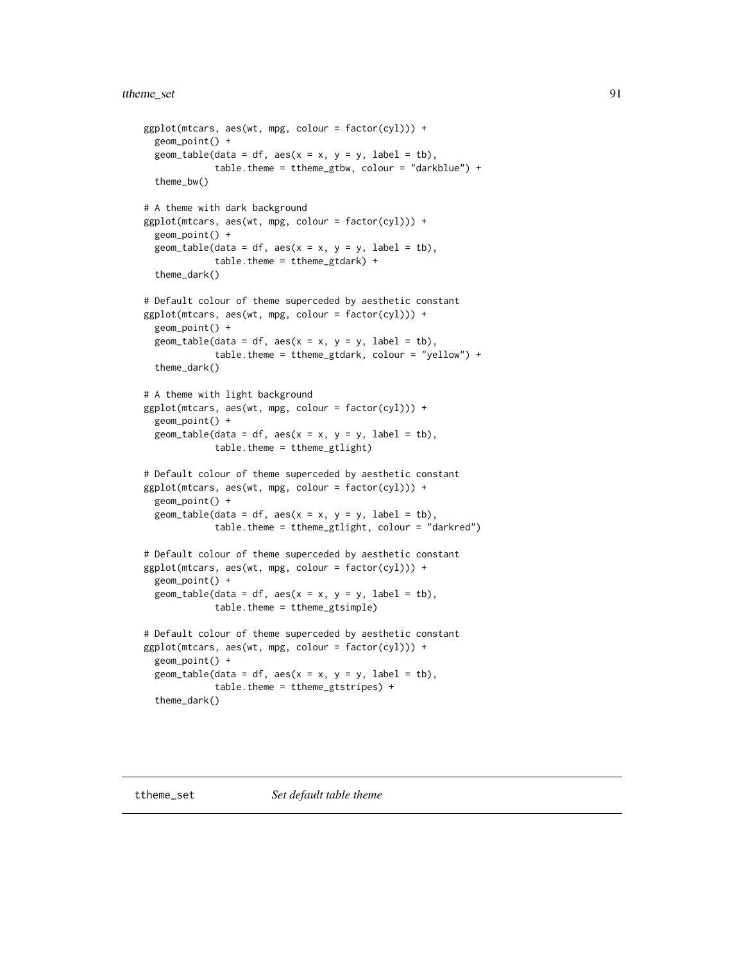```
ggplot(mtcars, aes(wt, mpg, colour = factor(cyl))) +geom_point() +
 geom\_table(data = df, aes(x = x, y = y, label = tb),table.theme = ttheme_gtbw, colour = "darkblue") +
 theme_bw()
# A theme with dark background
ggplot(mtcars, aes(wt, mpg, colour = factor(cyl))) +
 geom_point() +
 geom_table(data = df, aes(x = x, y = y, label = tb),
             table.theme = ttheme_gtdark) +
 theme_dark()
# Default colour of theme superceded by aesthetic constant
ggplot(mtcars, aes(wt, mpg, colour = factor(cyl))) +geom_point() +
 geom\_table(data = df, aes(x = x, y = y, label = tb),table.theme = ttheme_gtdark, colour = "yellow") +
 theme_dark()
# A theme with light background
ggplot(mtcars, aes(wt, mpg, colour = factor(cyl))) +geom_point() +
 geom\_table(data = df, aes(x = x, y = y, label = tb),table.theme = ttheme_gtlight)
# Default colour of theme superceded by aesthetic constant
ggplot(mtcars, aes(wt, mpg, colour = factor(cyl))) +geom_point() +
 geom\_table(data = df, aes(x = x, y = y, label = tb),table.theme = ttheme_gtlight, colour = "darkred")
# Default colour of theme superceded by aesthetic constant
ggplot(mtcars, aes(wt, mpg, colour = factor(cyl))) +
 geom_point() +
 geom\_table(data = df, aes(x = x, y = y, label = tb),table.theme = ttheme_gtsimple)
# Default colour of theme superceded by aesthetic constant
ggplot(mtcars, aes(wt, mpg, colour = factor(cyl))) +geom_point() +
 geom\_table(data = df, aes(x = x, y = y, label = tb),table.theme = ttheme_gtstripes) +
 theme_dark()
```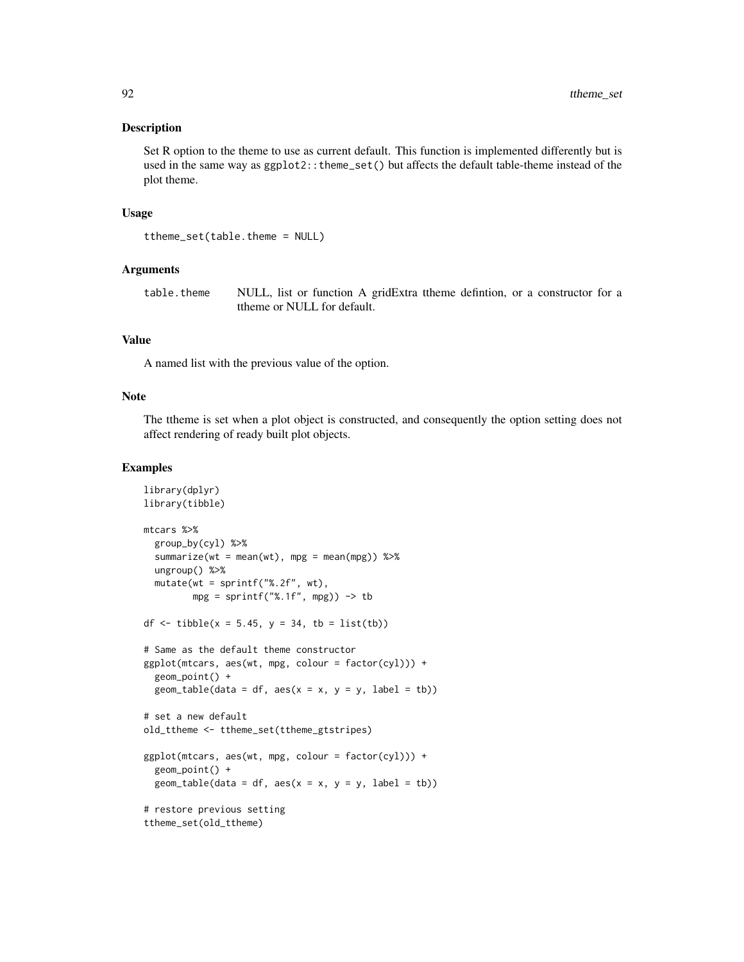#### **Description**

Set R option to the theme to use as current default. This function is implemented differently but is used in the same way as  $ggplot2$ ::theme\_set() but affects the default table-theme instead of the plot theme.

# Usage

```
ttheme_set(table.theme = NULL)
```
#### Arguments

table.theme NULL, list or function A gridExtra ttheme defintion, or a constructor for a ttheme or NULL for default.

# Value

A named list with the previous value of the option.

#### Note

The ttheme is set when a plot object is constructed, and consequently the option setting does not affect rendering of ready built plot objects.

```
library(dplyr)
library(tibble)
mtcars %>%
  group_by(cyl) %>%
  summarize(wt = mean(wt), mpg = mean(mpg)) %>%
  ungroup() %>%
  mutate(wt = sprintf("%. 2f", wt),mpg = sprintf("%, 1f", mpg)) \rightarrow tbdf \le tibble(x = 5.45, y = 34, tb = list(tb))
# Same as the default theme constructor
ggplot(mtcars, aes(wt, mpg, colour = factor(cyl))) +geom_point() +
  geom_table(data = df, aes(x = x, y = y, label = tb))
# set a new default
old_ttheme <- ttheme_set(ttheme_gtstripes)
ggplot(mtcars, aes(wt, mpg, colour = factor(cyl))) +geom_point() +
  geom_table(data = df, aes(x = x, y = y, label = tb))
# restore previous setting
ttheme_set(old_ttheme)
```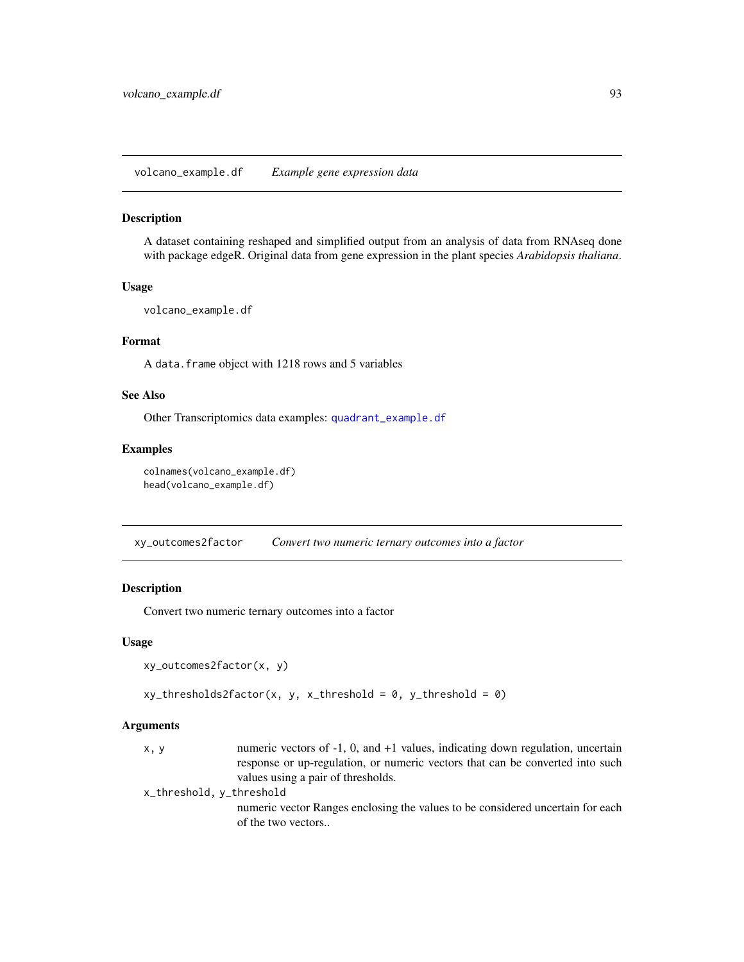<span id="page-92-1"></span>volcano\_example.df *Example gene expression data*

#### Description

A dataset containing reshaped and simplified output from an analysis of data from RNAseq done with package edgeR. Original data from gene expression in the plant species *Arabidopsis thaliana*.

#### Usage

```
volcano_example.df
```
# Format

A data.frame object with 1218 rows and 5 variables

# See Also

Other Transcriptomics data examples: [quadrant\\_example.df](#page-28-1)

# Examples

```
colnames(volcano_example.df)
head(volcano_example.df)
```
<span id="page-92-0"></span>xy\_outcomes2factor *Convert two numeric ternary outcomes into a factor*

# Description

Convert two numeric ternary outcomes into a factor

#### Usage

```
xy_outcomes2factor(x, y)
```

```
xy_\text{th}resholds2factor(x, y, x_threshold = 0, y_threshold = 0)
```
#### Arguments

| x.v | numeric vectors of $-1$ , 0, and $+1$ values, indicating down regulation, uncertain |
|-----|-------------------------------------------------------------------------------------|
|     | response or up-regulation, or numeric vectors that can be converted into such       |
|     | values using a pair of thresholds.                                                  |

x\_threshold, y\_threshold

numeric vector Ranges enclosing the values to be considered uncertain for each of the two vectors..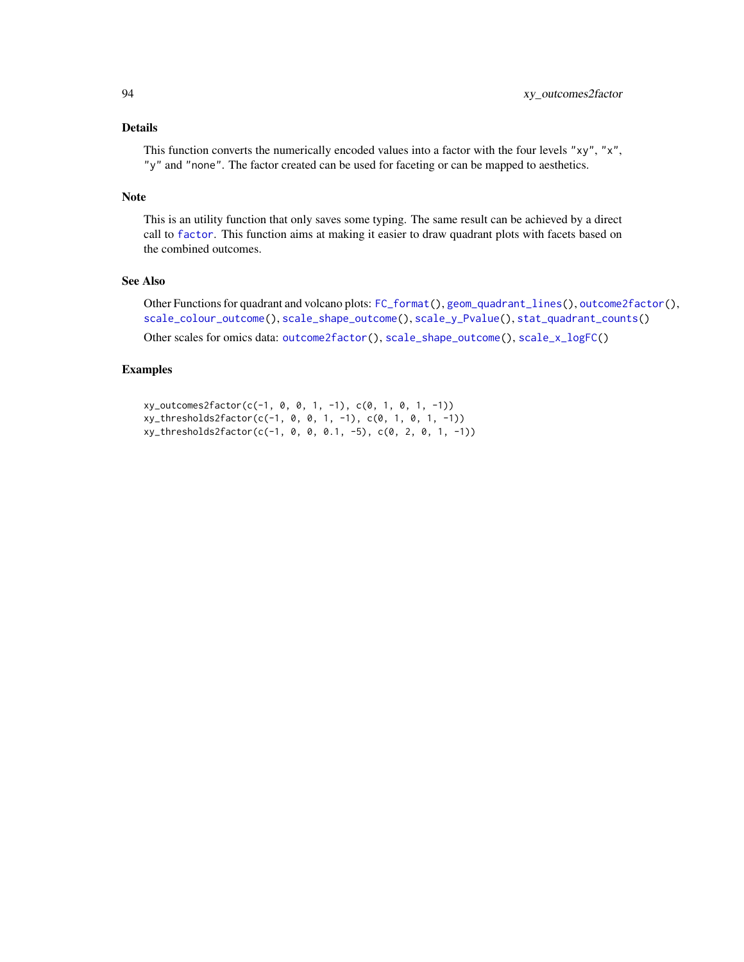# <span id="page-93-0"></span>Details

This function converts the numerically encoded values into a factor with the four levels "xy", "x", "y" and "none". The factor created can be used for faceting or can be mapped to aesthetics.

#### Note

This is an utility function that only saves some typing. The same result can be achieved by a direct call to [factor](#page-0-0). This function aims at making it easier to draw quadrant plots with facets based on the combined outcomes.

# See Also

Other Functions for quadrant and volcano plots: [FC\\_format\(](#page-0-0)), [geom\\_quadrant\\_lines\(](#page-13-0)), [outcome2factor\(](#page-27-0)), [scale\\_colour\\_outcome\(](#page-28-0)), [scale\\_shape\\_outcome\(](#page-31-0)), [scale\\_y\\_Pvalue\(](#page-35-0)), [stat\\_quadrant\\_counts\(](#page-82-0)) Other scales for omics data: [outcome2factor\(](#page-27-0)), [scale\\_shape\\_outcome\(](#page-31-0)), [scale\\_x\\_logFC\(](#page-32-0))

```
xy_outcomes2factor(c(-1, 0, 0, 1, -1), c(0, 1, 0, 1, -1))
xy_thresholds2factor(c(-1, 0, 0, 1, -1), c(0, 1, 0, 1, -1))
xy_thresholds2factor(c(-1, 0, 0, 0.1, -5), c(0, 2, 0, 1, -1))
```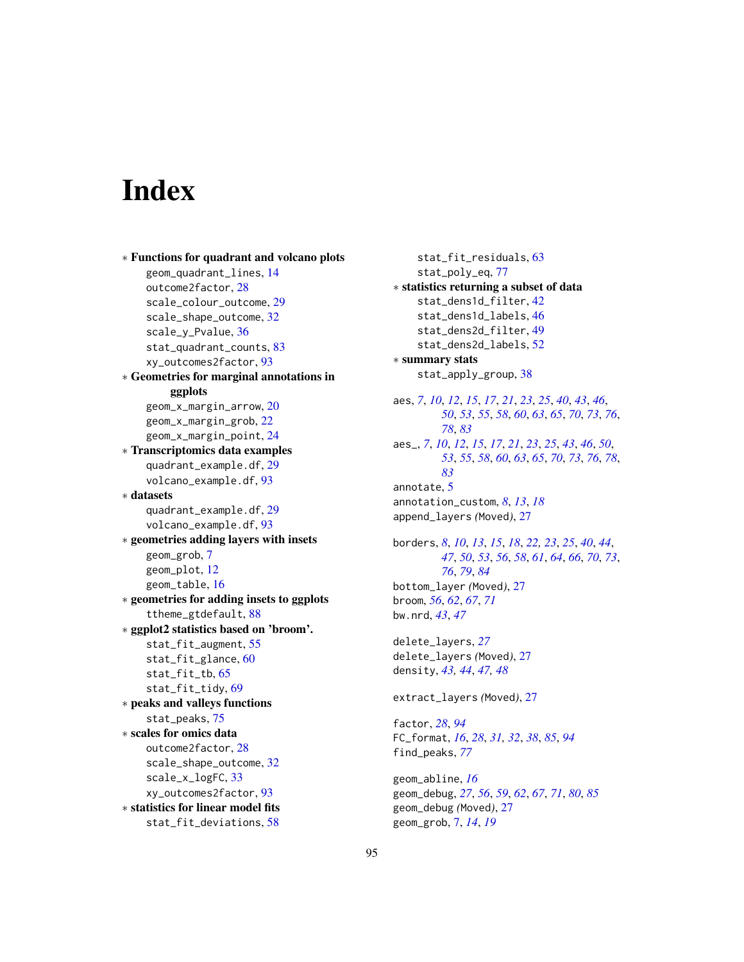# **Index**

```
∗ Functions for quadrant and volcano plots
    geom_quadrant_lines, 14
    outcome2factor, 28
    scale_colour_outcome, 29
    scale_shape_outcome, 32
    scale_y_Pvalue, 36
    stat_quadrant_counts, 83
    xy_outcomes2factor, 93
∗ Geometries for marginal annotations in
        ggplots
    geom_x_margin_arrow, 20
    geom_x_margin_grob, 22
    geom_x_margin_point, 24
∗ Transcriptomics data examples
    quadrant_example.df, 29
    volcano_example.df, 93
∗ datasets
    quadrant_example.df, 29
    volcano_example.df, 93
∗ geometries adding layers with insets
    geom_grob, 7
    geom_plot, 12
    geom_table, 16
∗ geometries for adding insets to ggplots
    ttheme_gtdefault, 88
∗ ggplot2 statistics based on 'broom'.
    stat_fit_augment, 55
    stat_fit_glance, 60
    stat_fit_tb, 65
    stat_fit_tidy, 69
∗ peaks and valleys functions
    stat_peaks, 75
∗ scales for omics data
    outcome2factor, 28
    scale_shape_outcome, 32
    scale_x_logFC, 33
    xy_outcomes2factor, 93
∗ statistics for linear model fits
    stat_fit_deviations, 58
```
stat\_fit\_residuals, [63](#page-62-1) stat\_poly\_eq, [77](#page-76-0) ∗ statistics returning a subset of data stat\_dens1d\_filter, [42](#page-41-0) stat\_dens1d\_labels, [46](#page-45-0) stat\_dens2d\_filter, [49](#page-48-0) stat\_dens2d\_labels, [52](#page-51-0) ∗ summary stats stat\_apply\_group, [38](#page-37-0) aes, *[7](#page-6-0)*, *[10](#page-9-0)*, *[12](#page-11-0)*, *[15](#page-14-0)*, *[17](#page-16-0)*, *[21](#page-20-0)*, *[23](#page-22-0)*, *[25](#page-24-0)*, *[40](#page-39-0)*, *[43](#page-42-0)*, *[46](#page-45-0)*, *[50](#page-49-0)*, *[53](#page-52-0)*, *[55](#page-54-0)*, *[58](#page-57-1)*, *[60](#page-59-1)*, *[63](#page-62-1)*, *[65](#page-64-0)*, *[70](#page-69-0)*, *[73](#page-72-0)*, *[76](#page-75-0)*, *[78](#page-77-0)*, *[83](#page-82-1)* aes\_, *[7](#page-6-0)*, *[10](#page-9-0)*, *[12](#page-11-0)*, *[15](#page-14-0)*, *[17](#page-16-0)*, *[21](#page-20-0)*, *[23](#page-22-0)*, *[25](#page-24-0)*, *[43](#page-42-0)*, *[46](#page-45-0)*, *[50](#page-49-0)*, *[53](#page-52-0)*, *[55](#page-54-0)*, *[58](#page-57-1)*, *[60](#page-59-1)*, *[63](#page-62-1)*, *[65](#page-64-0)*, *[70](#page-69-0)*, *[73](#page-72-0)*, *[76](#page-75-0)*, *[78](#page-77-0)*, *[83](#page-82-1)* annotate, [5](#page-4-0) annotation\_custom, *[8](#page-7-0)*, *[13](#page-12-0)*, *[18](#page-17-0)* append\_layers *(*Moved*)*, [27](#page-26-1) borders, *[8](#page-7-0)*, *[10](#page-9-0)*, *[13](#page-12-0)*, *[15](#page-14-0)*, *[18](#page-17-0)*, *[22,](#page-21-0) [23](#page-22-0)*, *[25](#page-24-0)*, *[40](#page-39-0)*, *[44](#page-43-0)*, *[47](#page-46-0)*, *[50](#page-49-0)*, *[53](#page-52-0)*, *[56](#page-55-0)*, *[58](#page-57-1)*, *[61](#page-60-0)*, *[64](#page-63-0)*, *[66](#page-65-0)*, *[70](#page-69-0)*, *[73](#page-72-0)*, *[76](#page-75-0)*, *[79](#page-78-0)*, *[84](#page-83-0)* bottom\_layer *(*Moved*)*, [27](#page-26-1) broom, *[56](#page-55-0)*, *[62](#page-61-0)*, *[67](#page-66-0)*, *[71](#page-70-0)* bw.nrd, *[43](#page-42-0)*, *[47](#page-46-0)* delete\_layers, *[27](#page-26-1)* delete\_layers *(*Moved*)*, [27](#page-26-1) density, *[43,](#page-42-0) [44](#page-43-0)*, *[47,](#page-46-0) [48](#page-47-0)* extract\_layers *(*Moved*)*, [27](#page-26-1)

factor, *[28](#page-27-1)*, *[94](#page-93-0)* FC\_format, *[16](#page-15-1)*, *[28](#page-27-1)*, *[31,](#page-30-0) [32](#page-31-1)*, *[38](#page-37-0)*, *[85](#page-84-0)*, *[94](#page-93-0)* find\_peaks, *[77](#page-76-0)*

geom\_abline, *[16](#page-15-1)* geom\_debug, *[27](#page-26-1)*, *[56](#page-55-0)*, *[59](#page-58-0)*, *[62](#page-61-0)*, *[67](#page-66-0)*, *[71](#page-70-0)*, *[80](#page-79-0)*, *[85](#page-84-0)* geom\_debug *(*Moved*)*, [27](#page-26-1) geom\_grob, [7,](#page-6-0) *[14](#page-13-1)*, *[19](#page-18-0)*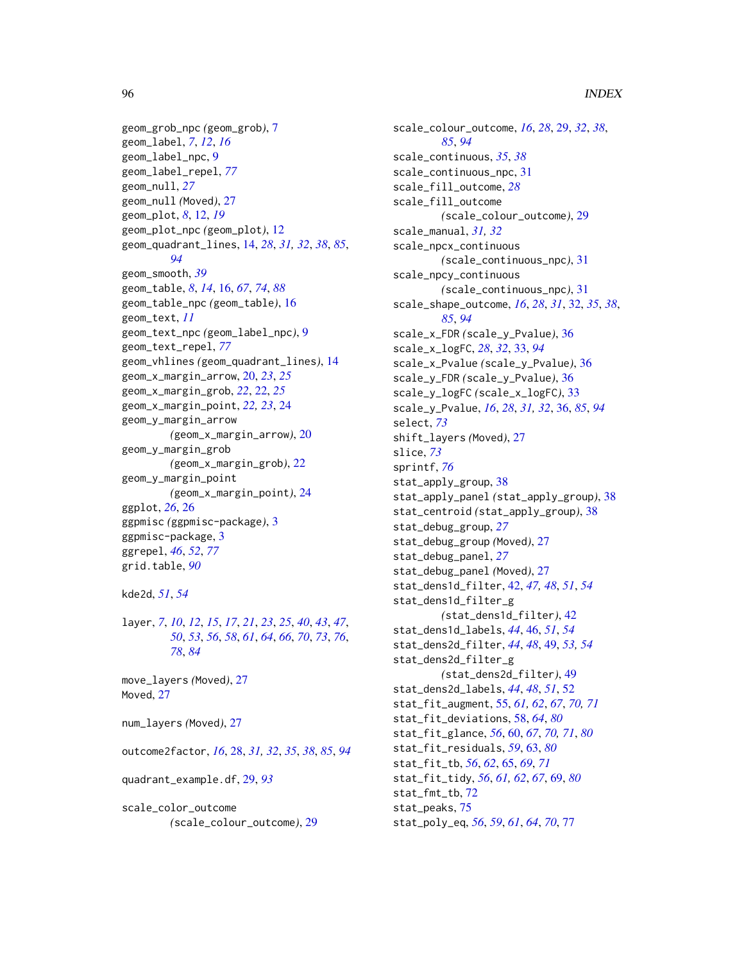```
geom_grob_npc (geom_grob), 7
geom_label, 7, 12, 16
geom_label_npc, 9
geom_label_repel, 77
geom_null, 27
geom_null (Moved), 27
geom_plot, 8, 12, 19
geom_plot_npc (geom_plot), 12
geom_quadrant_lines, 14, 28, 31, 32, 38, 85,
        94
geom_smooth, 39
geom_table, 8, 14, 16, 67, 74, 88
geom_table_npc (geom_table), 16
geom_text, 11
geom_text_npc (geom_label_npc), 9
geom_text_repel, 77
geom_vhlines (geom_quadrant_lines), 14
geom_x_margin_arrow, 20, 23, 25
geom_x_margin_grob, 22, 22, 25
geom_x_margin_point, 22, 23, 24
geom_y_margin_arrow
        (geom_x_margin_arrow), 20
geom_y_margin_grob
        (geom_x_margin_grob), 22
geom_y_margin_point
        (geom_x_margin_point), 24
ggplot, 26, 26
ggpmisc (ggpmisc-package), 3
ggpmisc-package, 3
ggrepel, 46, 52, 77
grid.table, 90
```
kde2d, *[51](#page-50-0)*, *[54](#page-53-0)*

layer, *[7](#page-6-0)*, *[10](#page-9-0)*, *[12](#page-11-0)*, *[15](#page-14-0)*, *[17](#page-16-0)*, *[21](#page-20-0)*, *[23](#page-22-0)*, *[25](#page-24-0)*, *[40](#page-39-0)*, *[43](#page-42-0)*, *[47](#page-46-0)*, *[50](#page-49-0)*, *[53](#page-52-0)*, *[56](#page-55-0)*, *[58](#page-57-1)*, *[61](#page-60-0)*, *[64](#page-63-0)*, *[66](#page-65-0)*, *[70](#page-69-0)*, *[73](#page-72-0)*, *[76](#page-75-0)*, *[78](#page-77-0)*, *[84](#page-83-0)*

move\_layers *(*Moved*)*, [27](#page-26-1) Moved, [27](#page-26-1)

num\_layers *(*Moved*)*, [27](#page-26-1)

outcome2factor, *[16](#page-15-1)*, [28,](#page-27-1) *[31,](#page-30-0) [32](#page-31-1)*, *[35](#page-34-0)*, *[38](#page-37-0)*, *[85](#page-84-0)*, *[94](#page-93-0)*

quadrant\_example.df, [29,](#page-28-2) *[93](#page-92-1)*

scale\_color\_outcome *(*scale\_colour\_outcome*)*, [29](#page-28-2) scale\_colour\_outcome, *[16](#page-15-1)*, *[28](#page-27-1)*, [29,](#page-28-2) *[32](#page-31-1)*, *[38](#page-37-0)*, *[85](#page-84-0)*, *[94](#page-93-0)* scale\_continuous, *[35](#page-34-0)*, *[38](#page-37-0)* scale\_continuous\_npc, [31](#page-30-0) scale\_fill\_outcome, *[28](#page-27-1)* scale\_fill\_outcome *(*scale\_colour\_outcome*)*, [29](#page-28-2) scale\_manual, *[31,](#page-30-0) [32](#page-31-1)* scale\_npcx\_continuous *(*scale\_continuous\_npc*)*, [31](#page-30-0) scale\_npcy\_continuous *(*scale\_continuous\_npc*)*, [31](#page-30-0) scale\_shape\_outcome, *[16](#page-15-1)*, *[28](#page-27-1)*, *[31](#page-30-0)*, [32,](#page-31-1) *[35](#page-34-0)*, *[38](#page-37-0)*, *[85](#page-84-0)*, *[94](#page-93-0)* scale\_x\_FDR *(*scale\_y\_Pvalue*)*, [36](#page-35-1) scale\_x\_logFC, *[28](#page-27-1)*, *[32](#page-31-1)*, [33,](#page-32-1) *[94](#page-93-0)* scale\_x\_Pvalue *(*scale\_y\_Pvalue*)*, [36](#page-35-1) scale\_y\_FDR *(*scale\_y\_Pvalue*)*, [36](#page-35-1) scale\_y\_logFC *(*scale\_x\_logFC*)*, [33](#page-32-1) scale\_y\_Pvalue, *[16](#page-15-1)*, *[28](#page-27-1)*, *[31,](#page-30-0) [32](#page-31-1)*, [36,](#page-35-1) *[85](#page-84-0)*, *[94](#page-93-0)* select, *[73](#page-72-0)* shift\_layers *(*Moved*)*, [27](#page-26-1) slice, *[73](#page-72-0)* sprintf, *[76](#page-75-0)* stat\_apply\_group, [38](#page-37-0) stat\_apply\_panel *(*stat\_apply\_group*)*, [38](#page-37-0) stat\_centroid *(*stat\_apply\_group*)*, [38](#page-37-0) stat\_debug\_group, *[27](#page-26-1)* stat\_debug\_group *(*Moved*)*, [27](#page-26-1) stat\_debug\_panel, *[27](#page-26-1)* stat\_debug\_panel *(*Moved*)*, [27](#page-26-1) stat\_dens1d\_filter, [42,](#page-41-0) *[47,](#page-46-0) [48](#page-47-0)*, *[51](#page-50-0)*, *[54](#page-53-0)* stat\_dens1d\_filter\_g *(*stat\_dens1d\_filter*)*, [42](#page-41-0) stat\_dens1d\_labels, *[44](#page-43-0)*, [46,](#page-45-0) *[51](#page-50-0)*, *[54](#page-53-0)* stat\_dens2d\_filter, *[44](#page-43-0)*, *[48](#page-47-0)*, [49,](#page-48-0) *[53,](#page-52-0) [54](#page-53-0)* stat\_dens2d\_filter\_g *(*stat\_dens2d\_filter*)*, [49](#page-48-0) stat\_dens2d\_labels, *[44](#page-43-0)*, *[48](#page-47-0)*, *[51](#page-50-0)*, [52](#page-51-0) stat\_fit\_augment, [55,](#page-54-0) *[61,](#page-60-0) [62](#page-61-0)*, *[67](#page-66-0)*, *[70,](#page-69-0) [71](#page-70-0)* stat\_fit\_deviations, [58,](#page-57-1) *[64](#page-63-0)*, *[80](#page-79-0)* stat\_fit\_glance, *[56](#page-55-0)*, [60,](#page-59-1) *[67](#page-66-0)*, *[70,](#page-69-0) [71](#page-70-0)*, *[80](#page-79-0)* stat\_fit\_residuals, *[59](#page-58-0)*, [63,](#page-62-1) *[80](#page-79-0)* stat\_fit\_tb, *[56](#page-55-0)*, *[62](#page-61-0)*, [65,](#page-64-0) *[69](#page-68-1)*, *[71](#page-70-0)* stat\_fit\_tidy, *[56](#page-55-0)*, *[61,](#page-60-0) [62](#page-61-0)*, *[67](#page-66-0)*, [69,](#page-68-1) *[80](#page-79-0)* stat\_fmt\_tb, [72](#page-71-0) stat\_peaks, [75](#page-74-0) stat\_poly\_eq, *[56](#page-55-0)*, *[59](#page-58-0)*, *[61](#page-60-0)*, *[64](#page-63-0)*, *[70](#page-69-0)*, [77](#page-76-0)